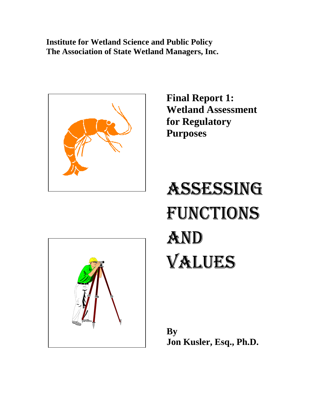**Institute for Wetland Science and Public Policy The Association of State Wetland Managers, Inc.** 



**Final Report 1: Wetland Assessment for Regulatory Purposes** 

# ASSESSING FUNCTIONS AND VALUES



**By Jon Kusler, Esq., Ph.D.**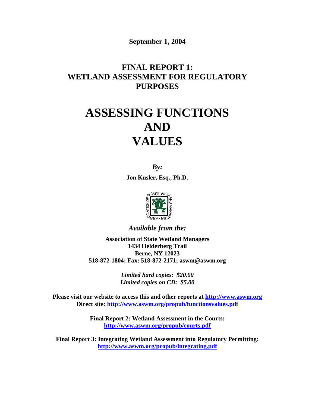**September 1, 2004** 

# **FINAL REPORT 1: WETLAND ASSESSMENT FOR REGULATORY PURPOSES**

# **ASSESSING FUNCTIONS AND VALUES**

*By:*  **Jon Kusler, Esq., Ph.D.** 



*Available from the:* 

**Association of State Wetland Managers 1434 Helderberg Trail Berne, NY 12023 518-872-1804; Fax: 518-872-2171; aswm@aswm.org** 

> *Limited hard copies: \$20.00 Limited copies on CD: \$5.00*

**Please visit our website to access this and other reports at [http://www.aswm.org](http://www.aswm.org/) Direct site:<http://www.aswm.org/propub/functionsvalues.pdf>**

> **Final Report 2: Wetland Assessment in the Courts: <http://www.aswm.org/propub/courts.pdf>**

**Final Report 3: Integrating Wetland Assessment into Regulatory Permitting: <http://www.aswm.org/propub/integrating.pdf>**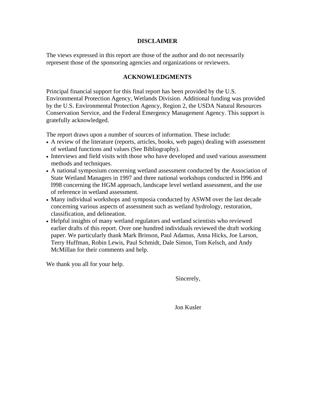#### **DISCLAIMER**

The views expressed in this report are those of the author and do not necessarily represent those of the sponsoring agencies and organizations or reviewers.

#### **ACKNOWLEDGMENTS**

Principal financial support for this final report has been provided by the U.S. Environmental Protection Agency, Wetlands Division. Additional funding was provided by the U.S. Environmental Protection Agency, Region 2, the USDA Natural Resources Conservation Service, and the Federal Emergency Management Agency. This support is gratefully acknowledged.

The report draws upon a number of sources of information. These include:

- A review of the literature (reports, articles, books, web pages) dealing with assessment of wetland functions and values (See Bibliography).
- Interviews and field visits with those who have developed and used various assessment methods and techniques.
- A national symposium concerning wetland assessment conducted by the Association of State Wetland Managers in 1997 and three national workshops conducted in l996 and l998 concerning the HGM approach, landscape level wetland assessment, and the use of reference in wetland assessment.
- Many individual workshops and symposia conducted by ASWM over the last decade concerning various aspects of assessment such as wetland hydrology, restoration, classification, and delineation.
- Helpful insights of many wetland regulators and wetland scientists who reviewed earlier drafts of this report. Over one hundred individuals reviewed the draft working paper. We particularly thank Mark Brinson, Paul Adamus, Anna Hicks, Joe Larson, Terry Huffman, Robin Lewis, Paul Schmidt, Dale Simon, Tom Kelsch, and Andy McMillan for their comments and help.

We thank you all for your help.

Sincerely,

Jon Kusler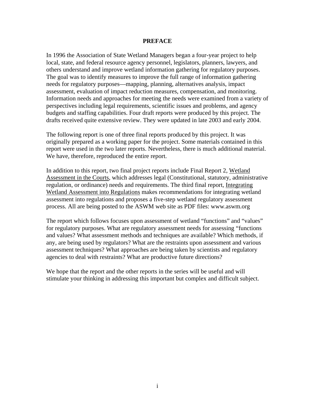#### **PREFACE**

In 1996 the Association of State Wetland Managers began a four-year project to help local, state, and federal resource agency personnel, legislators, planners, lawyers, and others understand and improve wetland information gathering for regulatory purposes. The goal was to identify measures to improve the full range of information gathering needs for regulatory purposes—mapping, planning, alternatives analysis, impact assessment, evaluation of impact reduction measures, compensation, and monitoring. Information needs and approaches for meeting the needs were examined from a variety of perspectives including legal requirements, scientific issues and problems, and agency budgets and staffing capabilities. Four draft reports were produced by this project. The drafts received quite extensive review. They were updated in late 2003 and early 2004.

The following report is one of three final reports produced by this project. It was originally prepared as a working paper for the project. Some materials contained in this report were used in the two later reports. Nevertheless, there is much additional material. We have, therefore, reproduced the entire report.

In addition to this report, two final project reports include Final Report 2, Wetland Assessment in the Courts, which addresses legal (Constitutional, statutory, administrative regulation, or ordinance) needs and requirements. The third final report, Integrating Wetland Assessment into Regulations makes recommendations for integrating wetland assessment into regulations and proposes a five-step wetland regulatory assessment process. All are being posted to the ASWM web site as PDF files: www.aswm.org

The report which follows focuses upon assessment of wetland "functions" and "values" for regulatory purposes. What are regulatory assessment needs for assessing "functions and values? What assessment methods and techniques are available? Which methods, if any, are being used by regulators? What are the restraints upon assessment and various assessment techniques? What approaches are being taken by scientists and regulatory agencies to deal with restraints? What are productive future directions?

We hope that the report and the other reports in the series will be useful and will stimulate your thinking in addressing this important but complex and difficult subject.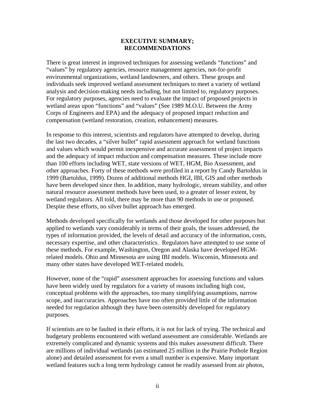#### **EXECUTIVE SUMMARY; RECOMMENDATIONS**

There is great interest in improved techniques for assessing wetlands "functions" and "values" by regulatory agencies, resource management agencies, not-for-profit environmental organizations, wetland landowners, and others. These groups and individuals seek improved wetland assessment techniques to meet a variety of wetland analysis and decision-making needs including, but not limited to, regulatory purposes. For regulatory purposes, agencies need to evaluate the impact of proposed projects in wetland areas upon "functions" and "values" (See 1989 M.O.U. Between the Army Corps of Engineers and EPA) and the adequacy of proposed impact reduction and compensation (wetland restoration, creation, enhancement) measures.

In response to this interest, scientists and regulators have attempted to develop, during the last two decades, a "silver bullet" rapid assessment approach for wetland functions and values which would permit inexpensive and accurate assessment of project impacts and the adequacy of impact reduction and compensation measures. These include more than 100 efforts including WET, state versions of WET, HGM, Bio Assessment, and other approaches. Forty of these methods were profiled in a report by Candy Bartoldus in 1999 (Bartoldus, 1999). Dozen of additional methods HGI, IBI, GIS and other methods have been developed since then. In addition, many hydrologic, stream stability, and other natural resource assessment methods have been used, to a greater of lesser extent, by wetland regulators. All told, there may be more than 90 methods in use or proposed. Despite these efforts, no silver bullet approach has emerged.

Methods developed specifically for wetlands and those developed for other purposes but applied to wetlands vary considerably in terms of their goals, the issues addressed, the types of information provided, the levels of detail and accuracy of the information, costs, necessary expertise, and other characteristics. Regulators have attempted to use some of these methods. For example, Washington, Oregon and Alaska have developed HGMrelated models. Ohio and Minnesota are using IBI models. Wisconsin, Minnesota and many other states have developed WET-related models.

However, none of the "rapid" assessment approaches for assessing functions and values have been widely used by regulators for a variety of reasons including high cost, conceptual problems with the approaches, too many simplifying assumptions, narrow scope, and inaccuracies. Approaches have too often provided little of the information needed for regulation although they have been ostensibly developed for regulatory purposes.

If scientists are to be faulted in their efforts, it is not for lack of trying. The technical and budgetary problems encountered with wetland assessment are considerable. Wetlands are extremely complicated and dynamic systems and this makes assessment difficult. There are millions of individual wetlands (an estimated 25 million in the Prairie Pothole Region alone) and detailed assessment for even a small number is expensive. Many important wetland features such a long term hydrology cannot be readily assessed from air photos,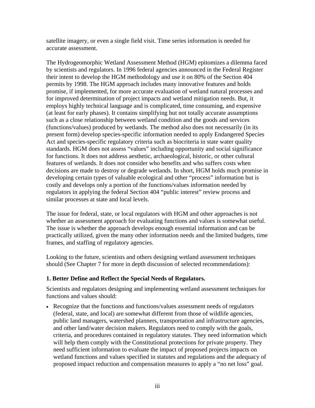satellite imagery, or even a single field visit. Time series information is needed for accurate assessment.

The Hydrogeomorphic Wetland Assessment Method (HGM) epitomizes a dilemma faced by scientists and regulators. In 1996 federal agencies announced in the Federal Register their intent to develop the HGM methodology and use it on 80% of the Section 404 permits by 1998. The HGM approach includes many innovative features and holds promise, if implemented, for more accurate evaluation of wetland natural processes and for improved determination of project impacts and wetland mitigation needs. But, it employs highly technical language and is complicated, time consuming, and expensive (at least for early phases). It contains simplifying but not totally accurate assumptions such as a close relationship between wetland condition and the goods and services (functions/values) produced by wetlands. The method also does not necessarily (in its present form) develop species-specific information needed to apply Endangered Species Act and species-specific regulatory criteria such as biocriteria in state water quality standards. HGM does not assess "values" including opportunity and social significance for functions. It does not address aesthetic, archaeological, historic, or other cultural features of wetlands. It does not consider who benefits and who suffers costs when decisions are made to destroy or degrade wetlands. In short, HGM holds much promise in developing certain types of valuable ecological and other "process" information but is costly and develops only a portion of the functions/values information needed by regulators in applying the federal Section 404 "public interest" review process and similar processes at state and local levels.

The issue for federal, state, or local regulators with HGM and other approaches is not whether an assessment approach for evaluating functions and values is somewhat useful. The issue is whether the approach develops enough essential information and can be practically utilized, given the many other information needs and the limited budgets, time frames, and staffing of regulatory agencies.

Looking to the future, scientists and others designing wetland assessment techniques should (See Chapter 7 for more in depth discussion of selected recommendations):

#### **1. Better Define and Reflect the Special Needs of Regulators.**

Scientists and regulators designing and implementing wetland assessment techniques for functions and values should:

• Recognize that the functions and functions/values assessment needs of regulators (federal, state, and local) are somewhat different from those of wildlife agencies, public land managers, watershed planners, transportation and infrastructure agencies, and other land/water decision makers. Regulators need to comply with the goals, criteria, and procedures contained in regulatory statutes. They need information which will help them comply with the Constitutional protections for private property. They need sufficient information to evaluate the impact of proposed projects impacts on wetland functions and values specified in statutes and regulations and the adequacy of proposed impact reduction and compensation measures to apply a "no net loss" goal.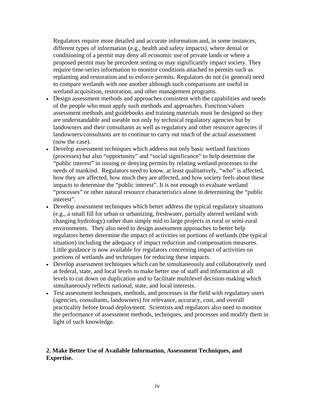Regulators require more detailed and accurate information and, in some instances, different types of information (e.g., health and safety impacts), where denial or conditioning of a permit may deny all economic use of private lands or where a proposed permit may be precedent setting or may significantly impact society. They require time-series information to monitor conditions attached to permits such as replanting and restoration and to enforce permits. Regulators do not (in general) need to compare wetlands with one another although such comparisons are useful in wetland acquisition, restoration, and other management programs.

- Design assessment methods and approaches consistent with the capabilities and needs of the people who must apply such methods and approaches. Function/values assessment methods and guidebooks and training materials must be designed so they are understandable and useable not only by technical regulatory agencies but by landowners and their consultants as well as regulatory and other resource agencies if landowners/consultants are to continue to carry out much of the actual assessment (now the case).
- Develop assessment techniques which address not only basic wetland functions (processes) but also "opportunity" and "social significance" to help determine the "public interest" in issuing or denying permits by relating wetland processes to the needs of mankind. Regulators need to know, at least qualitatively, "who" is affected, how they are affected, how much they are affected, and how society feels about these impacts to determine the "public interest". It is not enough to evaluate wetland "processes" or other natural resource characteristics alone in determining the "public interest".
- Develop assessment techniques which better address the typical regulatory situations (e.g., a small fill for urban or urbanizing, freshwater, partially altered wetland with changing hydrology) rather than simply mid to large projects in rural or semi-rural environments. They also need to design assessment approaches to better help regulators better determine the impact of activities on portions of wetlands (the typical situation) including the adequacy of impact reduction and compensation measures. Little guidance is now available for regulators concerning impact of activities on portions of wetlands and techniques for reducing these impacts.
- Develop assessment techniques which can be simultaneously and collaboratively used at federal, state, and local levels to make better use of staff and information at all levels to cut down on duplication and to facilitate multilevel decision-making which simultaneously reflects national, state, and local interests.
- Test assessment techniques, methods, and processes in the field with regulatory users (agencies, consultants, landowners) for relevance, accuracy, cost, and overall practicality before broad deployment. Scientists and regulators also need to monitor the performance of assessment methods, techniques, and processes and modify them in light of such knowledge.

#### **2. Make Better Use of Available Information, Assessment Techniques, and Expertise.**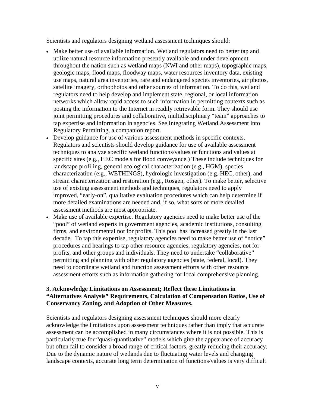Scientists and regulators designing wetland assessment techniques should:

- Make better use of available information. Wetland regulators need to better tap and utilize natural resource information presently available and under development throughout the nation such as wetland maps (NWI and other maps), topographic maps, geologic maps, flood maps, floodway maps, water resources inventory data, existing use maps, natural area inventories, rare and endangered species inventories, air photos, satellite imagery, orthophotos and other sources of information. To do this, wetland regulators need to help develop and implement state, regional, or local information networks which allow rapid access to such information in permitting contexts such as posting the information to the Internet in readily retrievable form. They should use joint permitting procedures and collaborative, multidisciplinary "team" approaches to tap expertise and information in agencies. See Integrating Wetland Assessment into Regulatory Permitting, a companion report.
- Develop guidance for use of various assessment methods in specific contexts. Regulators and scientists should develop guidance for use of available assessment techniques to analyze specific wetland functions/values or functions and values at specific sites (e.g., HEC models for flood conveyance.) These include techniques for landscape profiling, general ecological characterization (e.g., HGM), species characterization (e.g., WETHINGS), hydrologic investigation (e.g. HEC, other), and stream characterization and restoration (e.g., Rosgen, other). To make better, selective use of existing assessment methods and techniques, regulators need to apply improved, "early-on", qualitative evaluation procedures which can help determine if more detailed examinations are needed and, if so, what sorts of more detailed assessment methods are most appropriate.
- Make use of available expertise. Regulatory agencies need to make better use of the "pool" of wetland experts in government agencies, academic institutions, consulting firms, and environmental not for profits. This pool has increased greatly in the last decade. To tap this expertise, regulatory agencies need to make better use of "notice" procedures and hearings to tap other resource agencies, regulatory agencies, not for profits, and other groups and individuals. They need to undertake "collaborative" permitting and planning with other regulatory agencies (state, federal, local). They need to coordinate wetland and function assessment efforts with other resource assessment efforts such as information gathering for local comprehensive planning.

#### **3. Acknowledge Limitations on Assessment; Reflect these Limitations in "Alternatives Analysis" Requirements, Calculation of Compensation Ratios, Use of Conservancy Zoning, and Adoption of Other Measures.**

Scientists and regulators designing assessment techniques should more clearly acknowledge the limitations upon assessment techniques rather than imply that accurate assessment can be accomplished in many circumstances where it is not possible. This is particularly true for "quasi-quantitative" models which give the appearance of accuracy but often fail to consider a broad range of critical factors, greatly reducing their accuracy. Due to the dynamic nature of wetlands due to fluctuating water levels and changing landscape contexts, accurate long term determination of functions/values is very difficult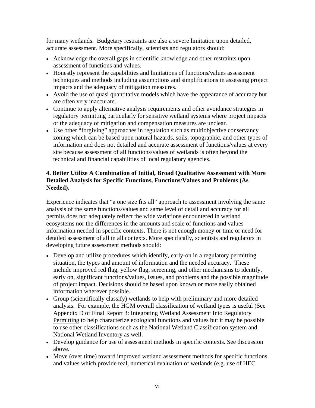for many wetlands. Budgetary restraints are also a severe limitation upon detailed, accurate assessment. More specifically, scientists and regulators should:

- Acknowledge the overall gaps in scientific knowledge and other restraints upon assessment of functions and values.
- Honestly represent the capabilities and limitations of functions/values assessment techniques and methods including assumptions and simplifications in assessing project impacts and the adequacy of mitigation measures.
- Avoid the use of quasi quantitative models which have the appearance of accuracy but are often very inaccurate.
- Continue to apply alternative analysis requirements and other avoidance strategies in regulatory permitting particularly for sensitive wetland systems where project impacts or the adequacy of mitigation and compensation measures are unclear.
- Use other "forgiving" approaches in regulation such as multiobjective conservancy zoning which can be based upon natural hazards, soils, topographic, and other types of information and does not detailed and accurate assessment of functions/values at every site because assessment of all functions/values of wetlands is often beyond the technical and financial capabilities of local regulatory agencies.

#### **4. Better Utilize A Combination of Initial, Broad Qualitative Assessment with More Detailed Analysis for Specific Functions, Functions/Values and Problems (As Needed).**

Experience indicates that "a one size fits all" approach to assessment involving the same analysis of the same functions/values and same level of detail and accuracy for all permits does not adequately reflect the wide variations encountered in wetland ecosystems nor the differences in the amounts and scale of functions and values information needed in specific contexts. There is not enough money or time or need for detailed assessment of all in all contexts. More specifically, scientists and regulators in developing future assessment methods should:

- Develop and utilize procedures which identify, early-on in a regulatory permitting situation, the types and amount of information and the needed accuracy. These include improved red flag, yellow flag, screening, and other mechanisms to identify, early on, significant functions/values, issues, and problems and the possible magnitude of project impact. Decisions should be based upon known or more easily obtained information wherever possible.
- Group (scientifically classify) wetlands to help with preliminary and more detailed analysis. For example, the HGM overall classification of wetland types is useful (See Appendix D of Final Report 3: Integrating Wetland Assessment Into Regulatory Permitting to help characterize ecological functions and values but it may be possible to use other classifications such as the National Wetland Classification system and National Wetland Inventory as well.
- Develop guidance for use of assessment methods in specific contexts. See discussion above.
- Move (over time) toward improved wetland assessment methods for specific functions and values which provide real, numerical evaluation of wetlands (e.g. use of HEC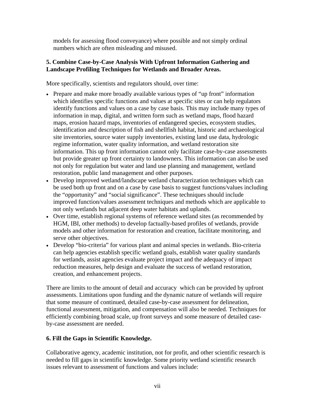models for assessing flood conveyance) where possible and not simply ordinal numbers which are often misleading and misused.

#### **5. Combine Case-by-Case Analysis With Upfront Information Gathering and Landscape Profiling Techniques for Wetlands and Broader Areas.**

More specifically, scientists and regulators should, over time:

- Prepare and make more broadly available various types of "up front" information which identifies specific functions and values at specific sites or can help regulators identify functions and values on a case by case basis. This may include many types of information in map, digital, and written form such as wetland maps, flood hazard maps, erosion hazard maps, inventories of endangered species, ecosystem studies, identification and description of fish and shellfish habitat, historic and archaeological site inventories, source water supply inventories, existing land use data, hydrologic regime information, water quality information, and wetland restoration site information. This up front information cannot only facilitate case-by-case assessments but provide greater up front certainty to landowners. This information can also be used not only for regulation but water and land use planning and management, wetland restoration, public land management and other purposes.
- Develop improved wetland/landscape wetland characterization techniques which can be used both up front and on a case by case basis to suggest functions/values including the "opportunity" and "social significance". These techniques should include improved function/values assessment techniques and methods which are applicable to not only wetlands but adjacent deep water habitats and uplands.
- Over time, establish regional systems of reference wetland sites (as recommended by HGM, IBI, other methods) to develop factually-based profiles of wetlands, provide models and other information for restoration and creation, facilitate monitoring, and serve other objectives.
- Develop "bio-criteria" for various plant and animal species in wetlands. Bio-criteria can help agencies establish specific wetland goals, establish water quality standards for wetlands, assist agencies evaluate project impact and the adequacy of impact reduction measures, help design and evaluate the success of wetland restoration, creation, and enhancement projects.

There are limits to the amount of detail and accuracy which can be provided by upfront assessments. Limitations upon funding and the dynamic nature of wetlands will require that some measure of continued, detailed case-by-case assessment for delineation, functional assessment, mitigation, and compensation will also be needed. Techniques for efficiently combining broad scale, up front surveys and some measure of detailed caseby-case assessment are needed.

## **6. Fill the Gaps in Scientific Knowledge.**

Collaborative agency, academic institution, not for profit, and other scientific research is needed to fill gaps in scientific knowledge. Some priority wetland scientific research issues relevant to assessment of functions and values include: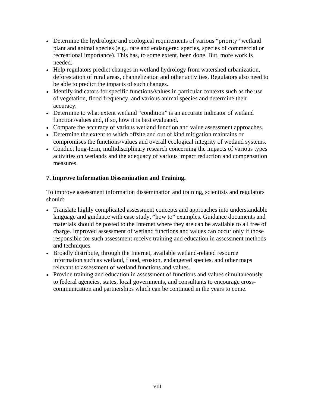- Determine the hydrologic and ecological requirements of various "priority" wetland plant and animal species (e.g., rare and endangered species, species of commercial or recreational importance). This has, to some extent, been done. But, more work is needed.
- Help regulators predict changes in wetland hydrology from watershed urbanization, deforestation of rural areas, channelization and other activities. Regulators also need to be able to predict the impacts of such changes.
- Identify indicators for specific functions/values in particular contexts such as the use of vegetation, flood frequency, and various animal species and determine their accuracy.
- Determine to what extent wetland "condition" is an accurate indicator of wetland function/values and, if so, how it is best evaluated.
- Compare the accuracy of various wetland function and value assessment approaches.
- Determine the extent to which offsite and out of kind mitigation maintains or compromises the functions/values and overall ecological integrity of wetland systems.
- Conduct long-term, multidisciplinary research concerning the impacts of various types activities on wetlands and the adequacy of various impact reduction and compensation measures.

## **7. Improve Information Dissemination and Training.**

To improve assessment information dissemination and training, scientists and regulators should:

- Translate highly complicated assessment concepts and approaches into understandable language and guidance with case study, "how to" examples. Guidance documents and materials should be posted to the Internet where they are can be available to all free of charge. Improved assessment of wetland functions and values can occur only if those responsible for such assessment receive training and education in assessment methods and techniques.
- Broadly distribute, through the Internet, available wetland-related resource information such as wetland, flood, erosion, endangered species, and other maps relevant to assessment of wetland functions and values.
- Provide training and education in assessment of functions and values simultaneously to federal agencies, states, local governments, and consultants to encourage crosscommunication and partnerships which can be continued in the years to come.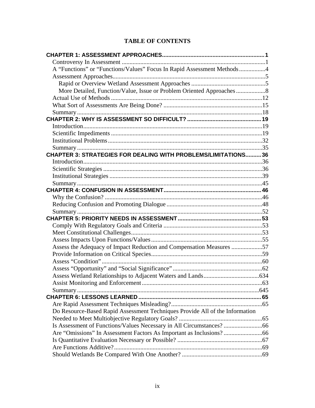# **TABLE OF CONTENTS**

| A "Functions" or "Functions/Values" Focus In Rapid Assessment Methods4       |  |
|------------------------------------------------------------------------------|--|
|                                                                              |  |
|                                                                              |  |
|                                                                              |  |
|                                                                              |  |
|                                                                              |  |
|                                                                              |  |
|                                                                              |  |
|                                                                              |  |
|                                                                              |  |
|                                                                              |  |
|                                                                              |  |
| <b>CHAPTER 3: STRATEGIES FOR DEALING WITH PROBLEMS/LIMITATIONS36</b>         |  |
|                                                                              |  |
|                                                                              |  |
|                                                                              |  |
|                                                                              |  |
|                                                                              |  |
|                                                                              |  |
|                                                                              |  |
|                                                                              |  |
|                                                                              |  |
|                                                                              |  |
|                                                                              |  |
| Assess the Adequacy of Impact Reduction and Compensation Measures 57         |  |
|                                                                              |  |
|                                                                              |  |
|                                                                              |  |
|                                                                              |  |
|                                                                              |  |
|                                                                              |  |
|                                                                              |  |
|                                                                              |  |
| Do Resource-Based Rapid Assessment Techniques Provide All of the Information |  |
|                                                                              |  |
|                                                                              |  |
|                                                                              |  |
|                                                                              |  |
|                                                                              |  |
|                                                                              |  |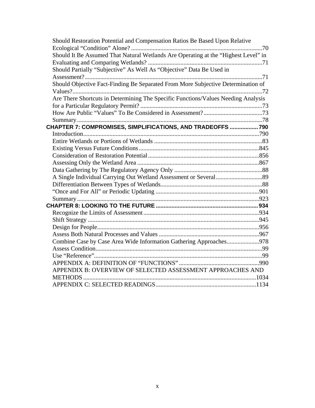| Should Restoration Potential and Compensation Ratios Be Based Upon Relative        |  |
|------------------------------------------------------------------------------------|--|
|                                                                                    |  |
| Should It Be Assumed That Natural Wetlands Are Operating at the "Highest Level" in |  |
|                                                                                    |  |
| Should Partially "Subjective" As Well As "Objective" Data Be Used in               |  |
|                                                                                    |  |
| Should Objective Fact-Finding Be Separated From More Subjective Determination of   |  |
|                                                                                    |  |
| Are There Shortcuts in Determining The Specific Functions/Values Needing Analysis  |  |
|                                                                                    |  |
|                                                                                    |  |
|                                                                                    |  |
| CHAPTER 7: COMPROMISES, SIMPLIFICATIONS, AND TRADEOFFS  790                        |  |
|                                                                                    |  |
|                                                                                    |  |
|                                                                                    |  |
|                                                                                    |  |
|                                                                                    |  |
|                                                                                    |  |
|                                                                                    |  |
|                                                                                    |  |
|                                                                                    |  |
|                                                                                    |  |
|                                                                                    |  |
|                                                                                    |  |
|                                                                                    |  |
|                                                                                    |  |
|                                                                                    |  |
| Combine Case by Case Area Wide Information Gathering Approaches978                 |  |
|                                                                                    |  |
|                                                                                    |  |
|                                                                                    |  |
| APPENDIX B: OVERVIEW OF SELECTED ASSESSMENT APPROACHES AND                         |  |
|                                                                                    |  |
|                                                                                    |  |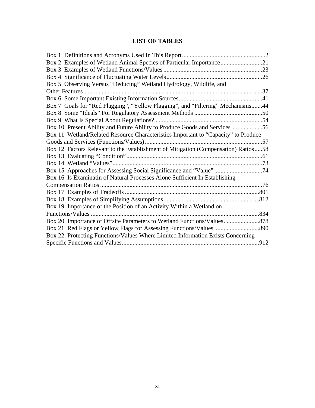# **LIST OF TABLES**

| Box 2 Examples of Wetland Animal Species of Particular Importance21                |  |
|------------------------------------------------------------------------------------|--|
|                                                                                    |  |
|                                                                                    |  |
| Box 5 Observing Versus "Deducing" Wetland Hydrology, Wildlife, and                 |  |
|                                                                                    |  |
|                                                                                    |  |
| Box 7 Goals for "Red Flagging", "Yellow Flagging", and "Filtering" Mechanisms44    |  |
|                                                                                    |  |
|                                                                                    |  |
| Box 10 Present Ability and Future Ability to Produce Goods and Services56          |  |
| Box 11 Wetland/Related Resource Characteristics Important to "Capacity" to Produce |  |
|                                                                                    |  |
| Box 12 Factors Relevant to the Establishment of Mitigation (Compensation) Ratios58 |  |
|                                                                                    |  |
|                                                                                    |  |
|                                                                                    |  |
| Box 16 Is Examinatin of Natural Processes Alone Sufficient In Establishing         |  |
|                                                                                    |  |
|                                                                                    |  |
|                                                                                    |  |
| Box 19 Importance of the Position of an Activity Within a Wetland on               |  |
|                                                                                    |  |
|                                                                                    |  |
|                                                                                    |  |
| Box 22 Protecting Functions/Values Where Limited Information Exists Concerning     |  |
|                                                                                    |  |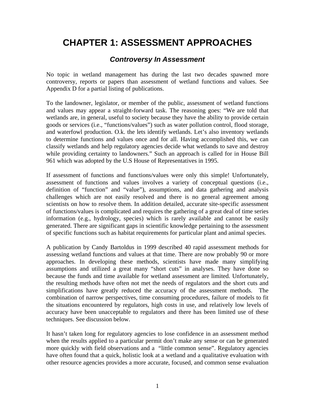# <span id="page-14-0"></span>**CHAPTER 1: ASSESSMENT APPROACHES**

# *Controversy In Assessment*

No topic in wetland management has during the last two decades spawned more controversy, reports or papers than assessment of wetland functions and values. See Appendix D for a partial listing of publications.

To the landowner, legislator, or member of the public, assessment of wetland functions and values may appear a straight-forward task. The reasoning goes: "We are told that wetlands are, in general, useful to society because they have the ability to provide certain goods or services (i.e., "functions/values") such as water pollution control, flood storage, and waterfowl production. O.k. the lets identify wetlands. Let's also inventory wetlands to determine functions and values once and for all. Having accomplished this, we can classify wetlands and help regulatory agencies decide what wetlands to save and destroy while providing certainty to landowners." Such an approach is called for in House Bill 961 which was adopted by the U.S House of Representatives in 1995.

If assessment of functions and functions/values were only this simple! Unfortunately, assessment of functions and values involves a variety of conceptual questions (i.e., definition of "function" and "value"), assumptions, and data gathering and analysis challenges which are not easily resolved and there is no general agreement among scientists on how to resolve them. In addition detailed, accurate site-specific assessment of functions/values is complicated and requires the gathering of a great deal of time series information (e.g., hydrology, species) which is rarely available and cannot be easily generated. There are significant gaps in scientific knowledge pertaining to the assessment of specific functions such as habitat requirements for particular plant and animal species.

A publication by Candy Bartoldus in 1999 described 40 rapid assessment methods for assessing wetland functions and values at that time. There are now probably 90 or more approaches. In developing these methods, scientists have made many simplifying assumptions and utilized a great many "short cuts" in analyses. They have done so because the funds and time available for wetland assessment are limited. Unfortunately, the resulting methods have often not met the needs of regulators and the short cuts and simplifications have greatly reduced the accuracy of the assessment methods. The combination of narrow perspectives, time consuming procedures, failure of models to fit the situations encountered by regulators, high costs in use, and relatively low levels of accuracy have been unacceptable to regulators and there has been limited use of these techniques. See discussion below.

It hasn't taken long for regulatory agencies to lose confidence in an assessment method when the results applied to a particular permit don't make any sense or can be generated more quickly with field observations and a "little common sense". Regulatory agencies have often found that a quick, holistic look at a wetland and a qualitative evaluation with other resource agencies provides a more accurate, focused, and common sense evaluation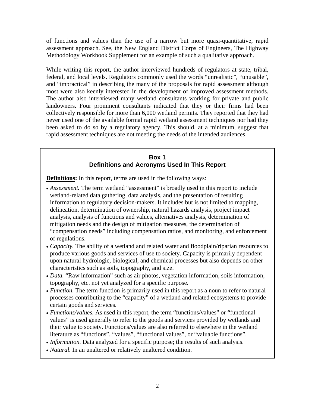<span id="page-15-0"></span>of functions and values than the use of a narrow but more quasi-quantitative, rapid assessment approach. See, the New England District Corps of Engineers, The Highway Methodology Workbook Supplement for an example of such a qualitative approach.

While writing this report, the author interviewed hundreds of regulators at state, tribal, federal, and local levels. Regulators commonly used the words "unrealistic", "unusable", and "impractical" in describing the many of the proposals for rapid assessment although most were also keenly interested in the development of improved assessment methods. The author also interviewed many wetland consultants working for private and public landowners. Four prominent consultants indicated that they or their firms had been collectively responsible for more than 6,000 wetland permits. They reported that they had never used one of the available formal rapid wetland assessment techniques nor had they been asked to do so by a regulatory agency. This should, at a minimum, suggest that rapid assessment techniques are not meeting the needs of the intended audiences.

## **Box 1 Definitions and Acronyms Used In This Report**

**Definitions:** In this report, terms are used in the following ways:

- *Assessment.* The term wetland "assessment" is broadly used in this report to include wetland-related data gathering, data analysis, and the presentation of resulting information to regulatory decision-makers. It includes but is not limited to mapping, delineation, determination of ownership, natural hazards analysis, project impact analysis, analysis of functions and values, alternatives analysis, determination of mitigation needs and the design of mitigation measures, the determination of "compensation needs" including compensation ratios, and monitoring, and enforcement of regulations.
- *Capacity*. The ability of a wetland and related water and floodplain/riparian resources to produce various goods and services of use to society. Capacity is primarily dependent upon natural hydrologic, biological, and chemical processes but also depends on other characteristics such as soils, topography, and size.
- *Data.* "Raw information" such as air photos, vegetation information, soils information, topography, etc. not yet analyzed for a specific purpose.
- *Function*. The term function is primarily used in this report as a noun to refer to natural processes contributing to the "capacity" of a wetland and related ecosystems to provide certain goods and services.
- *Functions/values.* As used in this report, the term "functions/values" or "functional values" is used generally to refer to the goods and services provided by wetlands and their value to society. Functions/values are also referred to elsewhere in the wetland literature as "functions", "values", "functional values", or "valuable functions".
- *Information*. Data analyzed for a specific purpose; the results of such analysis.
- *Natural.* In an unaltered or relatively unaltered condition.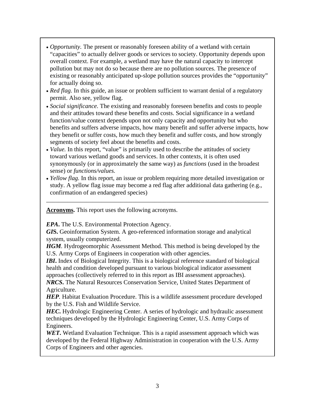- *Opportunity*. The present or reasonably foreseen ability of a wetland with certain "capacities" to actually deliver goods or services to society. Opportunity depends upon overall context. For example, a wetland may have the natural capacity to intercept pollution but may not do so because there are no pollution sources. The presence of existing or reasonably anticipated up-slope pollution sources provides the "opportunity" for actually doing so.
- *Red flag*. In this guide, an issue or problem sufficient to warrant denial of a regulatory permit. Also see, yellow flag.
- *Social significance.* The existing and reasonably foreseen benefits and costs to people and their attitudes toward these benefits and costs. Social significance in a wetland function/value context depends upon not only capacity and opportunity but who benefits and suffers adverse impacts, how many benefit and suffer adverse impacts, how they benefit or suffer costs, how much they benefit and suffer costs, and how strongly segments of society feel about the benefits and costs.
- *Value.* In this report, "value" is primarily used to describe the attitudes of society toward various wetland goods and services. In other contexts, it is often used synonymously (or in approximately the same way) as *functions* (used in the broadest sense) or *functions/values.*
- *Yellow flag.* In this report, an issue or problem requiring more detailed investigation or study. A yellow flag issue may become a red flag after additional data gathering (e.g., confirmation of an endangered species)

\_\_\_\_\_\_\_\_\_\_\_\_\_\_\_\_\_\_\_\_\_\_\_\_\_\_\_\_\_\_\_\_\_\_\_\_\_\_\_\_\_\_\_\_\_\_\_\_\_\_\_\_\_\_\_\_\_\_\_\_\_\_\_\_\_\_\_\_\_\_\_\_

**Acronyms.** This report uses the following acronyms.

*EPA***.** The U.S. Environmental Protection Agency.

**GIS.** Geoinformation System. A geo-referenced information storage and analytical system, usually computerized.

*HGM.* Hydrogeomorphic Assessment Method. This method is being developed by the U.S. Army Corps of Engineers in cooperation with other agencies.

*IBI*. Index of Biological Integrity. This is a biological reference standard of biological health and condition developed pursuant to various biological indicator assessment approaches (collectively referred to in this report as IBI assessment approaches).

*NRCS***.** The Natural Resources Conservation Service, United States Department of Agriculture.

*HEP.* Habitat Evaluation Procedure. This is a wildlife assessment procedure developed by the U.S. Fish and Wildlife Service.

**HEC**. Hydrologic Engineering Center. A series of hydrologic and hydraulic assessment techniques developed by the Hydrologic Engineering Center, U.S. Army Corps of Engineers.

*WET***.** Wetland Evaluation Technique. This is a rapid assessment approach which was developed by the Federal Highway Administration in cooperation with the U.S. Army Corps of Engineers and other agencies.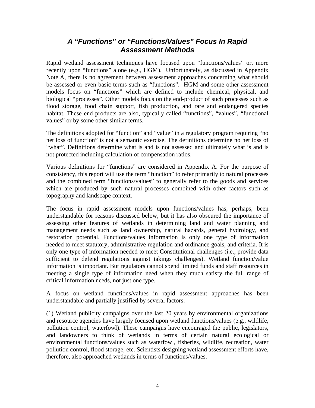# *A "Functions" or "Functions/Values" Focus In Rapid Assessment Methods*

<span id="page-17-0"></span>Rapid wetland assessment techniques have focused upon "functions/values" or, more recently upon "functions" alone (e.g., HGM). Unfortunately, as discussed in Appendix Note A, there is no agreement between assessment approaches concerning what should be assessed or even basic terms such as "functions". HGM and some other assessment models focus on "functions" which are defined to include chemical, physical, and biological "processes". Other models focus on the end-product of such processes such as flood storage, food chain support, fish production, and rare and endangered species habitat. These end products are also, typically called "functions", "values", "functional values" or by some other similar terms.

The definitions adopted for "function" and "value" in a regulatory program requiring "no net loss of function" is not a semantic exercise. The definitions determine no net loss of "what". Definitions determine what is and is not assessed and ultimately what is and is not protected including calculation of compensation ratios.

Various definitions for "functions" are considered in Appendix A. For the purpose of consistency, this report will use the term "function" to refer primarily to natural processes and the combined term "functions/values" to generally refer to the goods and services which are produced by such natural processes combined with other factors such as topography and landscape context.

The focus in rapid assessment models upon functions/values has, perhaps, been understandable for reasons discussed below, but it has also obscured the importance of assessing other features of wetlands in determining land and water planning and management needs such as land ownership, natural hazards, general hydrology, and restoration potential. Functions/values information is only one type of information needed to meet statutory, administrative regulation and ordinance goals, and criteria. It is only one type of information needed to meet Constitutional challenges (i.e., provide data sufficient to defend regulations against takings challenges). Wetland function/value information is important. But regulators cannot spend limited funds and staff resources in meeting a single type of information need when they much satisfy the full range of critical information needs, not just one type.

A focus on wetland functions/values in rapid assessment approaches has been understandable and partially justified by several factors:

(1) Wetland publicity campaigns over the last 20 years by environmental organizations and resource agencies have largely focused upon wetland functions/values (e.g., wildlife, pollution control, waterfowl). These campaigns have encouraged the public, legislators, and landowners to think of wetlands in terms of certain natural ecological or environmental functions/values such as waterfowl, fisheries, wildlife, recreation, water pollution control, flood storage, etc. Scientists designing wetland assessment efforts have, therefore, also approached wetlands in terms of functions/values.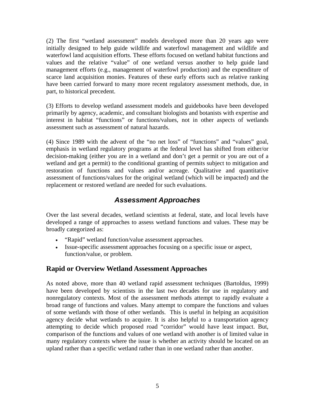<span id="page-18-0"></span>(2) The first "wetland assessment" models developed more than 20 years ago were initially designed to help guide wildlife and waterfowl management and wildlife and waterfowl land acquisition efforts. These efforts focused on wetland habitat functions and values and the relative "value" of one wetland versus another to help guide land management efforts (e.g., management of waterfowl production) and the expenditure of scarce land acquisition monies. Features of these early efforts such as relative ranking have been carried forward to many more recent regulatory assessment methods, due, in part, to historical precedent.

(3) Efforts to develop wetland assessment models and guidebooks have been developed primarily by agency, academic, and consultant biologists and botanists with expertise and interest in habitat "functions" or functions/values, not in other aspects of wetlands assessment such as assessment of natural hazards.

(4) Since 1989 with the advent of the "no net loss" of "functions" and "values" goal, emphasis in wetland regulatory programs at the federal level has shifted from either/or decision-making (either you are in a wetland and don't get a permit or you are out of a wetland and get a permit) to the conditional granting of permits subject to mitigation and restoration of functions and values and/or acreage. Qualitative and quantitative assessment of functions/values for the original wetland (which will be impacted) and the replacement or restored wetland are needed for such evaluations.

# *Assessment Approaches*

Over the last several decades, wetland scientists at federal, state, and local levels have developed a range of approaches to assess wetland functions and values. These may be broadly categorized as:

- "Rapid" wetland function/value assessment approaches.
- Issue-specific assessment approaches focusing on a specific issue or aspect, function/value, or problem.

# **Rapid or Overview Wetland Assessment Approaches**

As noted above, more than 40 wetland rapid assessment techniques (Bartoldus, 1999) have been developed by scientists in the last two decades for use in regulatory and nonregulatory contexts. Most of the assessment methods attempt to rapidly evaluate a broad range of functions and values. Many attempt to compare the functions and values of some wetlands with those of other wetlands. This is useful in helping an acquisition agency decide what wetlands to acquire. It is also helpful to a transportation agency attempting to decide which proposed road "corridor" would have least impact. But, comparison of the functions and values of one wetland with another is of limited value in many regulatory contexts where the issue is whether an activity should be located on an upland rather than a specific wetland rather than in one wetland rather than another.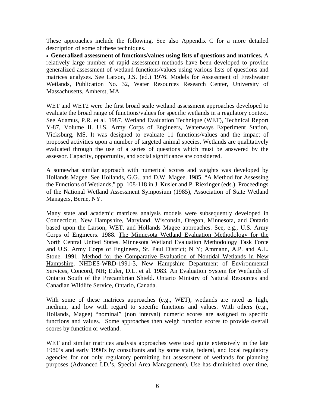These approaches include the following. See also Appendix C for a more detailed description of some of these techniques.

• **Generalized assessment of functions/values using lists of questions and matrices.** A relatively large number of rapid assessment methods have been developed to provide generalized assessment of wetland functions/values using various lists of questions and matrices analyses. See Larson, J.S. (ed.) 1976. Models for Assessment of Freshwater Wetlands, Publication No. 32, Water Resources Research Center, University of Massachusetts, Amherst, MA.

WET and WET2 were the first broad scale wetland assessment approaches developed to evaluate the broad range of functions/values for specific wetlands in a regulatory context. See Adamus, P.R. et al. 1987. Wetland Evaluation Technique (WET), Technical Report Y-87, Volume II. U.S. Army Corps of Engineers, Waterways Experiment Station, Vicksburg, MS. It was designed to evaluate 11 functions/values and the impact of proposed activities upon a number of targeted animal species. Wetlands are qualitatively evaluated through the use of a series of questions which must be answered by the assessor. Capacity, opportunity, and social significance are considered.

A somewhat similar approach with numerical scores and weights was developed by Hollands Magee. See Hollands, G.G., and D.W. Magee. 1985. "A Method for Assessing the Functions of Wetlands," pp. 108-118 in J. Kusler and P. Riexinger (eds.), Proceedings of the National Wetland Assessment Symposium (1985), Association of State Wetland Managers, Berne, NY.

Many state and academic matrices analysis models were subsequently developed in Connecticut, New Hampshire, Maryland, Wisconsin, Oregon, Minnesota, and Ontario based upon the Larson, WET, and Hollands Magee approaches. See, e.g., U.S. Army Corps of Engineers. 1988. The Minnesota Wetland Evaluation Methodology for the North Central United States. Minnesota Wetland Evaluation Methodology Task Force and U.S. Army Corps of Engineers, St. Paul District; N Y; Ammann, A.P. and A.L. Stone. 1991. Method for the Comparative Evaluation of Nontidal Wetlands in New Hampshire, NHDES-WRD-1991-3, New Hampshire Department of Environmental Services, Concord, NH; Euler, D.L. et al. 1983. An Evaluation System for Wetlands of Ontario South of the Precambrian Shield. Ontario Ministry of Natural Resources and Canadian Wildlife Service, Ontario, Canada.

With some of these matrices approaches (e.g., WET), wetlands are rated as high, medium, and low with regard to specific functions and values. With others (e.g., Hollands, Magee) "nominal" (non interval) numeric scores are assigned to specific functions and values. Some approaches then weigh function scores to provide overall scores by function or wetland.

WET and similar matrices analysis approaches were used quite extensively in the late 1980's and early 1990's by consultants and by some state, federal, and local regulatory agencies for not only regulatory permitting but assessment of wetlands for planning purposes (Advanced I.D.'s, Special Area Management). Use has diminished over time,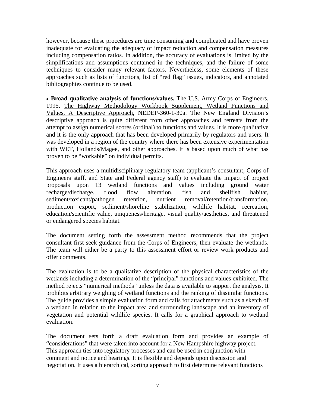however, because these procedures are time consuming and complicated and have proven inadequate for evaluating the adequacy of impact reduction and compensation measures including compensation ratios. In addition, the accuracy of evaluations is limited by the simplifications and assumptions contained in the techniques, and the failure of some techniques to consider many relevant factors. Nevertheless, some elements of these approaches such as lists of functions, list of "red flag" issues, indicators, and annotated bibliographies continue to be used.

• **Broad qualitative analysis of functions/values.** The U.S. Army Corps of Engineers. 1995. The Highway Methodology Workbook Supplement, Wetland Functions and Values, A Descriptive Approach, NEDEP-360-1-30a. The New England Division's descriptive approach is quite different from other approaches and retreats from the attempt to assign numerical scores (ordinal) to functions and values. It is more qualitative and it is the only approach that has been developed primarily by regulators and users. It was developed in a region of the country where there has been extensive experimentation with WET, Hollands/Magee, and other approaches. It is based upon much of what has proven to be "workable" on individual permits.

This approach uses a multidisciplinary regulatory team (applicant's consultant, Corps of Engineers staff, and State and Federal agency staff) to evaluate the impact of project proposals upon 13 wetland functions and values including ground water recharge/discharge, flood flow alteration, fish and shellfish habitat, sediment/toxicant/pathogen retention, nutrient removal/retention/transformation, production export, sediment/shoreline stabilization, wildlife habitat, recreation, education/scientific value, uniqueness/heritage, visual quality/aesthetics, and threatened or endangered species habitat.

The document setting forth the assessment method recommends that the project consultant first seek guidance from the Corps of Engineers, then evaluate the wetlands. The team will either be a party to this assessment effort or review work products and offer comments.

The evaluation is to be a qualitative description of the physical characteristics of the wetlands including a determination of the "principal" functions and values exhibited. The method rejects "numerical methods" unless the data is available to support the analysis. It prohibits arbitrary weighing of wetland functions and the ranking of dissimilar functions. The guide provides a simple evaluation form and calls for attachments such as a sketch of a wetland in relation to the impact area and surrounding landscape and an inventory of vegetation and potential wildlife species. It calls for a graphical approach to wetland evaluation.

The document sets forth a draft evaluation form and provides an example of "considerations" that were taken into account for a New Hampshire highway project. This approach ties into regulatory processes and can be used in conjunction with comment and notice and hearings. It is flexible and depends upon discussion and negotiation. It uses a hierarchical, sorting approach to first determine relevant functions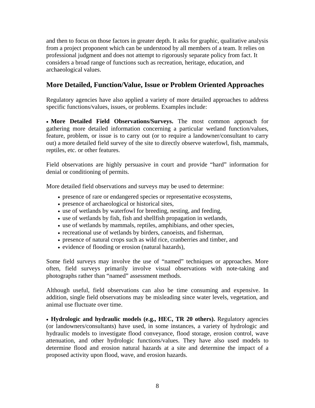<span id="page-21-0"></span>and then to focus on those factors in greater depth. It asks for graphic, qualitative analysis from a project proponent which can be understood by all members of a team. It relies on professional judgment and does not attempt to rigorously separate policy from fact. It considers a broad range of functions such as recreation, heritage, education, and archaeological values.

# **More Detailed, Function/Value, Issue or Problem Oriented Approaches**

Regulatory agencies have also applied a variety of more detailed approaches to address specific functions/values, issues, or problems. Examples include:

• **More Detailed Field Observations/Surveys.** The most common approach for gathering more detailed information concerning a particular wetland function/values, feature, problem, or issue is to carry out (or to require a landowner/consultant to carry out) a more detailed field survey of the site to directly observe waterfowl, fish, mammals, reptiles, etc. or other features.

Field observations are highly persuasive in court and provide "hard" information for denial or conditioning of permits.

More detailed field observations and surveys may be used to determine:

- presence of rare or endangered species or representative ecosystems,
- presence of archaeological or historical sites,
- use of wetlands by waterfowl for breeding, nesting, and feeding,
- use of wetlands by fish, fish and shellfish propagation in wetlands,
- use of wetlands by mammals, reptiles, amphibians, and other species,
- recreational use of wetlands by birders, canoeists, and fisherman,
- presence of natural crops such as wild rice, cranberries and timber, and
- evidence of flooding or erosion (natural hazards),

Some field surveys may involve the use of "named" techniques or approaches. More often, field surveys primarily involve visual observations with note-taking and photographs rather than "named" assessment methods.

Although useful, field observations can also be time consuming and expensive. In addition, single field observations may be misleading since water levels, vegetation, and animal use fluctuate over time.

• **Hydrologic and hydraulic models (e.g., HEC, TR 20 others).** Regulatory agencies (or landowners/consultants) have used, in some instances, a variety of hydrologic and hydraulic models to investigate flood conveyance, flood storage, erosion control, wave attenuation, and other hydrologic functions/values. They have also used models to determine flood and erosion natural hazards at a site and determine the impact of a proposed activity upon flood, wave, and erosion hazards.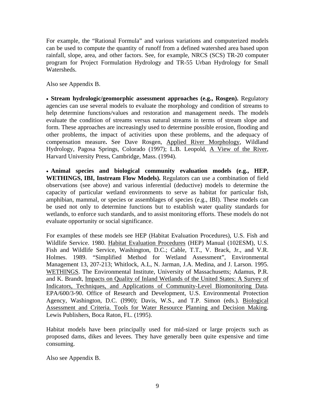For example, the "Rational Formula" and various variations and computerized models can be used to compute the quantity of runoff from a defined watershed area based upon rainfall, slope, area, and other factors. See, for example, NRCS (SCS) TR-20 computer program for Project Formulation Hydrology and TR-55 Urban Hydrology for Small Watersheds.

Also see Appendix B.

• **Stream hydrologic/geomorphic assessment approaches (e.g., Rosgen).** Regulatory agencies can use several models to evaluate the morphology and condition of streams to help determine functions/values and restoration and management needs. The models evaluate the condition of streams versus natural streams in terms of stream slope and form. These approaches are increasingly used to determine possible erosion, flooding and other problems, the impact of activities upon these problems, and the adequacy of compensation measure**.** See Dave Rosgen, Applied River Morphology, Wildland Hydrology, Pagosa Springs, Colorado (1997); L.B. Leopold, A View of the River, Harvard University Press, Cambridge, Mass. (1994).

• **Animal species and biological community evaluation models (e.g., HEP, WETHINGS, IBI, Instream Flow Models).** Regulators can use a combination of field observations (see above) and various inferential (deductive) models to determine the capacity of particular wetland environments to serve as habitat for particular fish, amphibian, mammal, or species or assemblages of species (e.g., IBI). These models can be used not only to determine functions but to establish water quality standards for wetlands, to enforce such standards, and to assist monitoring efforts. These models do not evaluate opportunity or social significance.

For examples of these models see HEP (Habitat Evaluation Procedures), U.S. Fish and Wildlife Service. 1980. Habitat Evaluation Procedures (HEP) Manual (102ESM), U.S. Fish and Wildlife Service, Washington, D.C.; Cable, T.T., V. Brack, Jr., and V.R. Holmes. 1989. "Simplified Method for Wetland Assessment", Environmental Management 13, 207-213; Whitlock, A.L, N. Jarman, J.A. Medina, and J. Larson. 1995. WETHINGS. The Environmental Institute, University of Massachusetts; Adamus, P.R. and K. Brandt, Impacts on Quality of Inland Wetlands of the United States: A Survey of Indicators, Techniques, and Applications of Community-Level Biomonitoring Data. EPA/600/3-90. Office of Research and Development, U.S. Environmental Protection Agency, Washington, D.C. (l990); Davis, W.S., and T.P. Simon (eds.). Biological Assessment and Criteria. Tools for Water Resource Planning and Decision Making. Lewis Publishers, Boca Raton, FL. (1995).

Habitat models have been principally used for mid-sized or large projects such as proposed dams, dikes and levees. They have generally been quite expensive and time consuming.

Also see Appendix B.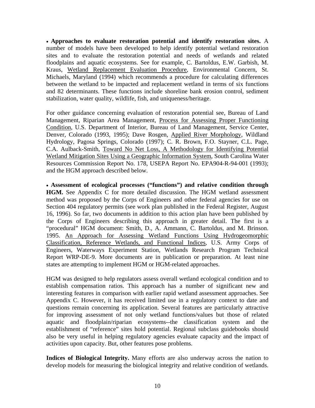• **Approaches to evaluate restoration potential and identify restoration sites.** A number of models have been developed to help identify potential wetland restoration sites and to evaluate the restoration potential and needs of wetlands and related floodplains and aquatic ecosystems. See for example, C. Bartoldus, E.W. Garbish, M. Kraus, Wetland Replacement Evaluation Procedure, Environmental Concern, St. Michaels, Maryland (1994) which recommends a procedure for calculating differences between the wetland to be impacted and replacement wetland in terms of six functions and 82 determinants. These functions include shoreline bank erosion control, sediment stabilization, water quality, wildlife, fish, and uniqueness/heritage.

For other guidance concerning evaluation of restoration potential see, Bureau of Land Management, Riparian Area Management, Process for Assessing Proper Functioning Condition, U.S. Department of Interior, Bureau of Land Management, Service Center, Denver, Colorado (1993, 1995); Dave Rosgen, Applied River Morphology, Wildland Hydrology, Pagosa Springs, Colorado (1997); C. R. Brown, F.O. Stayner, C.L. Page, C.A. Aulback-Smith, Toward No Net Loss, A Methodology for Identifying Potential Wetland Mitigation Sites Using a Geographic Information System, South Carolina Water Resources Commission Report No. 178, USEPA Report No. EPA904-R-94-001 (1993); and the HGM approach described below.

• **Assessment of ecological processes ("functions") and relative condition through HGM.** See Appendix C for more detailed discussion. The HGM wetland assessment method was proposed by the Corps of Engineers and other federal agencies for use on Section 404 regulatory permits (see work plan published in the Federal Register, August 16, 1996). So far, two documents in addition to this action plan have been published by the Corps of Engineers describing this approach in greater detail. The first is a "procedural" HGM document: Smith, D., A. Ammann, C. Bartoldus, and M. Brinson. 1995. An Approach for Assessing Wetland Functions Using Hydrogeomorphic Classification, Reference Wetlands, and Functional Indices, U.S. Army Corps of Engineers, Waterways Experiment Station, Wetlands Research Program Technical Report WRP-DE-9. More documents are in publication or preparation. At least nine states are attempting to implement HGM or HGM-related approaches.

HGM was designed to help regulators assess overall wetland ecological condition and to establish compensation ratios. This approach has a number of significant new and interesting features in comparison with earlier rapid wetland assessment approaches. See Appendix C. However, it has received limited use in a regulatory context to date and questions remain concerning its application. Several features are particularly attractive for improving assessment of not only wetland functions/values but those of related aquatic and floodplain/riparian ecosystems--the classification system and the establishment of "reference" sites hold potential. Regional subclass guidebooks should also be very useful in helping regulatory agencies evaluate capacity and the impact of activities upon capacity. But, other features pose problems.

**Indices of Biological Integrity.** Many efforts are also underway across the nation to develop models for measuring the biological integrity and relative condition of wetlands.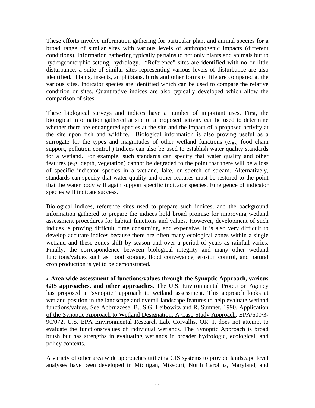These efforts involve information gathering for particular plant and animal species for a broad range of similar sites with various levels of anthropogenic impacts (different conditions). Information gathering typically pertains to not only plants and animals but to hydrogeomorphic setting, hydrology. "Reference" sites are identified with no or little disturbance; a suite of similar sites representing various levels of disturbance are also identified. Plants, insects, amphibians, birds and other forms of life are compared at the various sites. Indicator species are identified which can be used to compare the relative condition or sites. Quantitative indices are also typically developed which allow the comparison of sites.

These biological surveys and indices have a number of important uses. First, the biological information gathered at site of a proposed activity can be used to determine whether there are endangered species at the site and the impact of a proposed activity at the site upon fish and wildlife. Biological information is also proving useful as a surrogate for the types and magnitudes of other wetland functions (e.g., food chain support, pollution control.) Indices can also be used to establish water quality standards for a wetland. For example, such standards can specify that water quality and other features (e.g. depth, vegetation) cannot be degraded to the point that there will be a loss of specific indicator species in a wetland, lake, or stretch of stream. Alternatively, standards can specify that water quality and other features must be restored to the point that the water body will again support specific indicator species. Emergence of indicator species will indicate success.

Biological indices, reference sites used to prepare such indices, and the background information gathered to prepare the indices hold broad promise for improving wetland assessment procedures for habitat functions and values. However, development of such indices is proving difficult, time consuming, and expensive. It is also very difficult to develop accurate indices because there are often many ecological zones within a single wetland and these zones shift by season and over a period of years as rainfall varies. Finally, the correspondence between biological integrity and many other wetland functions/values such as flood storage, flood conveyance, erosion control, and natural crop production is yet to be demonstrated.

• **Area wide assessment of functions/values through the Synoptic Approach, various GIS approaches, and other approaches.** The U.S. Environmental Protection Agency has proposed a "synoptic" approach to wetland assessment. This approach looks at wetland position in the landscape and overall landscape features to help evaluate wetland functions/values. See Abbruzzese, B., S.G. Leibowitz and R. Sumner. 1990. Application of the Synoptic Approach to Wetland Designation: A Case Study Approach, EPA/600/3- 90/072, U.S. EPA Environmental Research Lab, Corvallis, OR. It does not attempt to evaluate the functions/values of individual wetlands. The Synoptic Approach is broad brush but has strengths in evaluating wetlands in broader hydrologic, ecological, and policy contexts.

A variety of other area wide approaches utilizing GIS systems to provide landscape level analyses have been developed in Michigan, Missouri, North Carolina, Maryland, and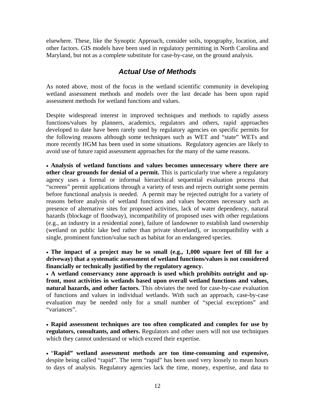<span id="page-25-0"></span>elsewhere. These, like the Synoptic Approach, consider soils, topography, location, and other factors. GIS models have been used in regulatory permitting in North Carolina and Maryland, but not as a complete substitute for case-by-case, on the ground analysis.

# *Actual Use of Methods*

As noted above, most of the focus in the wetland scientific community in developing wetland assessment methods and models over the last decade has been upon rapid assessment methods for wetland functions and values.

Despite widespread interest in improved techniques and methods to rapidly assess functions/values by planners, academics, regulators and others, rapid approaches developed to date have been rarely used by regulatory agencies on specific permits for the following reasons although some techniques such as WET and "state" WETs and more recently HGM has been used in some situations. Regulatory agencies are likely to avoid use of future rapid assessment approaches for the many of the same reasons.

• **Analysis of wetland functions and values becomes unnecessary where there are other clear grounds for denial of a permit.** This is particularly true where a regulatory agency uses a formal or informal hierarchical sequential evaluation process that "screens" permit applications through a variety of tests and rejects outright some permits before functional analysis is needed. A permit may be rejected outright for a variety of reasons before analysis of wetland functions and values becomes necessary such as presence of alternative sites for proposed activities, lack of water dependency, natural hazards (blockage of floodway), incompatibility of proposed uses with other regulations (e.g., an industry in a residential zone), failure of landowner to establish land ownership (wetland on public lake bed rather than private shoreland), or incompatibility with a single, prominent function/value such as habitat for an endangered species.

• **The impact of a project may be so small (e.g., 1,000 square feet of fill for a driveway) that a systematic assessment of wetland functions/values is not considered financially or technically justified by the regulatory agency.**

• **A wetland conservancy zone approach is used which prohibits outright and upfront, most activities in wetlands based upon overall wetland functions and values, natural hazards, and other factors.** This obviates the need for case-by-case evaluation of functions and values in individual wetlands. With such an approach, case-by-case evaluation may be needed only for a small number of "special exceptions" and "variances".

• **Rapid assessment techniques are too often complicated and complex for use by regulators, consultants, and others.** Regulators and other users will not use techniques which they cannot understand or which exceed their expertise.

• "**Rapid" wetland assessment methods are too time-consuming and expensive,** despite being called "rapid". The term "rapid" has been used very loosely to mean hours to days of analysis. Regulatory agencies lack the time, money, expertise, and data to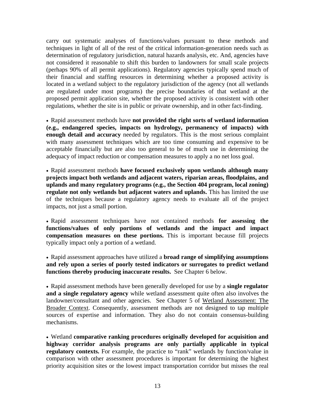carry out systematic analyses of functions/values pursuant to these methods and techniques in light of all of the rest of the critical information-generation needs such as determination of regulatory jurisdiction, natural hazards analysis, etc. And, agencies have not considered it reasonable to shift this burden to landowners for small scale projects (perhaps 90% of all permit applications). Regulatory agencies typically spend much of their financial and staffing resources in determining whether a proposed activity is located in a wetland subject to the regulatory jurisdiction of the agency (not all wetlands are regulated under most programs) the precise boundaries of that wetland at the proposed permit application site, whether the proposed activity is consistent with other regulations, whether the site is in public or private ownership, and in other fact-finding.

• Rapid assessment methods have **not provided the right sorts of wetland information (e.g., endangered species, impacts on hydrology, permanency of impacts) with enough detail and accuracy** needed by regulators. This is the most serious complaint with many assessment techniques which are too time consuming and expensive to be acceptable financially but are also too general to be of much use in determining the adequacy of impact reduction or compensation measures to apply a no net loss goal.

• Rapid assessment methods **have focused exclusively upon wetlands although many projects impact both wetlands and adjacent waters, riparian areas, floodplains, and uplands and many regulatory programs (e.g., the Section 404 program, local zoning) regulate not only wetlands but adjacent waters and uplands.** This has limited the use of the techniques because a regulatory agency needs to evaluate all of the project impacts, not just a small portion.

• Rapid assessment techniques have not contained methods **for assessing the functions/values of only portions of wetlands and the impact and impact compensation measures on these portions.** This is important because fill projects typically impact only a portion of a wetland.

• Rapid assessment approaches have utilized a **broad range of simplifying assumptions and rely upon a series of poorly tested indicators or surrogates to predict wetland functions thereby producing inaccurate results.** See Chapter 6 below.

• Rapid assessment methods have been generally developed for use by a **single regulator and a single regulatory agency** while wetland assessment quite often also involves the landowner/consultant and other agencies. See Chapter 5 of Wetland Assessment: The Broader Context. Consequently, assessment methods are not designed to tap multiple sources of expertise and information. They also do not contain consensus-building mechanisms.

• Wetland **comparative ranking procedures originally developed for acquisition and highway corridor analysis programs are only partially applicable in typical regulatory contexts.** For example, the practice to "rank" wetlands by function/value in comparison with other assessment procedures is important for determining the highest priority acquisition sites or the lowest impact transportation corridor but misses the real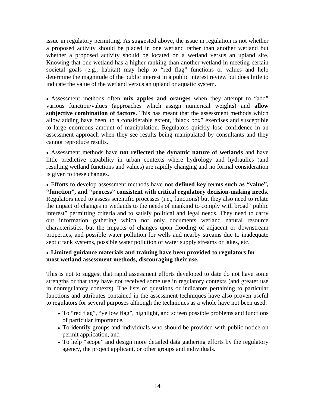issue in regulatory permitting. As suggested above, the issue in regulation is not whether a proposed activity should be placed in one wetland rather than another wetland but whether a proposed activity should be located on a wetland versus an upland site. Knowing that one wetland has a higher ranking than another wetland in meeting certain societal goals (e.g., habitat) may help to "red flag" functions or values and help determine the magnitude of the public interest in a public interest review but does little to indicate the value of the wetland versus an upland or aquatic system.

• Assessment methods often **mix apples and oranges** when they attempt to "add" various function/values (approaches which assign numerical weights) and **allow subjective combination of factors.** This has meant that the assessment methods which allow adding have been, to a considerable extent, "black box" exercises and susceptible to large enormous amount of manipulation. Regulators quickly lose confidence in an assessment approach when they see results being manipulated by consultants and they cannot reproduce results.

• Assessment methods have **not reflected the dynamic nature of wetlands** and have little predictive capability in urban contexts where hydrology and hydraulics (and resulting wetland functions and values) are rapidly changing and no formal consideration is given to these changes.

• Efforts to develop assessment methods have **not defined key terms such as "value", "function", and "process" consistent with critical regulatory decision-making needs.** Regulators need to assess scientific processes (i.e., functions) but they also need to relate the impact of changes in wetlands to the needs of mankind to comply with broad "public interest" permitting criteria and to satisfy political and legal needs. They need to carry out information gathering which not only documents wetland natural resource characteristics, but the impacts of changes upon flooding of adjacent or downstream properties, and possible water pollution for wells and nearby streams due to inadequate septic tank systems, possible water pollution of water supply streams or lakes, etc.

#### • **Limited guidance materials and training have been provided to regulators for most wetland assessment methods, discouraging their use.**

This is not to suggest that rapid assessment efforts developed to date do not have some strengths or that they have not received some use in regulatory contexts (and greater use in nonregulatory contexts). The lists of questions or indicators pertaining to particular functions and attributes contained in the assessment techniques have also proven useful to regulators for several purposes although the techniques as a whole have not been used:

- To "red flag", "yellow flag", highlight, and screen possible problems and functions of particular importance,
- To identify groups and individuals who should be provided with public notice on permit application, and
- To help "scope" and design more detailed data gathering efforts by the regulatory agency, the project applicant, or other groups and individuals.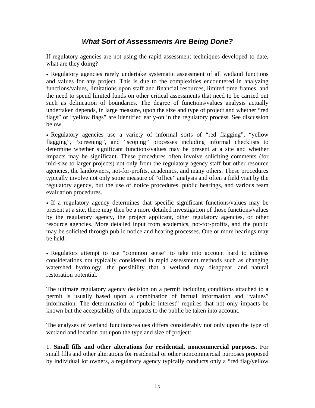# *What Sort of Assessments Are Being Done?*

<span id="page-28-0"></span>If regulatory agencies are not using the rapid assessment techniques developed to date, what are they doing?

• Regulatory agencies rarely undertake systematic assessment of all wetland functions and values for any project. This is due to the complexities encountered in analyzing functions/values, limitations upon staff and financial resources, limited time frames, and the need to spend limited funds on other critical assessments that need to be carried out such as delineation of boundaries. The degree of functions/values analysis actually undertaken depends, in large measure, upon the size and type of project and whether "red flags" or "yellow flags" are identified early-on in the regulatory process. See discussion below.

• Regulatory agencies use a variety of informal sorts of "red flagging", "yellow flagging", "screening", and "scoping" processes including informal checklists to determine whether significant functions/values may be present at a site and whether impacts may be significant. These procedures often involve soliciting comments (for mid-size to larger projects) not only from the regulatory agency staff but other resource agencies, the landowners, not-for-profits, academics, and many others. These procedures typically involve not only some measure of "office" analysis and often a field visit by the regulatory agency, but the use of notice procedures, public hearings, and various team evaluation procedures.

• If a regulatory agency determines that specific significant functions/values may be present at a site, there may then be a more detailed investigation of those functions/values by the regulatory agency, the project applicant, other regulatory agencies, or other resource agencies. More detailed input from academics, not-for-profits, and the public may be solicited through public notice and hearing processes. One or more hearings may be held.

• Regulators attempt to use "common sense" to take into account hard to address considerations not typically considered in rapid assessment methods such as changing watershed hydrology, the possibility that a wetland may disappear, and natural restoration potential.

The ultimate regulatory agency decision on a permit including conditions attached to a permit is usually based upon a combination of factual information and "values" information. The determination of "public interest" requires that not only impacts be known but the acceptability of the impacts to the public be taken into account.

The analyses of wetland functions/values differs considerably not only upon the type of wetland and location but upon the type and size of project:

1. **Small fills and other alterations for residential, noncommercial purposes.** For small fills and other alterations for residential or other noncommercial purposes proposed by individual lot owners, a regulatory agency typically conducts only a "red flag/yellow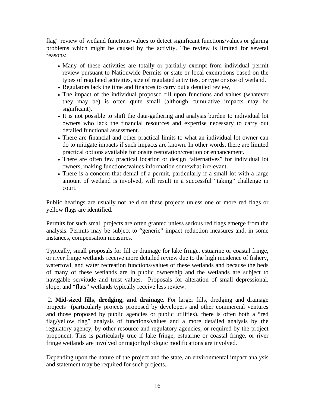flag" review of wetland functions/values to detect significant functions/values or glaring problems which might be caused by the activity. The review is limited for several reasons:

- Many of these activities are totally or partially exempt from individual permit review pursuant to Nationwide Permits or state or local exemptions based on the types of regulated activities, size of regulated activities, or type or size of wetland.
- Regulators lack the time and finances to carry out a detailed review,
- The impact of the individual proposed fill upon functions and values (whatever they may be) is often quite small (although cumulative impacts may be significant).
- It is not possible to shift the data-gathering and analysis burden to individual lot owners who lack the financial resources and expertise necessary to carry out detailed functional assessment.
- There are financial and other practical limits to what an individual lot owner can do to mitigate impacts if such impacts are known. In other words, there are limited practical options available for onsite restoration/creation or enhancement.
- There are often few practical location or design "alternatives" for individual lot owners, making functions/values information somewhat irrelevant.
- There is a concern that denial of a permit, particularly if a small lot with a large amount of wetland is involved, will result in a successful "taking" challenge in court.

Public hearings are usually not held on these projects unless one or more red flags or yellow flags are identified.

Permits for such small projects are often granted unless serious red flags emerge from the analysis. Permits may be subject to "generic" impact reduction measures and, in some instances, compensation measures.

Typically, small proposals for fill or drainage for lake fringe, estuarine or coastal fringe, or river fringe wetlands receive more detailed review due to the high incidence of fishery, waterfowl, and water recreation functions/values of these wetlands and because the beds of many of these wetlands are in public ownership and the wetlands are subject to navigable servitude and trust values. Proposals for alteration of small depressional, slope, and "flats" wetlands typically receive less review.

 2. **Mid-sized fills, dredging, and drainage.** For larger fills, dredging and drainage projects (particularly projects proposed by developers and other commercial ventures and those proposed by public agencies or public utilities), there is often both a "red flag/yellow flag" analysis of functions/values and a more detailed analysis by the regulatory agency, by other resource and regulatory agencies, or required by the project proponent. This is particularly true if lake fringe, estuarine or coastal fringe, or river fringe wetlands are involved or major hydrologic modifications are involved.

Depending upon the nature of the project and the state, an environmental impact analysis and statement may be required for such projects.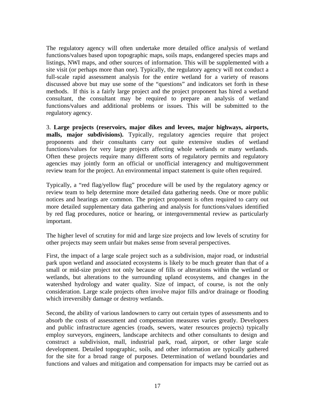The regulatory agency will often undertake more detailed office analysis of wetland functions/values based upon topographic maps, soils maps, endangered species maps and listings, NWI maps, and other sources of information. This will be supplemented with a site visit (or perhaps more than one). Typically, the regulatory agency will not conduct a full-scale rapid assessment analysis for the entire wetland for a variety of reasons discussed above but may use some of the "questions" and indicators set forth in these methods. If this is a fairly large project and the project proponent has hired a wetland consultant, the consultant may be required to prepare an analysis of wetland functions/values and additional problems or issues. This will be submitted to the regulatory agency.

3. **Large projects (reservoirs, major dikes and levees, major highways, airports, malls, major subdivisions).** Typically, regulatory agencies require that project proponents and their consultants carry out quite extensive studies of wetland functions/values for very large projects affecting whole wetlands or many wetlands. Often these projects require many different sorts of regulatory permits and regulatory agencies may jointly form an official or unofficial interagency and multigovernment review team for the project. An environmental impact statement is quite often required.

Typically, a "red flag/yellow flag" procedure will be used by the regulatory agency or review team to help determine more detailed data gathering needs. One or more public notices and hearings are common. The project proponent is often required to carry out more detailed supplementary data gathering and analysis for functions/values identified by red flag procedures, notice or hearing, or intergovernmental review as particularly important.

The higher level of scrutiny for mid and large size projects and low levels of scrutiny for other projects may seem unfair but makes sense from several perspectives.

First, the impact of a large scale project such as a subdivision, major road, or industrial park upon wetland and associated ecosystems is likely to be much greater than that of a small or mid-size project not only because of fills or alterations within the wetland or wetlands, but alterations to the surrounding upland ecosystems, and changes in the watershed hydrology and water quality. Size of impact, of course, is not the only consideration. Large scale projects often involve major fills and/or drainage or flooding which irreversibly damage or destroy wetlands.

Second, the ability of various landowners to carry out certain types of assessments and to absorb the costs of assessment and compensation measures varies greatly. Developers and public infrastructure agencies (roads, sewers, water resources projects) typically employ surveyors, engineers, landscape architects and other consultants to design and construct a subdivision, mall, industrial park, road, airport, or other large scale development. Detailed topographic, soils, and other information are typically gathered for the site for a broad range of purposes. Determination of wetland boundaries and functions and values and mitigation and compensation for impacts may be carried out as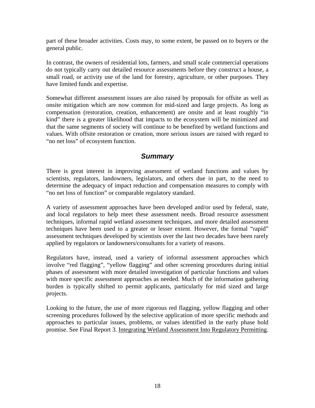<span id="page-31-0"></span>part of these broader activities. Costs may, to some extent, be passed on to buyers or the general public.

In contrast, the owners of residential lots, farmers, and small scale commercial operations do not typically carry out detailed resource assessments before they construct a house, a small road, or activity use of the land for forestry, agriculture, or other purposes. They have limited funds and expertise.

Somewhat different assessment issues are also raised by proposals for offsite as well as onsite mitigation which are now common for mid-sized and large projects. As long as compensation (restoration, creation, enhancement) are onsite and at least roughly "in kind" there is a greater likelihood that impacts to the ecosystem will be minimized and that the same segments of society will continue to be benefited by wetland functions and values. With offsite restoration or creation, more serious issues are raised with regard to "no net loss" of ecosystem function.

# *Summary*

There is great interest in improving assessment of wetland functions and values by scientists, regulators, landowners, legislators, and others due in part, to the need to determine the adequacy of impact reduction and compensation measures to comply with "no net loss of function" or comparable regulatory standard.

A variety of assessment approaches have been developed and/or used by federal, state, and local regulators to help meet these assessment needs. Broad resource assessment techniques, informal rapid wetland assessment techniques, and more detailed assessment techniques have been used to a greater or lesser extent. However, the formal "rapid" assessment techniques developed by scientists over the last two decades have been rarely applied by regulators or landowners/consultants for a variety of reasons.

Regulators have, instead, used a variety of informal assessment approaches which involve "red flagging", "yellow flagging" and other screening procedures during initial phases of assessment with more detailed investigation of particular functions and values with more specific assessment approaches as needed. Much of the information gathering burden is typically shifted to permit applicants, particularly for mid sized and large projects.

Looking to the future, the use of more rigorous red flagging, yellow flagging and other screening procedures followed by the selective application of more specific methods and approaches to particular issues, problems, or values identified in the early phase hold promise. See Final Report 3. Integrating Wetland Assessment Into Regulatory Permitting.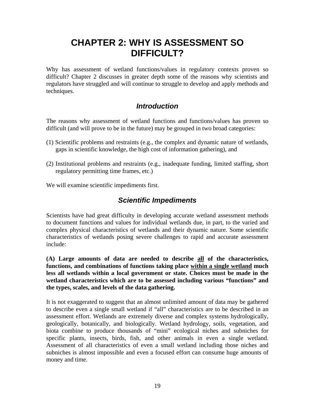# <span id="page-32-0"></span>**CHAPTER 2: WHY IS ASSESSMENT SO DIFFICULT?**

Why has assessment of wetland functions/values in regulatory contexts proven so difficult? Chapter 2 discusses in greater depth some of the reasons why scientists and regulators have struggled and will continue to struggle to develop and apply methods and techniques.

# *Introduction*

The reasons why assessment of wetland functions and functions/values has proven so difficult (and will prove to be in the future) may be grouped in two broad categories:

- (1) Scientific problems and restraints (e.g., the complex and dynamic nature of wetlands, gaps in scientific knowledge, the high cost of information gathering), and
- (2) Institutional problems and restraints (e.g., inadequate funding, limited staffing, short regulatory permitting time frames, etc.)

We will examine scientific impediments first.

# *Scientific Impediments*

Scientists have had great difficulty in developing accurate wetland assessment methods to document functions and values for individual wetlands due, in part, to the varied and complex physical characteristics of wetlands and their dynamic nature. Some scientific characteristics of wetlands posing severe challenges to rapid and accurate assessment include:

**(A) Large amounts of data are needed to describe all of the characteristics, functions, and combinations of functions taking place within a single wetland much less all wetlands within a local government or state. Choices must be made in the wetland characteristics which are to be assessed including various "functions" and the types, scales, and levels of the data gathering.** 

It is not exaggerated to suggest that an almost unlimited amount of data may be gathered to describe even a single small wetland if "all" characteristics are to be described in an assessment effort. Wetlands are extremely diverse and complex systems hydrologically, geologically, botanically, and biologically. Wetland hydrology, soils, vegetation, and biota combine to produce thousands of "mini" ecological niches and subniches for specific plants, insects, birds, fish, and other animals in even a single wetland. Assessment of all characteristics of even a small wetland including those niches and subniches is almost impossible and even a focused effort can consume huge amounts of money and time.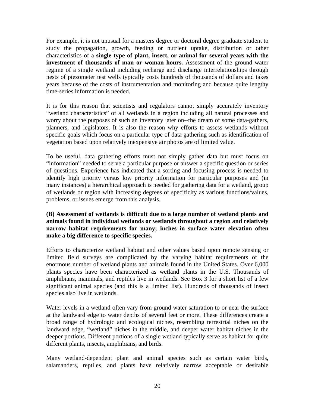For example, it is not unusual for a masters degree or doctoral degree graduate student to study the propagation, growth, feeding or nutrient uptake, distribution or other characteristics of a **single type of plant, insect, or animal for several years with the investment of thousands of man or woman hours.** Assessment of the ground water regime of a single wetland including recharge and discharge interrelationships through nests of piezometer test wells typically costs hundreds of thousands of dollars and takes years because of the costs of instrumentation and monitoring and because quite lengthy time-series information is needed.

It is for this reason that scientists and regulators cannot simply accurately inventory "wetland characteristics" of all wetlands in a region including all natural processes and worry about the purposes of such an inventory later on--the dream of some data-gathers, planners, and legislators. It is also the reason why efforts to assess wetlands without specific goals which focus on a particular type of data gathering such as identification of vegetation based upon relatively inexpensive air photos are of limited value.

To be useful, data gathering efforts must not simply gather data but must focus on "information" needed to serve a particular purpose or answer a specific question or series of questions. Experience has indicated that a sorting and focusing process is needed to identify high priority versus low priority information for particular purposes and (in many instances) a hierarchical approach is needed for gathering data for a wetland, group of wetlands or region with increasing degrees of specificity as various functions/values, problems, or issues emerge from this analysis.

#### **(B) Assessment of wetlands is difficult due to a large number of wetland plants and animals found in individual wetlands or wetlands throughout a region and relatively narrow habitat requirements for many; inches in surface water elevation often make a big difference to specific species.**

Efforts to characterize wetland habitat and other values based upon remote sensing or limited field surveys are complicated by the varying habitat requirements of the enormous number of wetland plants and animals found in the United States. Over 6,000 plants species have been characterized as wetland plants in the U.S. Thousands of amphibians, mammals, and reptiles live in wetlands. See Box 3 for a short list of a few significant animal species (and this is a limited list). Hundreds of thousands of insect species also live in wetlands.

Water levels in a wetland often vary from ground water saturation to or near the surface at the landward edge to water depths of several feet or more. These differences create a broad range of hydrologic and ecological niches, resembling terrestrial niches on the landward edge, "wetland" niches in the middle, and deeper water habitat niches in the deeper portions. Different portions of a single wetland typically serve as habitat for quite different plants, insects, amphibians, and birds.

Many wetland-dependent plant and animal species such as certain water birds, salamanders, reptiles, and plants have relatively narrow acceptable or desirable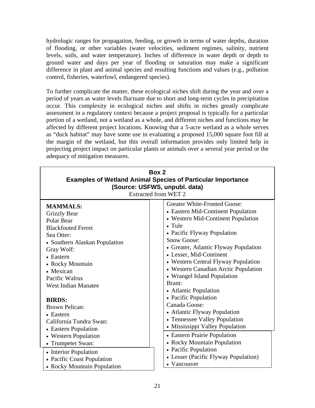<span id="page-34-0"></span>hydrologic ranges for propagation, feeding, or growth in terms of water depths, duration of flooding, or other variables (water velocities, sediment regimes, salinity, nutrient levels, soils, and water temperature). Inches of difference in water depth or depth to ground water and days per year of flooding or saturation may make a significant difference in plant and animal species and resulting functions and values (e.g., pollution control, fisheries, waterfowl, endangered species).

To further complicate the matter, these ecological niches shift during the year and over a period of years as water levels fluctuate due to short and long-term cycles in precipitation occur. This complexity in ecological niches and shifts in niches greatly complicate assessment in a regulatory context because a project proposal is typically for a particular portion of a wetland, not a wetland as a whole, and different niches and functions may be affected by different project locations. Knowing that a 5-acre wetland as a whole serves as "duck habitat" may have some use in evaluating a proposed 15,000 square foot fill at the margin of the wetland, but this overall information provides only limited help in projecting project impact on particular plants or animals over a several year period or the adequacy of mitigation measures.

| Box 2<br><b>Examples of Wetland Animal Species of Particular Importance</b><br>(Source: USFWS, unpubl. data)<br><b>Extracted from WET 2</b>                                                                                                                   |                                                                                                                                                                                                                                                                                                                                                                                                                                                      |  |  |  |
|---------------------------------------------------------------------------------------------------------------------------------------------------------------------------------------------------------------------------------------------------------------|------------------------------------------------------------------------------------------------------------------------------------------------------------------------------------------------------------------------------------------------------------------------------------------------------------------------------------------------------------------------------------------------------------------------------------------------------|--|--|--|
| <b>MAMMALS:</b><br><b>Grizzly Bear</b><br>Polar Bear<br><b>Blackfooted Ferret</b><br>Sea Otter:<br>• Southern Alaskan Population<br>Gray Wolf:<br>• Eastern<br>• Rocky Mountain<br>• Mexican<br>Pacific Walrus<br><b>West Indian Manatee</b><br><b>BIRDS:</b> | <b>Greater White-Fronted Goose:</b><br>• Eastern Mid-Continent Population<br>• Western Mid-Continent Population<br>$\bullet$ Tule<br>• Pacific Flyway Population<br><b>Snow Goose:</b><br>• Greater, Atlantic Flyway Population<br>• Lesser, Mid-Continent<br>• Western Central Flyway Population<br>• Western Canadian Arctic Population<br>• Wrangel Island Population<br>Brant:<br>• Atlantic Population<br>• Pacific Population<br>Canada Goose: |  |  |  |
| <b>Brown Pelican:</b><br>• Eastern<br>California Tundra Swan:<br>• Eastern Population<br>• Western Population                                                                                                                                                 | • Atlantic Flyway Population<br>• Tennessee Valley Population<br>• Mississippi Valley Population<br>• Eastern Prairie Population                                                                                                                                                                                                                                                                                                                     |  |  |  |
| • Trumpeter Swan:<br>• Interior Population<br>• Pacific Coast Population<br>• Rocky Mountain Population                                                                                                                                                       | • Rocky Mountain Population<br>• Pacific Population<br>• Lesser (Pacific Flyway Population)<br>• Vancouver                                                                                                                                                                                                                                                                                                                                           |  |  |  |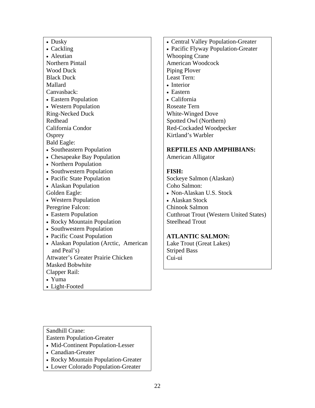| • Dusky                                |
|----------------------------------------|
| • Cackling<br>• Aleutian               |
|                                        |
| <b>Northern Pintail</b>                |
| <b>Wood Duck</b>                       |
| <b>Black Duck</b>                      |
| Mallard                                |
| Canvasback:                            |
| • Eastern Population                   |
| • Western Population                   |
| <b>Ring-Necked Duck</b>                |
| Redhead                                |
| California Condor                      |
| Osprey                                 |
| <b>Bald Eagle:</b>                     |
| • Southeastern Population              |
| • Chesapeake Bay Population            |
| • Northern Population                  |
| • Southwestern Population              |
| • Pacific State Population             |
| • Alaskan Population                   |
| Golden Eagle:                          |
| • Western Population                   |
| Peregrine Falcon:                      |
| • Eastern Population                   |
| • Rocky Mountain Population            |
| • Southwestern Population              |
| • Pacific Coast Population             |
| • Alaskan Population (Arctic, American |
| and Peal's)                            |
| Attwater's Greater Prairie Chicken     |
| <b>Masked Bobwhite</b>                 |
| Clapper Rail:                          |
| • Yuma                                 |
| • Light-Footed                         |

• Central Valley Population-Greater • Pacific Flyway Population-Greater Whooping Crane American Woodcock Piping Plover Least Tern: • Interior • Eastern • California Roseate Tern White-Winged Dove Spotted Owl (Northern) Red-Cockaded Woodpecker

#### **REPTILES AND AMPHIBIANS:**

American Alligator

Kirtland's Warbler

#### **FISH:**

Sockeye Salmon (Alaskan) Coho Salmon: • Non-Alaskan U.S. Stock

• Alaskan Stock Chinook Salmon Cutthroat Trout (Western United States) Steelhead Trout

### **ATLANTIC SALMON:**

Lake Trout (Great Lakes) Striped Bass Cui-ui

Sandhill Crane:

- Eastern Population-Greater
- Mid-Continent Population-Lesser
- Canadian-Greater
- Rocky Mountain Population-Greater
- Lower Colorado Population-Greater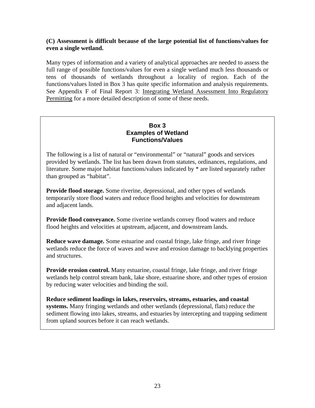### **(C) Assessment is difficult because of the large potential list of functions/values for even a single wetland.**

Many types of information and a variety of analytical approaches are needed to assess the full range of possible functions/values for even a single wetland much less thousands or tens of thousands of wetlands throughout a locality of region. Each of the functions/values listed in Box 3 has quite specific information and analysis requirements. See Appendix F of Final Report 3: Integrating Wetland Assessment Into Regulatory Permitting for a more detailed description of some of these needs.

### **Box 3 Examples of Wetland Functions/Values**

The following is a list of natural or "environmental" or "natural" goods and services provided by wetlands. The list has been drawn from statutes, ordinances, regulations, and literature. Some major habitat functions/values indicated by \* are listed separately rather than grouped as "habitat".

**Provide flood storage.** Some riverine, depressional, and other types of wetlands temporarily store flood waters and reduce flood heights and velocities for downstream and adjacent lands.

**Provide flood conveyance.** Some riverine wetlands convey flood waters and reduce flood heights and velocities at upstream, adjacent, and downstream lands.

**Reduce wave damage.** Some estuarine and coastal fringe, lake fringe, and river fringe wetlands reduce the force of waves and wave and erosion damage to backlying properties and structures.

**Provide erosion control.** Many estuarine, coastal fringe, lake fringe, and river fringe wetlands help control stream bank, lake shore, estuarine shore, and other types of erosion by reducing water velocities and binding the soil.

**Reduce sediment loadings in lakes, reservoirs, streams, estuaries, and coastal systems.** Many fringing wetlands and other wetlands (depressional, flats) reduce the sediment flowing into lakes, streams, and estuaries by intercepting and trapping sediment from upland sources before it can reach wetlands.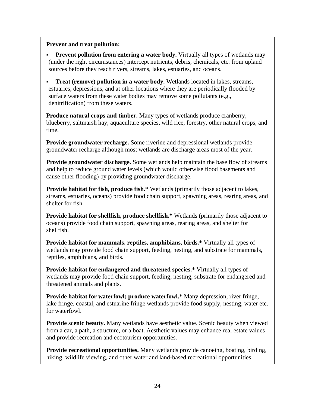#### **Prevent and treat pollution:**

- **Prevent pollution from entering a water body.** Virtually all types of wetlands may (under the right circumstances) intercept nutrients, debris, chemicals, etc. from upland sources before they reach rivers, streams, lakes, estuaries, and oceans.
- **Treat (remove) pollution in a water body.** Wetlands located in lakes, streams, estuaries, depressions, and at other locations where they are periodically flooded by surface waters from these water bodies may remove some pollutants (e.g., denitrification) from these waters.

**Produce natural crops and timber.** Many types of wetlands produce cranberry, blueberry, saltmarsh hay, aquaculture species, wild rice, forestry, other natural crops, and time.

**Provide groundwater recharge.** Some riverine and depressional wetlands provide groundwater recharge although most wetlands are discharge areas most of the year.

**Provide groundwater discharge.** Some wetlands help maintain the base flow of streams and help to reduce ground water levels (which would otherwise flood basements and cause other flooding) by providing groundwater discharge.

**Provide habitat for fish, produce fish.\*** Wetlands (primarily those adjacent to lakes, streams, estuaries, oceans) provide food chain support, spawning areas, rearing areas, and shelter for fish.

**Provide habitat for shellfish, produce shellfish.\*** Wetlands (primarily those adjacent to oceans) provide food chain support, spawning areas, rearing areas, and shelter for shellfish.

**Provide habitat for mammals, reptiles, amphibians, birds.\*** Virtually all types of wetlands may provide food chain support, feeding, nesting, and substrate for mammals, reptiles, amphibians, and birds.

**Provide habitat for endangered and threatened species.\*** Virtually all types of wetlands may provide food chain support, feeding, nesting, substrate for endangered and threatened animals and plants.

**Provide habitat for waterfowl; produce waterfowl.\*** Many depression, river fringe, lake fringe, coastal, and estuarine fringe wetlands provide food supply, nesting, water etc. for waterfowl.

**Provide scenic beauty.** Many wetlands have aesthetic value. Scenic beauty when viewed from a car, a path, a structure, or a boat. Aesthetic values may enhance real estate values and provide recreation and ecotourism opportunities.

**Provide recreational opportunities.** Many wetlands provide canoeing, boating, birding, hiking, wildlife viewing, and other water and land-based recreational opportunities.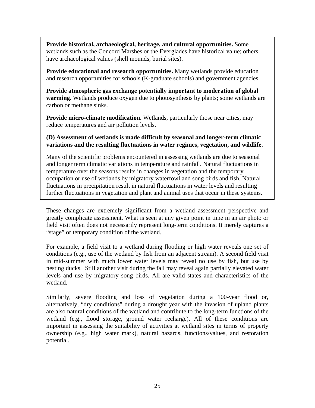**Provide historical, archaeological, heritage, and cultural opportunities.** Some wetlands such as the Concord Marshes or the Everglades have historical value; others have archaeological values (shell mounds, burial sites).

**Provide educational and research opportunities.** Many wetlands provide education and research opportunities for schools (K-graduate schools) and government agencies.

**Provide atmospheric gas exchange potentially important to moderation of global warming.** Wetlands produce oxygen due to photosynthesis by plants; some wetlands are carbon or methane sinks.

**Provide micro-climate modification.** Wetlands, particularly those near cities, may reduce temperatures and air pollution levels.

#### **(D) Assessment of wetlands is made difficult by seasonal and longer-term climatic variations and the resulting fluctuations in water regimes, vegetation, and wildlife.**

Many of the scientific problems encountered in assessing wetlands are due to seasonal and longer term climatic variations in temperature and rainfall. Natural fluctuations in temperature over the seasons results in changes in vegetation and the temporary occupation or use of wetlands by migratory waterfowl and song birds and fish. Natural fluctuations in precipitation result in natural fluctuations in water levels and resulting further fluctuations in vegetation and plant and animal uses that occur in these systems.

These changes are extremely significant from a wetland assessment perspective and greatly complicate assessment. What is seen at any given point in time in an air photo or field visit often does not necessarily represent long-term conditions. It merely captures a "stage" or temporary condition of the wetland.

For example, a field visit to a wetland during flooding or high water reveals one set of conditions (e.g., use of the wetland by fish from an adjacent stream). A second field visit in mid-summer with much lower water levels may reveal no use by fish, but use by nesting ducks. Still another visit during the fall may reveal again partially elevated water levels and use by migratory song birds. All are valid states and characteristics of the wetland.

Similarly, severe flooding and loss of vegetation during a 100-year flood or, alternatively, "dry conditions" during a drought year with the invasion of upland plants are also natural conditions of the wetland and contribute to the long-term functions of the wetland (e.g., flood storage, ground water recharge). All of these conditions are important in assessing the suitability of activities at wetland sites in terms of property ownership (e.g., high water mark), natural hazards, functions/values, and restoration potential.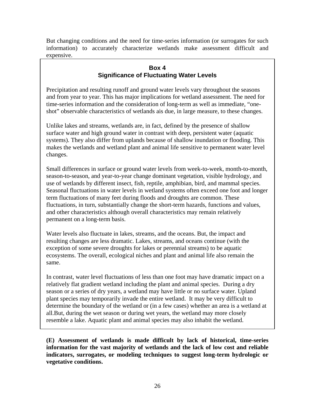But changing conditions and the need for time-series information (or surrogates for such information) to accurately characterize wetlands make assessment difficult and expensive.

### **Box 4 Significance of Fluctuating Water Levels**

Precipitation and resulting runoff and ground water levels vary throughout the seasons and from year to year. This has major implications for wetland assessment. The need for time-series information and the consideration of long-term as well as immediate, "oneshot" observable characteristics of wetlands ais due, in large measure, to these changes.

Unlike lakes and streams, wetlands are, in fact, defined by the presence of shallow surface water and high ground water in contrast with deep, persistent water (aquatic systems). They also differ from uplands because of shallow inundation or flooding. This makes the wetlands and wetland plant and animal life sensitive to permanent water level changes.

Small differences in surface or ground water levels from week-to-week, month-to-month, season-to-season, and year-to-year change dominant vegetation, visible hydrology, and use of wetlands by different insect, fish, reptile, amphibian, bird, and mammal species. Seasonal fluctuations in water levels in wetland systems often exceed one foot and longer term fluctuations of many feet during floods and droughts are common. These fluctuations, in turn, substantially change the short-term hazards, functions and values, and other characteristics although overall characteristics may remain relatively permanent on a long-term basis.

Water levels also fluctuate in lakes, streams, and the oceans. But, the impact and resulting changes are less dramatic. Lakes, streams, and oceans continue (with the exception of some severe droughts for lakes or perennial streams) to be aquatic ecosystems. The overall, ecological niches and plant and animal life also remain the same.

In contrast, water level fluctuations of less than one foot may have dramatic impact on a relatively flat gradient wetland including the plant and animal species. During a dry season or a series of dry years, a wetland may have little or no surface water. Upland plant species may temporarily invade the entire wetland. It may be very difficult to determine the boundary of the wetland or (in a few cases) whether an area is a wetland at all.But, during the wet season or during wet years, the wetland may more closely resemble a lake. Aquatic plant and animal species may also inhabit the wetland.

**(E) Assessment of wetlands is made difficult by lack of historical, time-series information for the vast majority of wetlands and the lack of low cost and reliable indicators, surrogates, or modeling techniques to suggest long-term hydrologic or vegetative conditions.**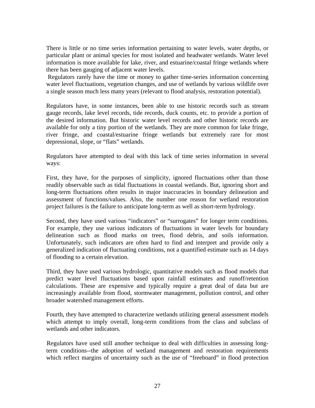There is little or no time series information pertaining to water levels, water depths, or particular plant or animal species for most isolated and headwater wetlands. Water level information is more available for lake, river, and estuarine/coastal fringe wetlands where there has been gauging of adjacent water levels.

Regulators rarely have the time or money to gather time-series information concerning water level fluctuations, vegetation changes, and use of wetlands by various wildlife over a single season much less many years (relevant to flood analysis, restoration potential).

Regulators have, in some instances, been able to use historic records such as stream gauge records, lake level records, tide records, duck counts, etc. to provide a portion of the desired information. But historic water level records and other historic records are available for only a tiny portion of the wetlands. They are more common for lake fringe, river fringe, and coastal/estuarine fringe wetlands but extremely rare for most depressional, slope, or "flats" wetlands.

Regulators have attempted to deal with this lack of time series information in several ways:

First, they have, for the purposes of simplicity, ignored fluctuations other than those readily observable such as tidal fluctuations in coastal wetlands. But, ignoring short and long-term fluctuations often results in major inaccuracies in boundary delineation and assessment of functions/values. Also, the number one reason for wetland restoration project failures is the failure to anticipate long-term as well as short-term hydrology.

Second, they have used various "indicators" or "surrogates" for longer term conditions. For example, they use various indicators of fluctuations in water levels for boundary delineation such as flood marks on trees, flood debris, and soils information. Unfortunately, such indicators are often hard to find and interpret and provide only a generalized indication of fluctuating conditions, not a quantified estimate such as 14 days of flooding to a certain elevation.

Third, they have used various hydrologic, quantitative models such as flood models that predict water level fluctuations based upon rainfall estimates and runoff/retention calculations. These are expensive and typically require a great deal of data but are increasingly available from flood, stormwater management, pollution control, and other broader watershed management efforts.

Fourth, they have attempted to characterize wetlands utilizing general assessment models which attempt to imply overall, long-term conditions from the class and subclass of wetlands and other indicators.

Regulators have used still another technique to deal with difficulties in assessing longterm conditions--the adoption of wetland management and restoration requirements which reflect margins of uncertainty such as the use of "freeboard" in flood protection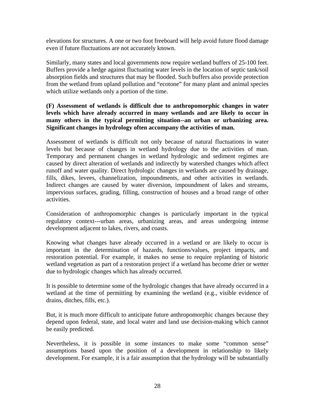elevations for structures. A one or two foot freeboard will help avoid future flood damage even if future fluctuations are not accurately known.

Similarly, many states and local governments now require wetland buffers of 25-100 feet. Buffers provide a hedge against fluctuating water levels in the location of septic tank/soil absorption fields and structures that may be flooded. Such buffers also provide protection from the wetland from upland pollution and "ecotone" for many plant and animal species which utilize wetlands only a portion of the time.

#### **(F) Assessment of wetlands is difficult due to anthropomorphic changes in water levels which have already occurred in many wetlands and are likely to occur in many others in the typical permitting situation--an urban or urbanizing area. Significant changes in hydrology often accompany the activities of man.**

Assessment of wetlands is difficult not only because of natural fluctuations in water levels but because of changes in wetland hydrology due to the activities of man. Temporary and permanent changes in wetland hydrologic and sediment regimes are caused by direct alteration of wetlands and indirectly by watershed changes which affect runoff and water quality. Direct hydrologic changes in wetlands are caused by drainage, fills, dikes, levees, channelization, impoundments, and other activities in wetlands. Indirect changes are caused by water diversion, impoundment of lakes and streams, impervious surfaces, grading, filling, construction of houses and a broad range of other activities.

Consideration of anthropomorphic changes is particularly important in the typical regulatory context---urban areas, urbanizing areas, and areas undergoing intense development adjacent to lakes, rivers, and coasts.

Knowing what changes have already occurred in a wetland or are likely to occur is important in the determination of hazards, functions/values, project impacts, and restoration potential. For example, it makes no sense to require replanting of historic wetland vegetation as part of a restoration project if a wetland has become drier or wetter due to hydrologic changes which has already occurred.

It is possible to determine some of the hydrologic changes that have already occurred in a wetland at the time of permitting by examining the wetland (e.g., visible evidence of drains, ditches, fills, etc.).

But, it is much more difficult to anticipate future anthropomorphic changes because they depend upon federal, state, and local water and land use decision-making which cannot be easily predicted.

Nevertheless, it is possible in some instances to make some "common sense" assumptions based upon the position of a development in relationship to likely development. For example, it is a fair assumption that the hydrology will be substantially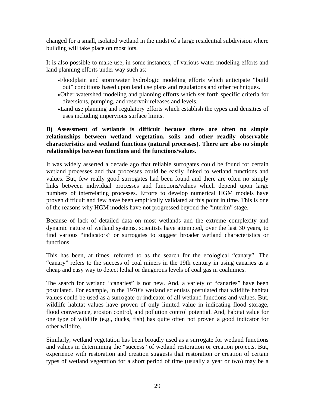changed for a small, isolated wetland in the midst of a large residential subdivision where building will take place on most lots.

It is also possible to make use, in some instances, of various water modeling efforts and land planning efforts under way such as:

- •Floodplain and stormwater hydrologic modeling efforts which anticipate "build out" conditions based upon land use plans and regulations and other techniques.
- •Other watershed modeling and planning efforts which set forth specific criteria for diversions, pumping, and reservoir releases and levels.
- •Land use planning and regulatory efforts which establish the types and densities of uses including impervious surface limits.

#### **B) Assessment of wetlands is difficult because there are often no simple relationships between wetland vegetation, soils and other readily observable characteristics and wetland functions (natural processes). There are also no simple relationships between functions and the functions/values**.

It was widely asserted a decade ago that reliable surrogates could be found for certain wetland processes and that processes could be easily linked to wetland functions and values. But, few really good surrogates had been found and there are often no simply links between individual processes and functions/values which depend upon large numbers of interrelating processes. Efforts to develop numerical HGM models have proven difficult and few have been empirically validated at this point in time. This is one of the reasons why HGM models have not progressed beyond the "interim" stage.

Because of lack of detailed data on most wetlands and the extreme complexity and dynamic nature of wetland systems, scientists have attempted, over the last 30 years, to find various "indicators" or surrogates to suggest broader wetland characteristics or functions.

This has been, at times, referred to as the search for the ecological "canary". The "canary" refers to the success of coal miners in the 19th century in using canaries as a cheap and easy way to detect lethal or dangerous levels of coal gas in coalmines.

The search for wetland "canaries" is not new. And, a variety of "canaries" have been postulated. For example, in the 1970's wetland scientists postulated that wildlife habitat values could be used as a surrogate or indicator of all wetland functions and values. But, wildlife habitat values have proven of only limited value in indicating flood storage, flood conveyance, erosion control, and pollution control potential. And, habitat value for one type of wildlife (e.g., ducks, fish) has quite often not proven a good indicator for other wildlife.

Similarly, wetland vegetation has been broadly used as a surrogate for wetland functions and values in determining the "success" of wetland restoration or creation projects. But, experience with restoration and creation suggests that restoration or creation of certain types of wetland vegetation for a short period of time (usually a year or two) may be a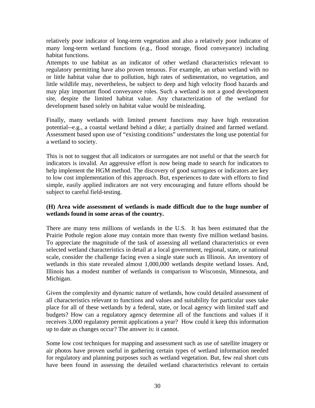relatively poor indicator of long-term vegetation and also a relatively poor indicator of many long-term wetland functions (e.g., flood storage, flood conveyance) including habitat functions.

Attempts to use habitat as an indicator of other wetland characteristics relevant to regulatory permitting have also proven tenuous. For example, an urban wetland with no or little habitat value due to pollution, high rates of sedimentation, no vegetation, and little wildlife may, nevertheless, be subject to deep and high velocity flood hazards and may play important flood conveyance roles. Such a wetland is not a good development site, despite the limited habitat value. Any characterization of the wetland for development based solely on habitat value would be misleading.

Finally, many wetlands with limited present functions may have high restoration potential--e.g., a coastal wetland behind a dike; a partially drained and farmed wetland. Assessment based upon use of "existing conditions" understates the long use potential for a wetland to society.

This is not to suggest that all indicators or surrogates are not useful or that the search for indicators is invalid. An aggressive effort is now being made to search for indicators to help implement the HGM method. The discovery of good surrogates or indicators are key to low cost implementation of this approach. But, experiences to date with efforts to find simple, easily applied indicators are not very encouraging and future efforts should be subject to careful field-testing.

### **(H) Area wide assessment of wetlands is made difficult due to the huge number of wetlands found in some areas of the country.**

There are many tens millions of wetlands in the U.S. It has been estimated that the Prairie Pothole region alone may contain more than twenty five million wetland basins. To appreciate the magnitude of the task of assessing all wetland characteristics or even selected wetland characteristics in detail at a local government, regional, state, or national scale, consider the challenge facing even a single state such as Illinois. An inventory of wetlands in this state revealed almost 1,000,000 wetlands despite wetland losses. And, Illinois has a modest number of wetlands in comparison to Wisconsin, Minnesota, and Michigan.

Given the complexity and dynamic nature of wetlands, how could detailed assessment of all characteristics relevant to functions and values and suitability for particular uses take place for all of these wetlands by a federal, state, or local agency with limited staff and budgets? How can a regulatory agency determine all of the functions and values if it receives 3,000 regulatory permit applications a year? How could it keep this information up to date as changes occur? The answer is: it cannot.

Some low cost techniques for mapping and assessment such as use of satellite imagery or air photos have proven useful in gathering certain types of wetland information needed for regulatory and planning purposes such as wetland vegetation. But, few real short cuts have been found in assessing the detailed wetland characteristics relevant to certain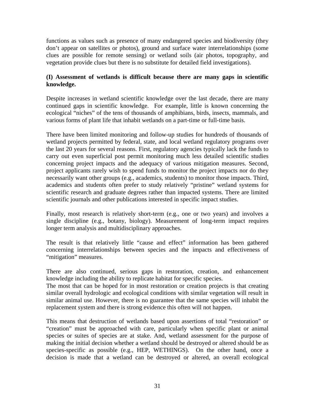functions as values such as presence of many endangered species and biodiversity (they don't appear on satellites or photos), ground and surface water interrelationships (some clues are possible for remote sensing) or wetland soils (air photos, topography, and vegetation provide clues but there is no substitute for detailed field investigations).

### **(I) Assessment of wetlands is difficult because there are many gaps in scientific knowledge.**

Despite increases in wetland scientific knowledge over the last decade, there are many continued gaps in scientific knowledge. For example, little is known concerning the ecological "niches" of the tens of thousands of amphibians, birds, insects, mammals, and various forms of plant life that inhabit wetlands on a part-time or full-time basis.

There have been limited monitoring and follow-up studies for hundreds of thousands of wetland projects permitted by federal, state, and local wetland regulatory programs over the last 20 years for several reasons. First, regulatory agencies typically lack the funds to carry out even superficial post permit monitoring much less detailed scientific studies concerning project impacts and the adequacy of various mitigation measures. Second, project applicants rarely wish to spend funds to monitor the project impacts nor do they necessarily want other groups (e.g., academics, students) to monitor those impacts. Third, academics and students often prefer to study relatively "pristine" wetland systems for scientific research and graduate degrees rather than impacted systems. There are limited scientific journals and other publications interested in specific impact studies.

Finally, most research is relatively short-term (e.g., one or two years) and involves a single discipline (e.g., botany, biology). Measurement of long-term impact requires longer term analysis and multidisciplinary approaches.

The result is that relatively little "cause and effect" information has been gathered concerning interrelationships between species and the impacts and effectiveness of "mitigation" measures.

There are also continued, serious gaps in restoration, creation, and enhancement knowledge including the ability to replicate habitat for specific species.

The most that can be hoped for in most restoration or creation projects is that creating similar overall hydrologic and ecological conditions with similar vegetation will result in similar animal use. However, there is no guarantee that the same species will inhabit the replacement system and there is strong evidence this often will not happen.

This means that destruction of wetlands based upon assertions of total "restoration" or "creation" must be approached with care, particularly when specific plant or animal species or suites of species are at stake. And, wetland assessment for the purpose of making the initial decision whether a wetland should be destroyed or altered should be as species-specific as possible (e.g., HEP, WETHINGS). On the other hand, once a decision is made that a wetland can be destroyed or altered, an overall ecological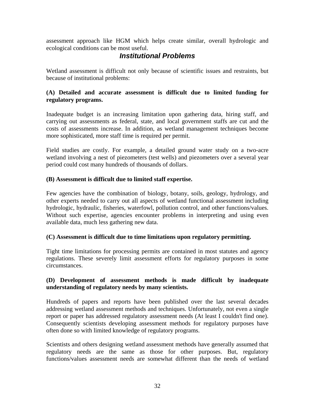assessment approach like HGM which helps create similar, overall hydrologic and ecological conditions can be most useful.

# *Institutional Problems*

Wetland assessment is difficult not only because of scientific issues and restraints, but because of institutional problems:

### **(A) Detailed and accurate assessment is difficult due to limited funding for regulatory programs.**

Inadequate budget is an increasing limitation upon gathering data, hiring staff, and carrying out assessments as federal, state, and local government staffs are cut and the costs of assessments increase. In addition, as wetland management techniques become more sophisticated, more staff time is required per permit.

Field studies are costly. For example, a detailed ground water study on a two-acre wetland involving a nest of piezometers (test wells) and piezometers over a several year period could cost many hundreds of thousands of dollars.

### **(B) Assessment is difficult due to limited staff expertise.**

Few agencies have the combination of biology, botany, soils, geology, hydrology, and other experts needed to carry out all aspects of wetland functional assessment including hydrologic, hydraulic, fisheries, waterfowl, pollution control, and other functions/values. Without such expertise, agencies encounter problems in interpreting and using even available data, much less gathering new data.

#### **(C) Assessment is difficult due to time limitations upon regulatory permitting.**

Tight time limitations for processing permits are contained in most statutes and agency regulations. These severely limit assessment efforts for regulatory purposes in some circumstances.

### **(D) Development of assessment methods is made difficult by inadequate understanding of regulatory needs by many scientists.**

Hundreds of papers and reports have been published over the last several decades addressing wetland assessment methods and techniques. Unfortunately, not even a single report or paper has addressed regulatory assessment needs (At least I couldn't find one). Consequently scientists developing assessment methods for regulatory purposes have often done so with limited knowledge of regulatory programs.

Scientists and others designing wetland assessment methods have generally assumed that regulatory needs are the same as those for other purposes. But, regulatory functions/values assessment needs are somewhat different than the needs of wetland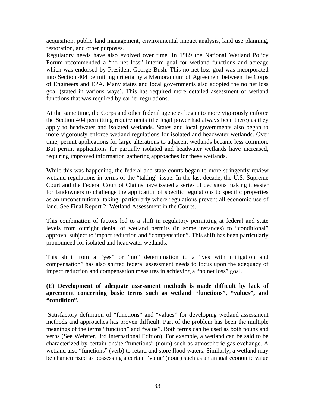acquisition, public land management, environmental impact analysis, land use planning, restoration, and other purposes.

Regulatory needs have also evolved over time. In 1989 the National Wetland Policy Forum recommended a "no net loss" interim goal for wetland functions and acreage which was endorsed by President George Bush. This no net loss goal was incorporated into Section 404 permitting criteria by a Memorandum of Agreement between the Corps of Engineers and EPA. Many states and local governments also adopted the no net loss goal (stated in various ways). This has required more detailed assessment of wetland functions that was required by earlier regulations.

At the same time, the Corps and other federal agencies began to more vigorously enforce the Section 404 permitting requirements (the legal power had always been there) as they apply to headwater and isolated wetlands. States and local governments also began to more vigorously enforce wetland regulations for isolated and headwater wetlands. Over time, permit applications for large alterations to adjacent wetlands became less common. But permit applications for partially isolated and headwater wetlands have increased, requiring improved information gathering approaches for these wetlands.

While this was happening, the federal and state courts began to more stringently review wetland regulations in terms of the "taking" issue. In the last decade, the U.S. Supreme Court and the Federal Court of Claims have issued a series of decisions making it easier for landowners to challenge the application of specific regulations to specific properties as an unconstitutional taking, particularly where regulations prevent all economic use of land. See Final Report 2: Wetland Assessment in the Courts.

This combination of factors led to a shift in regulatory permitting at federal and state levels from outright denial of wetland permits (in some instances) to "conditional" approval subject to impact reduction and "compensation". This shift has been particularly pronounced for isolated and headwater wetlands.

This shift from a "yes" or "no" determination to a "yes with mitigation and compensation" has also shifted federal assessment needs to focus upon the adequacy of impact reduction and compensation measures in achieving a "no net loss" goal.

#### **(E) Development of adequate assessment methods is made difficult by lack of agreement concerning basic terms such as wetland "functions", "values", and "condition".**

Satisfactory definition of "functions" and "values" for developing wetland assessment methods and approaches has proven difficult. Part of the problem has been the multiple meanings of the terms "function" and "value". Both terms can be used as both nouns and verbs (See Webster, 3rd International Edition). For example, a wetland can be said to be characterized by certain onsite "functions" (noun) such as atmospheric gas exchange. A wetland also "functions" (verb) to retard and store flood waters. Similarly, a wetland may be characterized as possessing a certain "value"(noun) such as an annual economic value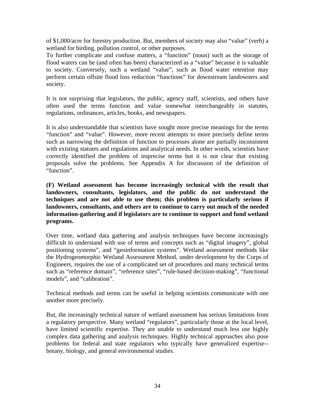of \$1,000/acre for forestry production. But, members of society may also "value" (verb) a wetland for birding, pollution control, or other purposes.

To further complicate and confuse matters, a "function" (noun) such as the storage of flood waters can be (and often has been) characterized as a "value" because it is valuable to society. Conversely, such a wetland "value", such as flood water retention may perform certain offsite flood loss reduction "functions" for downstream landowners and society.

It is not surprising that legislators, the public, agency staff, scientists, and others have often used the terms function and value somewhat interchangeably in statutes, regulations, ordinances, articles, books, and newspapers.

It is also understandable that scientists have sought more precise meanings for the terms "function" and "value". However, more recent attempts to more precisely define terms such as narrowing the definition of function to processes alone are partially inconsistent with existing statutes and regulations and analytical needs. In other words, scientists have correctly identified the problem of imprecise terms but it is not clear that existing proposals solve the problems. See Appendix A for discussion of the definition of "function".

**(F) Wetland assessment has become increasingly technical with the result that landowners, consultants, legislators, and the public do not understand the techniques and are not able to use them; this problem is particularly serious if landowners, consultants, and others are to continue to carry out much of the needed information-gathering and if legislators are to continue to support and fund wetland programs.** 

Over time, wetland data gathering and analysis techniques have become increasingly difficult to understand with use of terms and concepts such as "digital imagery", global positioning systems", and "geoinformation systems". Wetland assessment methods like the Hydrogeomorphic Wetland Assessment Method, under development by the Corps of Engineers, requires the use of a complicated set of procedures and many technical terms such as "reference domain", "reference sites", "rule-based decision-making", "functional models", and "calibration".

Technical methods and terms can be useful in helping scientists communicate with one another more precisely.

But, the increasingly technical nature of wetland assessment has serious limitations from a regulatory perspective. Many wetland "regulators", particularly those at the local level, have limited scientific expertise. They are unable to understand much less use highly complex data gathering and analysis techniques. Highly technical approaches also pose problems for federal and state regulators who typically have generalized expertise- botany, biology, and general environmental studies.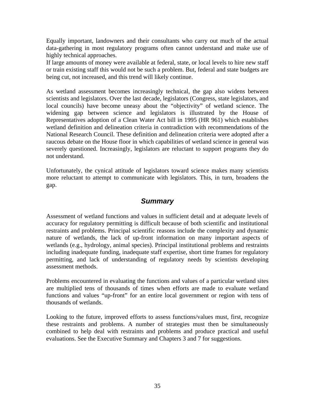Equally important, landowners and their consultants who carry out much of the actual data-gathering in most regulatory programs often cannot understand and make use of highly technical approaches.

If large amounts of money were available at federal, state, or local levels to hire new staff or train existing staff this would not be such a problem. But, federal and state budgets are being cut, not increased, and this trend will likely continue.

As wetland assessment becomes increasingly technical, the gap also widens between scientists and legislators. Over the last decade, legislators (Congress, state legislators, and local councils) have become uneasy about the "objectivity" of wetland science. The widening gap between science and legislators is illustrated by the House of Representatives adoption of a Clean Water Act bill in 1995 (HR 961) which establishes wetland definition and delineation criteria in contradiction with recommendations of the National Research Council. These definition and delineation criteria were adopted after a raucous debate on the House floor in which capabilities of wetland science in general was severely questioned. Increasingly, legislators are reluctant to support programs they do not understand.

Unfortunately, the cynical attitude of legislators toward science makes many scientists more reluctant to attempt to communicate with legislators. This, in turn, broadens the gap.

# *Summary*

Assessment of wetland functions and values in sufficient detail and at adequate levels of accuracy for regulatory permitting is difficult because of both scientific and institutional restraints and problems. Principal scientific reasons include the complexity and dynamic nature of wetlands, the lack of up-front information on many important aspects of wetlands (e.g., hydrology, animal species). Principal institutional problems and restraints including inadequate funding, inadequate staff expertise, short time frames for regulatory permitting, and lack of understanding of regulatory needs by scientists developing assessment methods.

Problems encountered in evaluating the functions and values of a particular wetland sites are multiplied tens of thousands of times when efforts are made to evaluate wetland functions and values "up-front" for an entire local government or region with tens of thousands of wetlands.

Looking to the future, improved efforts to assess functions/values must, first, recognize these restraints and problems. A number of strategies must then be simultaneously combined to help deal with restraints and problems and produce practical and useful evaluations. See the Executive Summary and Chapters 3 and 7 for suggestions.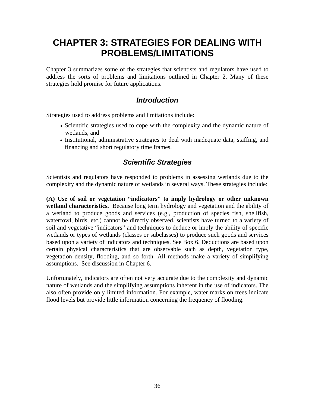# **CHAPTER 3: STRATEGIES FOR DEALING WITH PROBLEMS/LIMITATIONS**

Chapter 3 summarizes some of the strategies that scientists and regulators have used to address the sorts of problems and limitations outlined in Chapter 2. Many of these strategies hold promise for future applications.

# *Introduction*

Strategies used to address problems and limitations include:

- Scientific strategies used to cope with the complexity and the dynamic nature of wetlands, and
- Institutional, administrative strategies to deal with inadequate data, staffing, and financing and short regulatory time frames.

# *Scientific Strategies*

Scientists and regulators have responded to problems in assessing wetlands due to the complexity and the dynamic nature of wetlands in several ways. These strategies include:

**(A) Use of soil or vegetation "indicators" to imply hydrology or other unknown wetland characteristics.** Because long term hydrology and vegetation and the ability of a wetland to produce goods and services (e.g., production of species fish, shellfish, waterfowl, birds, etc.) cannot be directly observed, scientists have turned to a variety of soil and vegetative "indicators" and techniques to deduce or imply the ability of specific wetlands or types of wetlands (classes or subclasses) to produce such goods and services based upon a variety of indicators and techniques. See Box 6. Deductions are based upon certain physical characteristics that are observable such as depth, vegetation type, vegetation density, flooding, and so forth. All methods make a variety of simplifying assumptions. See discussion in Chapter 6.

Unfortunately, indicators are often not very accurate due to the complexity and dynamic nature of wetlands and the simplifying assumptions inherent in the use of indicators. The also often provide only limited information. For example, water marks on trees indicate flood levels but provide little information concerning the frequency of flooding.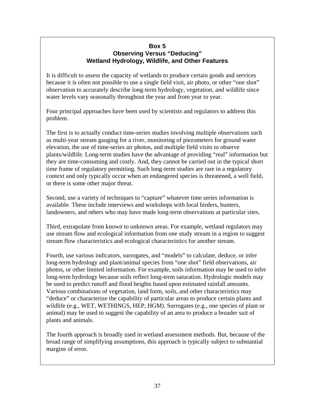### **Box 5 Observing Versus "Deducing" Wetland Hydrology, Wildlife, and Other Features**

It is difficult to assess the capacity of wetlands to produce certain goods and services because it is often not possible to use a single field visit, air photo, or other "one shot" observation to accurately describe long-term hydrology, vegetation, and wildlife since water levels vary seasonally throughout the year and from year to year.

Four principal approaches have been used by scientists and regulators to address this problem.

The first is to actually conduct time-series studies involving multiple observations such as multi-year stream gauging for a river, monitoring of piezometers for ground water elevation, the use of time-series air photos, and multiple field visits to observe plants/wildlife. Long-term studies have the advantage of providing "real" information but they are time-consuming and costly. And, they cannot be carried out in the typical short time frame of regulatory permitting. Such long-term studies are rare in a regulatory context and only typically occur when an endangered species is threatened, a well field, or there is some other major threat.

Second, use a variety of techniques to "capture" whatever time series information is available. These include interviews and workshops with local birders, hunters, landowners, and others who may have made long-term observations at particular sites.

Third, extrapolate from known to unknown areas. For example, wetland regulators may use stream flow and ecological information from one study stream in a region to suggest stream flow characteristics and ecological characteristics for another stream.

Fourth, use various indicators, surrogates, and "models" to calculate, deduce, or infer long-term hydrology and plant/animal species from "one shot" field observations, air photos, or other limited information. For example, soils information may be used to infer long-term hydrology because soils reflect long-term saturation. Hydrologic models may be used to predict runoff and flood heights based upon estimated rainfall amounts. Various combinations of vegetation, land form, soils, and other characteristics may "deduce" or characterize the capability of particular areas to produce certain plants and wildlife (e.g., WET, WETHINGS, HEP, HGM). Surrogates (e.g., one species of plant or animal) may be used to suggest the capability of an area to produce a broader suit of plants and animals.

The fourth approach is broadly used in wetland assessment methods. But, because of the broad range of simplifying assumptions, this approach is typically subject to substantial margins of error.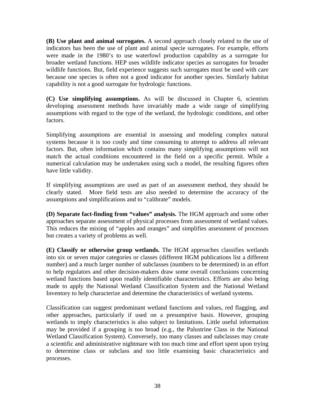**(B) Use plant and animal surrogates.** A second approach closely related to the use of indicators has been the use of plant and animal specie surrogates. For example, efforts were made in the 1980's to use waterfowl production capability as a surrogate for broader wetland functions. HEP uses wildlife indicator species as surrogates for broader wildlife functions. But, field experience suggests such surrogates must be used with care because one species is often not a good indicator for another species. Similarly habitat capability is not a good surrogate for hydrologic functions.

**(C) Use simplifying assumptions.** As will be discussed in Chapter 6, scientists developing assessment methods have invariably made a wide range of simplifying assumptions with regard to the type of the wetland, the hydrologic conditions, and other factors.

Simplifying assumptions are essential in assessing and modeling complex natural systems because it is too costly and time consuming to attempt to address all relevant factors. But, often information which contains many simplifying assumptions will not match the actual conditions encountered in the field on a specific permit. While a numerical calculation may be undertaken using such a model, the resulting figures often have little validity.

If simplifying assumptions are used as part of an assessment method, they should be clearly stated. More field tests are also needed to determine the accuracy of the assumptions and simplifications and to "calibrate" models.

**(D) Separate fact-finding from "values" analysis.** The HGM approach and some other approaches separate assessment of physical processes from assessment of wetland values. This reduces the mixing of "apples and oranges" and simplifies assessment of processes but creates a variety of problems as well.

**(E) Classify or otherwise group wetlands.** The HGM approaches classifies wetlands into six or seven major categories or classes (different HGM publications list a different number) and a much larger number of subclasses (numbers to be determined) in an effort to help regulators and other decision-makers draw some overall conclusions concerning wetland functions based upon readily identifiable characteristics. Efforts are also being made to apply the National Wetland Classification System and the National Wetland Inventory to help characterize and determine the characteristics of wetland systems.

Classification can suggest predominant wetland functions and values, red flagging, and other approaches, particularly if used on a presumptive basis. However, grouping wetlands to imply characteristics is also subject to limitations. Little useful information may be provided if a grouping is too broad (e.g., the Palustrine Class in the National Wetland Classification System). Conversely, too many classes and subclasses may create a scientific and administrative nightmare with too much time and effort spent upon trying to determine class or subclass and too little examining basic characteristics and processes.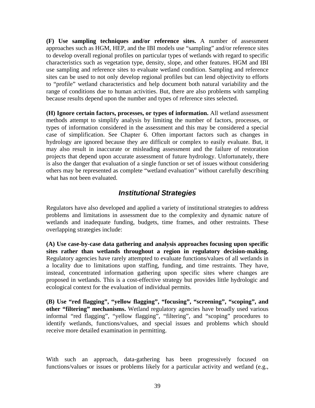**(F) Use sampling techniques and/or reference sites.** A number of assessment approaches such as HGM, HEP, and the IBI models use "sampling" and/or reference sites to develop overall regional profiles on particular types of wetlands with regard to specific characteristics such as vegetation type, density, slope, and other features. HGM and IBI use sampling and reference sites to evaluate wetland condition. Sampling and reference sites can be used to not only develop regional profiles but can lend objectivity to efforts to "profile" wetland characteristics and help document both natural variability and the range of conditions due to human activities. But, there are also problems with sampling because results depend upon the number and types of reference sites selected.

**(H) Ignore certain factors, processes, or types of information.** All wetland assessment methods attempt to simplify analysis by limiting the number of factors, processes, or types of information considered in the assessment and this may be considered a special case of simplification. See Chapter 6. Often important factors such as changes in hydrology are ignored because they are difficult or complex to easily evaluate. But, it may also result in inaccurate or misleading assessment and the failure of restoration projects that depend upon accurate assessment of future hydrology. Unfortunately, there is also the danger that evaluation of a single function or set of issues without considering others may be represented as complete "wetland evaluation" without carefully describing what has not been evaluated.

# *Institutional Strategies*

Regulators have also developed and applied a variety of institutional strategies to address problems and limitations in assessment due to the complexity and dynamic nature of wetlands and inadequate funding, budgets, time frames, and other restraints. These overlapping strategies include:

**(A) Use case-by-case data gathering and analysis approaches focusing upon specific sites rather than wetlands throughout a region in regulatory decision-making.**  Regulatory agencies have rarely attempted to evaluate functions/values of all wetlands in a locality due to limitations upon staffing, funding, and time restraints. They have, instead, concentrated information gathering upon specific sites where changes are proposed in wetlands. This is a cost-effective strategy but provides little hydrologic and ecological context for the evaluation of individual permits.

**(B) Use "red flagging", "yellow flagging", "focusing", "screening", "scoping", and other "filtering" mechanisms.** Wetland regulatory agencies have broadly used various informal "red flagging", "yellow flagging", "filtering", and "scoping" procedures to identify wetlands, functions/values, and special issues and problems which should receive more detailed examination in permitting.

With such an approach, data-gathering has been progressively focused on functions/values or issues or problems likely for a particular activity and wetland (e.g.,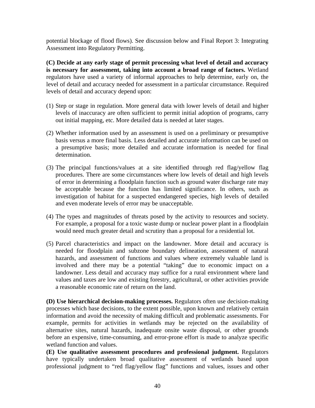potential blockage of flood flows). See discussion below and Final Report 3: Integrating Assessment into Regulatory Permitting.

**(C) Decide at any early stage of permit processing what level of detail and accuracy is necessary for assessment, taking into account a broad range of factors.** Wetland regulators have used a variety of informal approaches to help determine, early on, the level of detail and accuracy needed for assessment in a particular circumstance. Required levels of detail and accuracy depend upon:

- (1) Step or stage in regulation. More general data with lower levels of detail and higher levels of inaccuracy are often sufficient to permit initial adoption of programs, carry out initial mapping, etc. More detailed data is needed at later stages.
- (2) Whether information used by an assessment is used on a preliminary or presumptive basis versus a more final basis. Less detailed and accurate information can be used on a presumptive basis; more detailed and accurate information is needed for final determination.
- (3) The principal functions/values at a site identified through red flag/yellow flag procedures. There are some circumstances where low levels of detail and high levels of error in determining a floodplain function such as ground water discharge rate may be acceptable because the function has limited significance. In others, such as investigation of habitat for a suspected endangered species, high levels of detailed and even moderate levels of error may be unacceptable.
- (4) The types and magnitudes of threats posed by the activity to resources and society. For example, a proposal for a toxic waste dump or nuclear power plant in a floodplain would need much greater detail and scrutiny than a proposal for a residential lot.
- (5) Parcel characteristics and impact on the landowner. More detail and accuracy is needed for floodplain and subzone boundary delineation, assessment of natural hazards, and assessment of functions and values where extremely valuable land is involved and there may be a potential "taking" due to economic impact on a landowner. Less detail and accuracy may suffice for a rural environment where land values and taxes are low and existing forestry, agricultural, or other activities provide a reasonable economic rate of return on the land.

**(D) Use hierarchical decision-making processes.** Regulators often use decision-making processes which base decisions, to the extent possible, upon known and relatively certain information and avoid the necessity of making difficult and problematic assessments. For example, permits for activities in wetlands may be rejected on the availability of alternative sites, natural hazards, inadequate onsite waste disposal, or other grounds before an expensive, time-consuming, and error-prone effort is made to analyze specific wetland function and values.

**(E) Use qualitative assessment procedures and professional judgment.** Regulators have typically undertaken broad qualitative assessment of wetlands based upon professional judgment to "red flag/yellow flag" functions and values, issues and other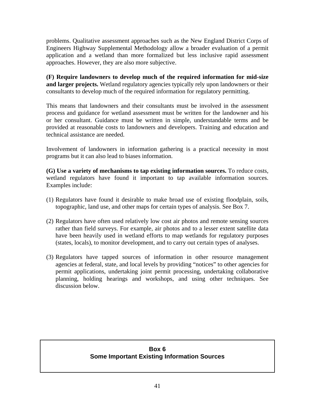problems. Qualitative assessment approaches such as the New England District Corps of Engineers Highway Supplemental Methodology allow a broader evaluation of a permit application and a wetland than more formalized but less inclusive rapid assessment approaches. However, they are also more subjective.

**(F) Require landowners to develop much of the required information for mid-size and larger projects.** Wetland regulatory agencies typically rely upon landowners or their consultants to develop much of the required information for regulatory permitting.

This means that landowners and their consultants must be involved in the assessment process and guidance for wetland assessment must be written for the landowner and his or her consultant. Guidance must be written in simple, understandable terms and be provided at reasonable costs to landowners and developers. Training and education and technical assistance are needed.

Involvement of landowners in information gathering is a practical necessity in most programs but it can also lead to biases information.

**(G) Use a variety of mechanisms to tap existing information sources.** To reduce costs, wetland regulators have found it important to tap available information sources. Examples include:

- (1) Regulators have found it desirable to make broad use of existing floodplain, soils, topographic, land use, and other maps for certain types of analysis. See Box 7.
- (2) Regulators have often used relatively low cost air photos and remote sensing sources rather than field surveys. For example, air photos and to a lesser extent satellite data have been heavily used in wetland efforts to map wetlands for regulatory purposes (states, locals), to monitor development, and to carry out certain types of analyses.
- (3) Regulators have tapped sources of information in other resource management agencies at federal, state, and local levels by providing "notices" to other agencies for permit applications, undertaking joint permit processing, undertaking collaborative planning, holding hearings and workshops, and using other techniques. See discussion below.

## **Box 6 Some Important Existing Information Sources**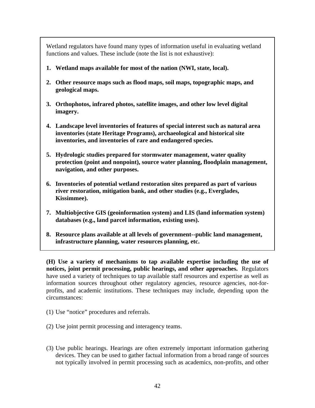Wetland regulators have found many types of information useful in evaluating wetland functions and values. These include (note the list is not exhaustive):

- **1. Wetland maps available for most of the nation (NWI, state, local).**
- **2. Other resource maps such as flood maps, soil maps, topographic maps, and geological maps.**
- **3. Orthophotos, infrared photos, satellite images, and other low level digital imagery.**
- **4. Landscape level inventories of features of special interest such as natural area inventories (state Heritage Programs), archaeological and historical site inventories, and inventories of rare and endangered species.**
- **5. Hydrologic studies prepared for stormwater management, water quality protection (point and nonpoint), source water planning, floodplain management, navigation, and other purposes.**
- **6. Inventories of potential wetland restoration sites prepared as part of various river restoration, mitigation bank, and other studies (e.g., Everglades, Kissimmee).**
- **7. Multiobjective GIS (geoinformation system) and LIS (land information system) databases (e.g., land parcel information, existing uses).**
- **8. Resource plans available at all levels of government--public land management, infrastructure planning, water resources planning, etc.**

**(H) Use a variety of mechanisms to tap available expertise including the use of notices, joint permit processing, public hearings, and other approaches.** Regulators have used a variety of techniques to tap available staff resources and expertise as well as information sources throughout other regulatory agencies, resource agencies, not-forprofits, and academic institutions. These techniques may include, depending upon the circumstances:

- (1) Use "notice" procedures and referrals.
- (2) Use joint permit processing and interagency teams.
- (3) Use public hearings. Hearings are often extremely important information gathering devices. They can be used to gather factual information from a broad range of sources not typically involved in permit processing such as academics, non-profits, and other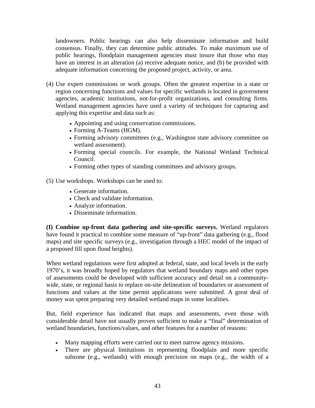landowners. Public hearings can also help disseminate information and build consensus. Finally, they can determine public attitudes. To make maximum use of public hearings, floodplain management agencies must insure that those who may have an interest in an alteration (a) receive adequate notice, and (b) be provided with adequate information concerning the proposed project, activity, or area.

- (4) Use expert commissions or work groups. Often the greatest expertise in a state or region concerning functions and values for specific wetlands is located in government agencies, academic institutions, not-for-profit organizations, and consulting firms. Wetland management agencies have used a variety of techniques for capturing and applying this expertise and data such as:
	- Appointing and using conservation commissions.
	- Forming A-Teams (HGM).
	- Forming advisory committees (e.g., Washington state advisory committee on wetland assessment).
	- Forming special councils. For example, the National Wetland Technical Council.
	- Forming other types of standing committees and advisory groups.

(5) Use workshops. Workshops can be used to:

- Generate information.
- Check and validate information.
- Analyze information.
- Disseminate information.

**(I) Combine up-front data gathering and site-specific surveys.** Wetland regulators have found it practical to combine some measure of "up-front" data gathering (e.g., flood maps) and site specific surveys (e.g., investigation through a HEC model of the impact of a proposed fill upon flood heights).

When wetland regulations were first adopted at federal, state, and local levels in the early 1970's, it was broadly hoped by regulators that wetland boundary maps and other types of assessments could be developed with sufficient accuracy and detail on a communitywide, state, or regional basis to replace on-site delineation of boundaries or assessment of functions and values at the time permit applications were submitted. A great deal of money was spent preparing very detailed wetland maps in some localities.

But, field experience has indicated that maps and assessments, even those with considerable detail have not usually proven sufficient to make a "final" determination of wetland boundaries, functions/values, and other features for a number of reasons:

- Many mapping efforts were carried out to meet narrow agency missions.
- There are physical limitations in representing floodplain and more specific subzone (e.g., wetlands) with enough precision on maps (e.g., the width of a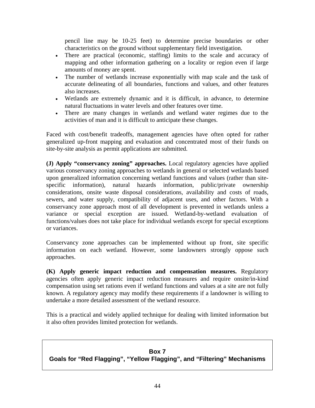pencil line may be 10-25 feet) to determine precise boundaries or other characteristics on the ground without supplementary field investigation.

- There are practical (economic, staffing) limits to the scale and accuracy of mapping and other information gathering on a locality or region even if large amounts of money are spent.
- The number of wetlands increase exponentially with map scale and the task of accurate delineating of all boundaries, functions and values, and other features also increases.
- Wetlands are extremely dynamic and it is difficult, in advance, to determine natural fluctuations in water levels and other features over time.
- There are many changes in wetlands and wetland water regimes due to the activities of man and it is difficult to anticipate these changes.

Faced with cost/benefit tradeoffs, management agencies have often opted for rather generalized up-front mapping and evaluation and concentrated most of their funds on site-by-site analysis as permit applications are submitted.

**(J) Apply "conservancy zoning" approaches.** Local regulatory agencies have applied various conservancy zoning approaches to wetlands in general or selected wetlands based upon generalized information concerning wetland functions and values (rather than sitespecific information), natural hazards information, public/private ownership considerations, onsite waste disposal considerations, availability and costs of roads, sewers, and water supply, compatibility of adjacent uses, and other factors. With a conservancy zone approach most of all development is prevented in wetlands unless a variance or special exception are issued. Wetland-by-wetland evaluation of functions/values does not take place for individual wetlands except for special exceptions or variances.

Conservancy zone approaches can be implemented without up front, site specific information on each wetland. However, some landowners strongly oppose such approaches.

**(K) Apply generic impact reduction and compensation measures.** Regulatory agencies often apply generic impact reduction measures and require onsite/in-kind compensation using set rations even if wetland functions and values at a site are not fully known. A regulatory agency may modify these requirements if a landowner is willing to undertake a more detailed assessment of the wetland resource.

This is a practical and widely applied technique for dealing with limited information but it also often provides limited protection for wetlands.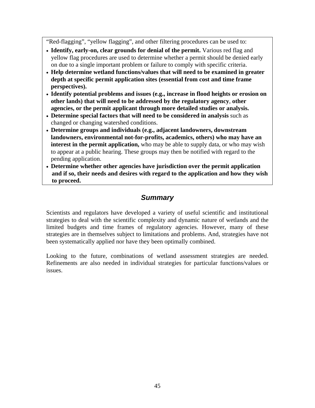"Red-flagging", "yellow flagging", and other filtering procedures can be used to:

- **Identify, early-on, clear grounds for denial of the permit.** Various red flag and yellow flag procedures are used to determine whether a permit should be denied early on due to a single important problem or failure to comply with specific criteria.
- **Help determine wetland functions/values that will need to be examined in greater depth at specific permit application sites (essential from cost and time frame perspectives).**
- **Identify potential problems and issues (e.g., increase in flood heights or erosion on other lands) that will need to be addressed by the regulatory agency**, **other agencies, or the permit applicant through more detailed studies or analysis.**
- **Determine special factors that will need to be considered in analysis** such as changed or changing watershed conditions.
- **Determine groups and individuals (e.g., adjacent landowners, downstream landowners, environmental not-for-profits, academics, others) who may have an interest in the permit application,** who may be able to supply data, or who may wish to appear at a public hearing. These groups may then be notified with regard to the pending application.
- **Determine whether other agencies have jurisdiction over the permit application and if so, their needs and desires with regard to the application and how they wish to proceed.**

# *Summary*

Scientists and regulators have developed a variety of useful scientific and institutional strategies to deal with the scientific complexity and dynamic nature of wetlands and the limited budgets and time frames of regulatory agencies. However, many of these strategies are in themselves subject to limitations and problems. And, strategies have not been systematically applied nor have they been optimally combined.

Looking to the future, combinations of wetland assessment strategies are needed. Refinements are also needed in individual strategies for particular functions/values or issues.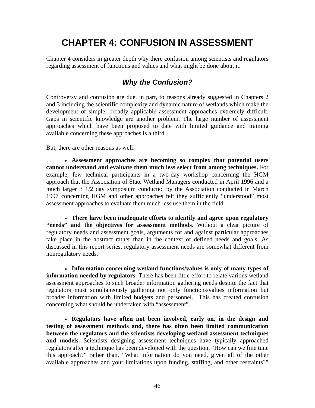# **CHAPTER 4: CONFUSION IN ASSESSMENT**

Chapter 4 considers in greater depth why there confusion among scientists and regulators regarding assessment of functions and values and what might be done about it.

# *Why the Confusion?*

Controversy and confusion are due, in part, to reasons already suggested in Chapters 2 and 3 including the scientific complexity and dynamic nature of wetlands which make the development of simple, broadly applicable assessment approaches extremely difficult. Gaps in scientific knowledge are another problem. The large number of assessment approaches which have been proposed to date with limited guidance and training available concerning these approaches is a third.

But, there are other reasons as well:

• **Assessment approaches are becoming so complex that potential users cannot understand and evaluate them much less select from among techniques.** For example, few technical participants in a two-day workshop concerning the HGM approach that the Association of State Wetland Managers conducted in April 1996 and a much larger 3 1/2 day symposium conducted by the Association conducted in March 1997 concerning HGM and other approaches felt they sufficiently "understood" most assessment approaches to evaluate them much less use them in the field.

• **There have been inadequate efforts to identify and agree upon regulatory "needs" and the objectives for assessment methods.** Without a clear picture of regulatory needs and assessment goals, arguments for and against particular approaches take place in the abstract rather than in the context of defined needs and goals. As discussed in this report series, regulatory assessment needs are somewhat different from nonregulatory needs.

• **Information concerning wetland functions/values is only of many types of information needed by regulators.** There has been little effort to relate various wetland assessment approaches to such broader information gathering needs despite the fact that regulators must simultaneously gathering not only functions/values information but broader information with limited budgets and personnel. This has created confusion concerning what should be undertaken with "assessment".

• **Regulators have often not been involved, early on, in the design and testing of assessment methods and, there has often been limited communication between the regulators and the scientists developing wetland assessment techniques and models.** Scientists designing assessment techniques have typically approached regulators after a technique has been developed with the question, "How can we fine tune this approach?" rather than, "What information do you need, given all of the other available approaches and your limitations upon funding, staffing, and other restraints?"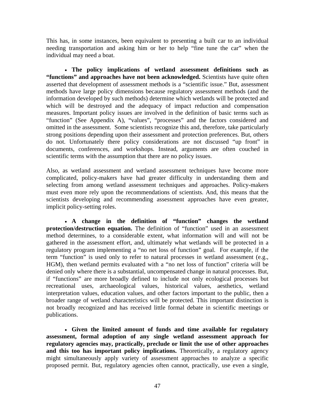This has, in some instances, been equivalent to presenting a built car to an individual needing transportation and asking him or her to help "fine tune the car" when the individual may need a boat.

• **The policy implications of wetland assessment definitions such as "functions" and approaches have not been acknowledged.** Scientists have quite often asserted that development of assessment methods is a "scientific issue." But, assessment methods have large policy dimensions because regulatory assessment methods (and the information developed by such methods) determine which wetlands will be protected and which will be destroyed and the adequacy of impact reduction and compensation measures. Important policy issues are involved in the definition of basic terms such as "function" (See Appendix A), "values", "processes" and the factors considered and omitted in the assessment. Some scientists recognize this and, therefore, take particularly strong positions depending upon their assessment and protection preferences. But, others do not. Unfortunately there policy considerations are not discussed "up front" in documents, conferences, and workshops. Instead, arguments are often couched in scientific terms with the assumption that there are no policy issues.

Also, as wetland assessment and wetland assessment techniques have become more complicated, policy-makers have had greater difficulty in understanding them and selecting from among wetland assessment techniques and approaches. Policy-makers must even more rely upon the recommendations of scientists. And, this means that the scientists developing and recommending assessment approaches have even greater, implicit policy-setting roles.

• **A change in the definition of "function" changes the wetland protection/destruction equation.** The definition of "function" used in an assessment method determines, to a considerable extent, what information will and will not be gathered in the assessment effort, and, ultimately what wetlands will be protected in a regulatory program implementing a "no net loss of function" goal. For example, if the term "function" is used only to refer to natural processes in wetland assessment (e.g., HGM), then wetland permits evaluated with a "no net loss of function" criteria will be denied only where there is a substantial, uncompensated change in natural processes. But, if "functions" are more broadly defined to include not only ecological processes but recreational uses, archaeological values, historical values, aesthetics, wetland interpretation values, education values, and other factors important to the public, then a broader range of wetland characteristics will be protected. This important distinction is not broadly recognized and has received little formal debate in scientific meetings or publications.

• **Given the limited amount of funds and time available for regulatory assessment, formal adoption of any single wetland assessment approach for regulatory agencies may, practically, preclude or limit the use of other approaches**  and this too has important policy implications. Theoretically, a regulatory agency might simultaneously apply variety of assessment approaches to analyze a specific proposed permit. But, regulatory agencies often cannot, practically, use even a single,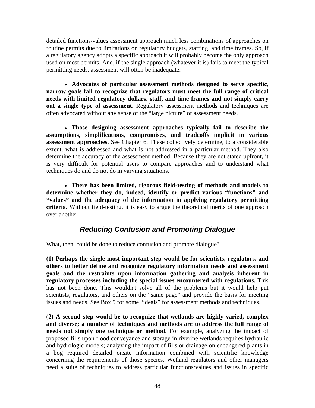detailed functions/values assessment approach much less combinations of approaches on routine permits due to limitations on regulatory budgets, staffing, and time frames. So, if a regulatory agency adopts a specific approach it will probably become the only approach used on most permits. And, if the single approach (whatever it is) fails to meet the typical permitting needs, assessment will often be inadequate.

• **Advocates of particular assessment methods designed to serve specific, narrow goals fail to recognize that regulators must meet the full range of critical needs with limited regulatory dollars, staff, and time frames and not simply carry out a single type of assessment.** Regulatory assessment methods and techniques are often advocated without any sense of the "large picture" of assessment needs.

• **Those designing assessment approaches typically fail to describe the assumptions, simplifications, compromises, and tradeoffs implicit in various assessment approaches.** See Chapter 6. These collectively determine, to a considerable extent, what is addressed and what is not addressed in a particular method. They also determine the accuracy of the assessment method. Because they are not stated upfront, it is very difficult for potential users to compare approaches and to understand what techniques do and do not do in varying situations.

• **There has been limited, rigorous field-testing of methods and models to determine whether they do, indeed, identify or predict various "functions" and "values" and the adequacy of the information in applying regulatory permitting criteria.** Without field-testing, it is easy to argue the theoretical merits of one approach over another.

# *Reducing Confusion and Promoting Dialogue*

What, then, could be done to reduce confusion and promote dialogue?

**(1) Perhaps the single most important step would be for scientists, regulators, and others to better define and recognize regulatory information needs and assessment goals and the restraints upon information gathering and analysis inherent in regulatory processes including the special issues encountered with regulations.** This has not been done. This wouldn't solve all of the problems but it would help put scientists, regulators, and others on the "same page" and provide the basis for meeting issues and needs. See Box 9 for some "ideals" for assessment methods and techniques.

(**2) A second step would be to recognize that wetlands are highly varied, complex and diverse; a number of techniques and methods are to address the full range of needs not simply one technique or method.** For example, analyzing the impact of proposed fills upon flood conveyance and storage in riverine wetlands requires hydraulic and hydrologic models; analyzing the impact of fills or drainage on endangered plants in a bog required detailed onsite information combined with scientific knowledge concerning the requirements of those species. Wetland regulators and other managers need a suite of techniques to address particular functions/values and issues in specific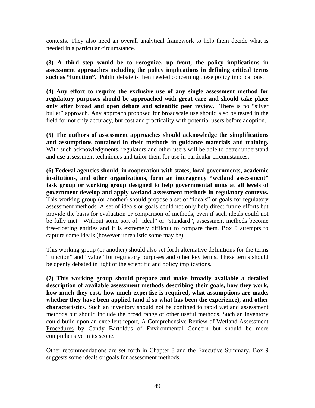contexts. They also need an overall analytical framework to help them decide what is needed in a particular circumstance.

**(3) A third step would be to recognize, up front, the policy implications in assessment approaches including the policy implications in defining critical terms such as "function".** Public debate is then needed concerning these policy implications.

**(4) Any effort to require the exclusive use of any single assessment method for regulatory purposes should be approached with great care and should take place only after broad and open debate and scientific peer review.** There is no "silver bullet" approach. Any approach proposed for broadscale use should also be tested in the field for not only accuracy, but cost and practicality with potential users before adoption.

**(5) The authors of assessment approaches should acknowledge the simplifications and assumptions contained in their methods in guidance materials and training.**  With such acknowledgments, regulators and other users will be able to better understand and use assessment techniques and tailor them for use in particular circumstances**.** 

**(6) Federal agencies should, in cooperation with states, local governments, academic institutions, and other organizations, form an interagency "wetland assessment" task group or working group designed to help governmental units at all levels of government develop and apply wetland assessment methods in regulatory contexts.**  This working group (or another) should propose a set of "ideals" or goals for regulatory assessment methods. A set of ideals or goals could not only help direct future efforts but provide the basis for evaluation or comparison of methods, even if such ideals could not be fully met. Without some sort of "ideal" or "standard", assessment methods become free-floating entities and it is extremely difficult to compare them. Box 9 attempts to capture some ideals (however unrealistic some may be).

This working group (or another) should also set forth alternative definitions for the terms "function" and "value" for regulatory purposes and other key terms. These terms should be openly debated in light of the scientific and policy implications.

**(7) This working group should prepare and make broadly available a detailed description of available assessment methods describing their goals, how they work, how much they cost, how much expertise is required, what assumptions are made, whether they have been applied (and if so what has been the experience), and other characteristics.** Such an inventory should not be confined to rapid wetland assessment methods but should include the broad range of other useful methods. Such an inventory could build upon an excellent report, A Comprehensive Review of Wetland Assessment Procedures by Candy Bartoldus of Environmental Concern but should be more comprehensive in its scope.

Other recommendations are set forth in Chapter 8 and the Executive Summary. Box 9 suggests some ideals or goals for assessment methods.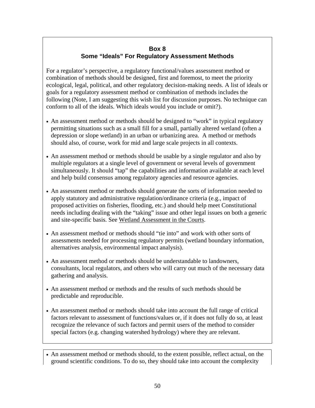## **Box 8 Some "Ideals" For Regulatory Assessment Methods**

For a regulator's perspective, a regulatory functional/values assessment method or combination of methods should be designed, first and foremost, to meet the priority ecological, legal, political, and other regulatory decision-making needs. A list of ideals or goals for a regulatory assessment method or combination of methods includes the following (Note, I am suggesting this wish list for discussion purposes. No technique can conform to all of the ideals. Which ideals would you include or omit?).

- An assessment method or methods should be designed to "work" in typical regulatory permitting situations such as a small fill for a small, partially altered wetland (often a depression or slope wetland) in an urban or urbanizing area. A method or methods should also, of course, work for mid and large scale projects in all contexts.
- An assessment method or methods should be usable by a single regulator and also by multiple regulators at a single level of government or several levels of government simultaneously. It should "tap" the capabilities and information available at each level and help build consensus among regulatory agencies and resource agencies.
- An assessment method or methods should generate the sorts of information needed to apply statutory and administrative regulation/ordinance criteria (e.g., impact of proposed activities on fisheries, flooding, etc.) and should help meet Constitutional needs including dealing with the "taking" issue and other legal issues on both a generic and site-specific basis. See Wetland Assessment in the Courts.
- An assessment method or methods should "tie into" and work with other sorts of assessments needed for processing regulatory permits (wetland boundary information, alternatives analysis, environmental impact analysis).
- An assessment method or methods should be understandable to landowners, consultants, local regulators, and others who will carry out much of the necessary data gathering and analysis.
- An assessment method or methods and the results of such methods should be predictable and reproducible.
- An assessment method or methods should take into account the full range of critical factors relevant to assessment of functions/values or, if it does not fully do so, at least recognize the relevance of such factors and permit users of the method to consider special factors (e.g. changing watershed hydrology) where they are relevant.
- An assessment method or methods should, to the extent possible, reflect actual, on the ground scientific conditions. To do so, they should take into account the complexity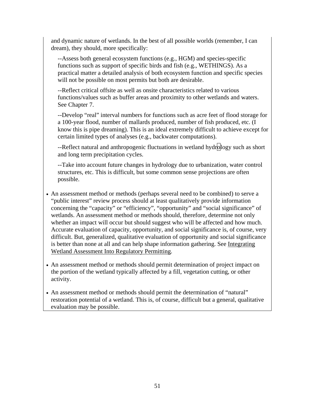and dynamic nature of wetlands. In the best of all possible worlds (remember, I can dream), they should, more specifically:

--Assess both general ecosystem functions (e.g., HGM) and species-specific functions such as support of specific birds and fish (e.g., WETHINGS). As a practical matter a detailed analysis of both ecosystem function and specific species will not be possible on most permits but both are desirable.

--Reflect critical offsite as well as onsite characteristics related to various functions/values such as buffer areas and proximity to other wetlands and waters. See Chapter 7.

--Develop "real" interval numbers for functions such as acre feet of flood storage for a 100-year flood, number of mallards produced, number of fish produced, etc. (I know this is pipe dreaming). This is an ideal extremely difficult to achieve except for certain limited types of analyses (e.g., backwater computations).

--Reflect natural and anthropogenic fluctuations in wetland hydrology such as short and long term precipitation cycles.

--Take into account future changes in hydrology due to urbanization, water control structures, etc. This is difficult, but some common sense projections are often possible.

- An assessment method or methods (perhaps several need to be combined) to serve a "public interest" review process should at least qualitatively provide information concerning the "capacity" or "efficiency", "opportunity" and "social significance" of wetlands. An assessment method or methods should, therefore, determine not only whether an impact will occur but should suggest who will be affected and how much. Accurate evaluation of capacity, opportunity, and social significance is, of course, very difficult. But, generalized, qualitative evaluation of opportunity and social significance is better than none at all and can help shape information gathering. See Integrating Wetland Assessment Into Regulatory Permitting.
- An assessment method or methods should permit determination of project impact on the portion of the wetland typically affected by a fill, vegetation cutting, or other activity.
- An assessment method or methods should permit the determination of "natural" restoration potential of a wetland. This is, of course, difficult but a general, qualitative evaluation may be possible.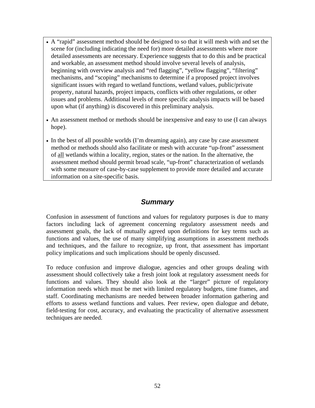- A "rapid" assessment method should be designed to so that it will mesh with and set the scene for (including indicating the need for) more detailed assessments where more detailed assessments are necessary. Experience suggests that to do this and be practical and workable, an assessment method should involve several levels of analysis, beginning with overview analysis and "red flagging", "yellow flagging", "filtering" mechanisms, and "scoping" mechanisms to determine if a proposed project involves significant issues with regard to wetland functions, wetland values, public/private property, natural hazards, project impacts, conflicts with other regulations, or other issues and problems. Additional levels of more specific analysis impacts will be based upon what (if anything) is discovered in this preliminary analysis.
- An assessment method or methods should be inexpensive and easy to use (I can always hope).
- In the best of all possible worlds (I'm dreaming again), any case by case assessment method or methods should also facilitate or mesh with accurate "up-front" assessment of all wetlands within a locality, region, states or the nation. In the alternative, the assessment method should permit broad scale, "up-front" characterization of wetlands with some measure of case-by-case supplement to provide more detailed and accurate information on a site-specific basis.

## *Summary*

Confusion in assessment of functions and values for regulatory purposes is due to many factors including lack of agreement concerning regulatory assessment needs and assessment goals, the lack of mutually agreed upon definitions for key terms such as functions and values, the use of many simplifying assumptions in assessment methods and techniques, and the failure to recognize, up front, that assessment has important policy implications and such implications should be openly discussed.

To reduce confusion and improve dialogue, agencies and other groups dealing with assessment should collectively take a fresh joint look at regulatory assessment needs for functions and values. They should also look at the "larger" picture of regulatory information needs which must be met with limited regulatory budgets, time frames, and staff. Coordinating mechanisms are needed between broader information gathering and efforts to assess wetland functions and values. Peer review, open dialogue and debate, field-testing for cost, accuracy, and evaluating the practicality of alternative assessment techniques are needed.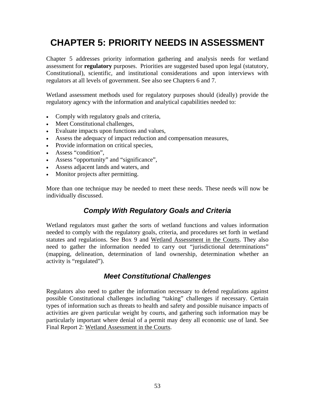# **CHAPTER 5: PRIORITY NEEDS IN ASSESSMENT**

Chapter 5 addresses priority information gathering and analysis needs for wetland assessment for **regulatory** purposes. Priorities are suggested based upon legal (statutory, Constitutional), scientific, and institutional considerations and upon interviews with regulators at all levels of government. See also see Chapters 6 and 7.

Wetland assessment methods used for regulatory purposes should (ideally) provide the regulatory agency with the information and analytical capabilities needed to:

- Comply with regulatory goals and criteria,
- Meet Constitutional challenges,
- Evaluate impacts upon functions and values,
- Assess the adequacy of impact reduction and compensation measures,
- Provide information on critical species,
- Assess "condition",
- Assess "opportunity" and "significance",
- Assess adjacent lands and waters, and
- Monitor projects after permitting.

More than one technique may be needed to meet these needs. These needs will now be individually discussed.

# *Comply With Regulatory Goals and Criteria*

Wetland regulators must gather the sorts of wetland functions and values information needed to comply with the regulatory goals, criteria, and procedures set forth in wetland statutes and regulations. See Box 9 and Wetland Assessment in the Courts. They also need to gather the information needed to carry out "jurisdictional determinations" (mapping, delineation, determination of land ownership, determination whether an activity is "regulated").

# *Meet Constitutional Challenges*

Regulators also need to gather the information necessary to defend regulations against possible Constitutional challenges including "taking" challenges if necessary. Certain types of information such as threats to health and safety and possible nuisance impacts of activities are given particular weight by courts, and gathering such information may be particularly important where denial of a permit may deny all economic use of land. See Final Report 2: Wetland Assessment in the Courts.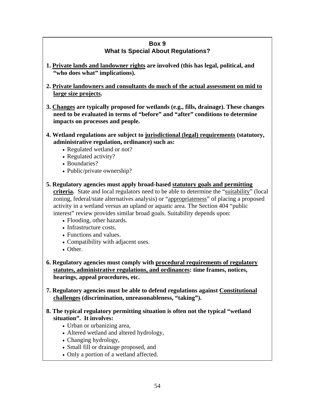### **Box 9 What Is Special About Regulations?**

- **1. Private lands and landowner rights are involved (this has legal, political, and "who does what" implications).**
- **2. Private landowners and consultants do much of the actual assessment on mid to large size projects.**
- **3. Changes are typically proposed for wetlands (e.g., fills, drainage). These changes need to be evaluated in terms of "before" and "after" conditions to determine impacts on processes and people.**
- **4. Wetland regulations are subject to jurisdictional (legal) requirements (statutory, administrative regulation, ordinance) such as:** 
	- Regulated wetland or not?
	- Regulated activity?
	- Boundaries?
	- Public/private ownership?
- **5. Regulatory agencies must apply broad-based statutory goals and permitting criteria.** State and local regulators need to be able to determine the "suitability" (local zoning, federal/state alternatives analysis) or "appropriateness" of placing a proposed activity in a wetland versus an upland or aquatic area. The Section 404 "public interest" review provides similar broad goals. Suitability depends upon:
	- Flooding, other hazards.
	- Infrastructure costs.
	- Functions and values.
	- Compatibility with adjacent uses.
	- Other.
- **6. Regulatory agencies must comply with procedural requirements of regulatory statutes, administrative regulations, and ordinances: time frames, notices, hearings, appeal procedures, etc.**
- **7. Regulatory agencies must be able to defend regulations against Constitutional challenges (discrimination, unreasonableness, "taking").**
- **8. The typical regulatory permitting situation is often not the typical "wetland situation". It involves:** 
	- Urban or urbanizing area,
	- Altered wetland and altered hydrology,
	- Changing hydrology,
	- Small fill or drainage proposed, and
	- Only a portion of a wetland affected.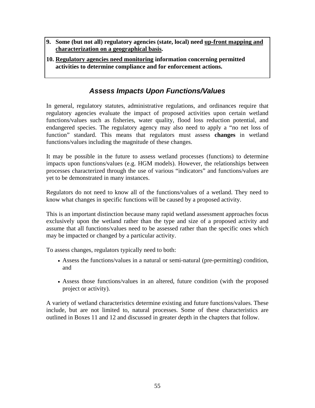- **9. Some (but not all) regulatory agencies (state, local) need up-front mapping and characterization on a geographical basis.**
- **10. Regulatory agencies need monitoring information concerning permitted activities to determine compliance and for enforcement actions.**

# *Assess Impacts Upon Functions/Values*

In general, regulatory statutes, administrative regulations, and ordinances require that regulatory agencies evaluate the impact of proposed activities upon certain wetland functions/values such as fisheries, water quality, flood loss reduction potential, and endangered species. The regulatory agency may also need to apply a "no net loss of function" standard. This means that regulators must assess **changes** in wetland functions/values including the magnitude of these changes.

It may be possible in the future to assess wetland processes (functions) to determine impacts upon functions/values (e.g. HGM models). However, the relationships between processes characterized through the use of various "indicators" and functions/values are yet to be demonstrated in many instances.

Regulators do not need to know all of the functions/values of a wetland. They need to know what changes in specific functions will be caused by a proposed activity.

This is an important distinction because many rapid wetland assessment approaches focus exclusively upon the wetland rather than the type and size of a proposed activity and assume that all functions/values need to be assessed rather than the specific ones which may be impacted or changed by a particular activity.

To assess changes, regulators typically need to both:

- Assess the functions/values in a natural or semi-natural (pre-permitting) condition, and
- Assess those functions/values in an altered, future condition (with the proposed project or activity).

A variety of wetland characteristics determine existing and future functions/values. These include, but are not limited to, natural processes. Some of these characteristics are outlined in Boxes 11 and 12 and discussed in greater depth in the chapters that follow.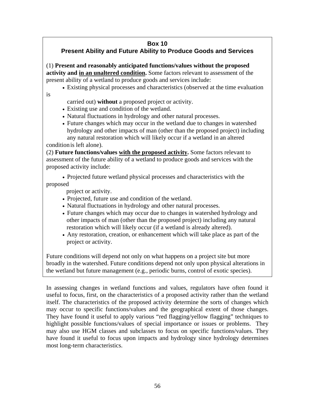# **Box 10**

# **Present Ability and Future Ability to Produce Goods and Services**

(1) **Present and reasonably anticipated functions/values without the proposed activity and in an unaltered condition.** Some factors relevant to assessment of the present ability of a wetland to produce goods and services include:

• Existing physical processes and characteristics (observed at the time evaluation

carried out) **without** a proposed project or activity.

- Existing use and condition of the wetland.
- Natural fluctuations in hydrology and other natural processes.
- Future changes which may occur in the wetland due to changes in watershed hydrology and other impacts of man (other than the proposed project) including any natural restoration which will likely occur if a wetland in an altered

condition is left alone).

is

(2) **Future functions/values with the proposed activity.** Some factors relevant to assessment of the future ability of a wetland to produce goods and services with the proposed activity include:

• Projected future wetland physical processes and characteristics with the proposed

project or activity.

- Projected, future use and condition of the wetland.
- Natural fluctuations in hydrology and other natural processes.
- Future changes which may occur due to changes in watershed hydrology and other impacts of man (other than the proposed project) including any natural restoration which will likely occur (if a wetland is already altered).
- Any restoration, creation, or enhancement which will take place as part of the project or activity.

Future conditions will depend not only on what happens on a project site but more broadly in the watershed. Future conditions depend not only upon physical alterations in the wetland but future management (e.g., periodic burns, control of exotic species).

In assessing changes in wetland functions and values, regulators have often found it useful to focus, first, on the characteristics of a proposed activity rather than the wetland itself. The characteristics of the proposed activity determine the sorts of changes which may occur to specific functions/values and the geographical extent of those changes. They have found it useful to apply various "red flagging/yellow flagging" techniques to highlight possible functions/values of special importance or issues or problems. They may also use HGM classes and subclasses to focus on specific functions/values. They have found it useful to focus upon impacts and hydrology since hydrology determines most long-term characteristics.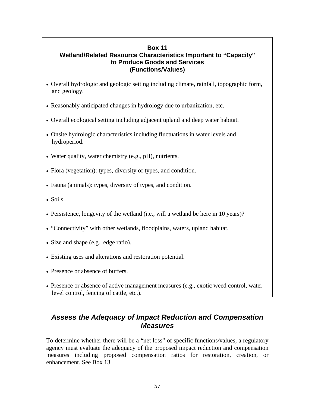### **Box 11 Wetland/Related Resource Characteristics Important to "Capacity" to Produce Goods and Services (Functions/Values)**

- Overall hydrologic and geologic setting including climate, rainfall, topographic form, and geology.
- Reasonably anticipated changes in hydrology due to urbanization, etc.
- Overall ecological setting including adjacent upland and deep water habitat.
- Onsite hydrologic characteristics including fluctuations in water levels and hydroperiod.
- Water quality, water chemistry (e.g., pH), nutrients.
- Flora (vegetation): types, diversity of types, and condition.
- Fauna (animals): types, diversity of types, and condition.
- Soils.
- Persistence, longevity of the wetland (i.e., will a wetland be here in 10 years)?
- "Connectivity" with other wetlands, floodplains, waters, upland habitat.
- Size and shape (e.g., edge ratio).
- Existing uses and alterations and restoration potential.
- Presence or absence of buffers.
- Presence or absence of active management measures (e.g., exotic weed control, water level control, fencing of cattle, etc.).

# *Assess the Adequacy of Impact Reduction and Compensation Measures*

To determine whether there will be a "net loss" of specific functions/values, a regulatory agency must evaluate the adequacy of the proposed impact reduction and compensation measures including proposed compensation ratios for restoration, creation, or enhancement. See Box 13.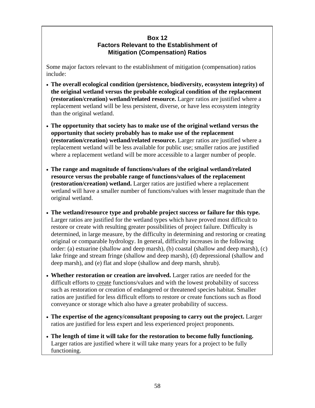### **Box 12 Factors Relevant to the Establishment of Mitigation (Compensation) Ratios**

Some major factors relevant to the establishment of mitigation (compensation) ratios include:

- **The overall ecological condition (persistence, biodiversity, ecosystem integrity) of the original wetland versus the probable ecological condition of the replacement (restoration/creation) wetland/related resource.** Larger ratios are justified where a replacement wetland will be less persistent, diverse, or have less ecosystem integrity than the original wetland.
- **The opportunity that society has to make use of the original wetland versus the opportunity that society probably has to make use of the replacement (restoration/creation) wetland/related resource.** Larger ratios are justified where a replacement wetland will be less available for public use; smaller ratios are justified where a replacement wetland will be more accessible to a larger number of people.
- **The range and magnitude of functions/values of the original wetland/related resource versus the probable range of functions/values of the replacement (restoration/creation) wetland.** Larger ratios are justified where a replacement wetland will have a smaller number of functions/values with lesser magnitude than the original wetland.
- **The wetland/resource type and probable project success or failure for this type.** Larger ratios are justified for the wetland types which have proved most difficult to restore or create with resulting greater possibilities of project failure. Difficulty is determined, in large measure, by the difficulty in determining and restoring or creating original or comparable hydrology. In general, difficulty increases in the following order: (a) estuarine (shallow and deep marsh), (b) coastal (shallow and deep marsh), (c) lake fringe and stream fringe (shallow and deep marsh), (d) depressional (shallow and deep marsh), and (e) flat and slope (shallow and deep marsh, shrub).
- **Whether restoration or creation are involved.** Larger ratios are needed for the difficult efforts to create functions/values and with the lowest probability of success such as restoration or creation of endangered or threatened species habitat. Smaller ratios are justified for less difficult efforts to restore or create functions such as flood conveyance or storage which also have a greater probability of success.
- **The expertise of the agency/consultant proposing to carry out the project.** Larger ratios are justified for less expert and less experienced project proponents.
- **The length of time it will take for the restoration to become fully functioning.** Larger ratios are justified where it will take many years for a project to be fully functioning.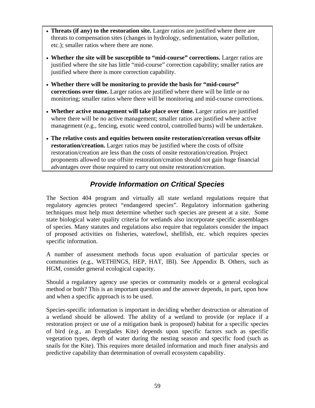- **Threats (if any) to the restoration site.** Larger ratios are justified where there are threats to compensation sites (changes in hydrology, sedimentation, water pollution, etc.); smaller ratios where there are none.
- **Whether the site will be susceptible to "mid-course" corrections.** Larger ratios are justified where the site has little "mid-course" correction capability; smaller ratios are justified where there is more correction capability.
- **Whether there will be monitoring to provide the basis for "mid-course" corrections over time.** Larger ratios are justified where there will be little or no monitoring; smaller ratios where there will be monitoring and mid-course corrections.
- **Whether active management will take place over time.** Larger ratios are justified where there will be no active management; smaller ratios are justified where active management (e.g., fencing, exotic weed control, controlled burns) will be undertaken.
- **The relative costs and equities between onsite restoration/creation versus offsite restoration/creation.** Larger ratios may be justified where the costs of offsite restoration/creation are less than the costs of onsite restoration/creation. Project proponents allowed to use offsite restoration/creation should not gain huge financial advantages over those required to carry out onsite restoration/creation.

# *Provide Information on Critical Species*

The Section 404 program and virtually all state wetland regulations require that regulatory agencies protect "endangered species". Regulatory information gathering techniques must help must determine whether such species are present at a site. Some state biological water quality criteria for wetlands also incorporate specific assemblages of species. Many statutes and regulations also require that regulators consider the impact of proposed activities on fisheries, waterfowl, shellfish, etc. which requires species specific information.

A number of assessment methods focus upon evaluation of particular species or communities (e.g., WETHINGS, HEP, HAT, IBI). See Appendix B. Others, such as HGM, consider general ecological capacity.

Should a regulatory agency use species or community models or a general ecological method or both? This is an important question and the answer depends, in part, upon how and when a specific approach is to be used.

Species-specific information is important in deciding whether destruction or alteration of a wetland should be allowed. The ability of a wetland to provide (or replace if a restoration project or use of a mitigation bank is proposed) habitat for a specific species of bird (e.g., an Everglades Kite) depends upon specific factors such as specific vegetation types, depth of water during the nesting season and specific food (such as snails for the Kite). This requires more detailed information and much finer analysis and predictive capability than determination of overall ecosystem capability.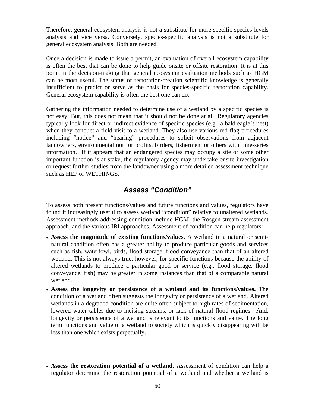Therefore, general ecosystem analysis is not a substitute for more specific species-levels analysis and vice versa. Conversely, species-specific analysis is not a substitute for general ecosystem analysis. Both are needed.

Once a decision is made to issue a permit, an evaluation of overall ecosystem capability is often the best that can be done to help guide onsite or offsite restoration. It is at this point in the decision-making that general ecosystem evaluation methods such as HGM can be most useful. The status of restoration/creation scientific knowledge is generally insufficient to predict or serve as the basis for species-specific restoration capability. General ecosystem capability is often the best one can do.

Gathering the information needed to determine use of a wetland by a specific species is not easy. But, this does not mean that it should not be done at all. Regulatory agencies typically look for direct or indirect evidence of specific species (e.g., a bald eagle's nest) when they conduct a field visit to a wetland. They also use various red flag procedures including "notice" and "hearing" procedures to solicit observations from adjacent landowners, environmental not for profits, birders, fishermen, or others with time-series information. If it appears that an endangered species may occupy a site or some other important function is at stake, the regulatory agency may undertake onsite investigation or request further studies from the landowner using a more detailed assessment technique such as HEP or WETHINGS.

### *Assess "Condition"*

To assess both present functions/values and future functions and values, regulators have found it increasingly useful to assess wetland "condition" relative to unaltered wetlands. Assessment methods addressing condition include HGM, the Rosgen stream assessment approach, and the various IBI approaches. Assessment of condition can help regulators:

- **Assess the magnitude of existing functions/values.** A wetland in a natural or seminatural condition often has a greater ability to produce particular goods and services such as fish, waterfowl, birds, flood storage, flood conveyance than that of an altered wetland. This is not always true, however, for specific functions because the ability of altered wetlands to produce a particular good or service (e.g., flood storage, flood conveyance, fish) may be greater in some instances than that of a comparable natural wetland.
- **Assess the longevity or persistence of a wetland and its functions/values.** The condition of a wetland often suggests the longevity or persistence of a wetland. Altered wetlands in a degraded condition are quite often subject to high rates of sedimentation, lowered water tables due to incising streams, or lack of natural flood regimes. And, longevity or persistence of a wetland is relevant to its functions and value. The long term functions and value of a wetland to society which is quickly disappearing will be less than one which exists perpetually.
- **Assess the restoration potential of a wetland.** Assessment of condition can help a regulator determine the restoration potential of a wetland and whether a wetland is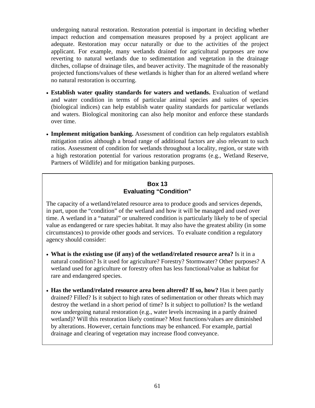undergoing natural restoration. Restoration potential is important in deciding whether impact reduction and compensation measures proposed by a project applicant are adequate. Restoration may occur naturally or due to the activities of the project applicant. For example, many wetlands drained for agricultural purposes are now reverting to natural wetlands due to sedimentation and vegetation in the drainage ditches, collapse of drainage tiles, and beaver activity. The magnitude of the reasonably projected functions/values of these wetlands is higher than for an altered wetland where no natural restoration is occurring.

- **Establish water quality standards for waters and wetlands.** Evaluation of wetland and water condition in terms of particular animal species and suites of species (biological indices) can help establish water quality standards for particular wetlands and waters. Biological monitoring can also help monitor and enforce these standards over time.
- **Implement mitigation banking.** Assessment of condition can help regulators establish mitigation ratios although a broad range of additional factors are also relevant to such ratios. Assessment of condition for wetlands throughout a locality, region, or state with a high restoration potential for various restoration programs (e.g., Wetland Reserve, Partners of Wildlife) and for mitigation banking purposes.

#### **Box 13 Evaluating "Condition"**

The capacity of a wetland/related resource area to produce goods and services depends, in part, upon the "condition" of the wetland and how it will be managed and used over time. A wetland in a "natural" or unaltered condition is particularly likely to be of special value as endangered or rare species habitat. It may also have the greatest ability (in some circumstances) to provide other goods and services. To evaluate condition a regulatory agency should consider:

- **What is the existing use (if any) of the wetland/related resource area?** Is it in a natural condition? Is it used for agriculture? Forestry? Stormwater? Other purposes? A wetland used for agriculture or forestry often has less functional/value as habitat for rare and endangered species.
- **Has the wetland/related resource area been altered? If so, how?** Has it been partly drained? Filled? Is it subject to high rates of sedimentation or other threats which may destroy the wetland in a short period of time? Is it subject to pollution? Is the wetland now undergoing natural restoration (e.g., water levels increasing in a partly drained wetland)? Will this restoration likely continue? Most functions/values are diminished by alterations. However, certain functions may be enhanced. For example, partial drainage and clearing of vegetation may increase flood conveyance.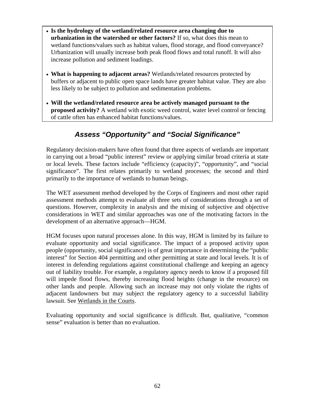- **Is the hydrology of the wetland/related resource area changing due to urbanization in the watershed or other factors?** If so, what does this mean to wetland functions/values such as habitat values, flood storage, and flood conveyance? Urbanization will usually increase both peak flood flows and total runoff. It will also increase pollution and sediment loadings.
- **What is happening to adjacent areas?** Wetlands/related resources protected by buffers or adjacent to public open space lands have greater habitat value. They are also less likely to be subject to pollution and sedimentation problems.
- **Will the wetland/related resource area be actively managed pursuant to the proposed activity?** A wetland with exotic weed control, water level control or fencing of cattle often has enhanced habitat functions/values.

# *Assess "Opportunity" and "Social Significance"*

Regulatory decision-makers have often found that three aspects of wetlands are important in carrying out a broad "public interest" review or applying similar broad criteria at state or local levels. These factors include "efficiency (capacity)", "opportunity", and "social significance". The first relates primarily to wetland processes; the second and third primarily to the importance of wetlands to human beings.

The WET assessment method developed by the Corps of Engineers and most other rapid assessment methods attempt to evaluate all three sets of considerations through a set of questions. However, complexity in analysis and the mixing of subjective and objective considerations in WET and similar approaches was one of the motivating factors in the development of an alternative approach—HGM.

HGM focuses upon natural processes alone. In this way, HGM is limited by its failure to evaluate opportunity and social significance. The impact of a proposed activity upon people (opportunity, social significance) is of great importance in determining the "public interest" for Section 404 permitting and other permitting at state and local levels. It is of interest in defending regulations against constitutional challenge and keeping an agency out of liability trouble. For example, a regulatory agency needs to know if a proposed fill will impede flood flows, thereby increasing flood heights (change in the resource) on other lands and people. Allowing such an increase may not only violate the rights of adjacent landowners but may subject the regulatory agency to a successful liability lawsuit. See Wetlands in the Courts.

Evaluating opportunity and social significance is difficult. But, qualitative, "common sense" evaluation is better than no evaluation.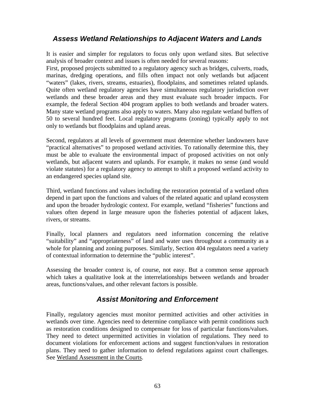### *Assess Wetland Relationships to Adjacent Waters and Lands*

It is easier and simpler for regulators to focus only upon wetland sites. But selective analysis of broader context and issues is often needed for several reasons:

First, proposed projects submitted to a regulatory agency such as bridges, culverts, roads, marinas, dredging operations, and fills often impact not only wetlands but adjacent "waters" (lakes, rivers, streams, estuaries), floodplains, and sometimes related uplands. Quite often wetland regulatory agencies have simultaneous regulatory jurisdiction over wetlands and these broader areas and they must evaluate such broader impacts. For example, the federal Section 404 program applies to both wetlands and broader waters. Many state wetland programs also apply to waters. Many also regulate wetland buffers of 50 to several hundred feet. Local regulatory programs (zoning) typically apply to not only to wetlands but floodplains and upland areas.

Second, regulators at all levels of government must determine whether landowners have "practical alternatives" to proposed wetland activities. To rationally determine this, they must be able to evaluate the environmental impact of proposed activities on not only wetlands, but adjacent waters and uplands. For example, it makes no sense (and would violate statutes) for a regulatory agency to attempt to shift a proposed wetland activity to an endangered species upland site.

Third, wetland functions and values including the restoration potential of a wetland often depend in part upon the functions and values of the related aquatic and upland ecosystem and upon the broader hydrologic context. For example, wetland "fisheries" functions and values often depend in large measure upon the fisheries potential of adjacent lakes, rivers, or streams.

Finally, local planners and regulators need information concerning the relative "suitability" and "appropriateness" of land and water uses throughout a community as a whole for planning and zoning purposes. Similarly, Section 404 regulators need a variety of contextual information to determine the "public interest".

Assessing the broader context is, of course, not easy. But a common sense approach which takes a qualitative look at the interrelationships between wetlands and broader areas, functions/values, and other relevant factors is possible.

# *Assist Monitoring and Enforcement*

Finally, regulatory agencies must monitor permitted activities and other activities in wetlands over time. Agencies need to determine compliance with permit conditions such as restoration conditions designed to compensate for loss of particular functions/values. They need to detect unpermitted activities in violation of regulations. They need to document violations for enforcement actions and suggest function/values in restoration plans. They need to gather information to defend regulations against court challenges. See Wetland Assessment in the Courts.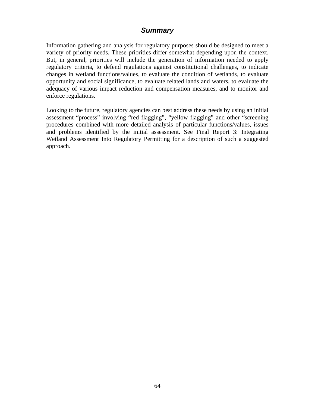### *Summary*

Information gathering and analysis for regulatory purposes should be designed to meet a variety of priority needs. These priorities differ somewhat depending upon the context. But, in general, priorities will include the generation of information needed to apply regulatory criteria, to defend regulations against constitutional challenges, to indicate changes in wetland functions/values, to evaluate the condition of wetlands, to evaluate opportunity and social significance, to evaluate related lands and waters, to evaluate the adequacy of various impact reduction and compensation measures, and to monitor and enforce regulations.

Looking to the future, regulatory agencies can best address these needs by using an initial assessment "process" involving "red flagging", "yellow flagging" and other "screening procedures combined with more detailed analysis of particular functions/values, issues and problems identified by the initial assessment. See Final Report 3: Integrating Wetland Assessment Into Regulatory Permitting for a description of such a suggested approach.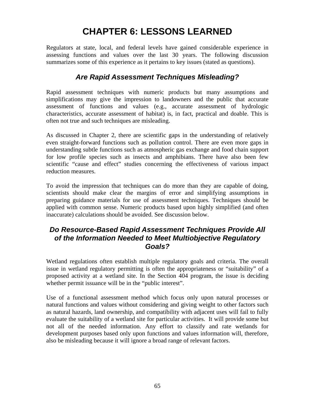# **CHAPTER 6: LESSONS LEARNED**

Regulators at state, local, and federal levels have gained considerable experience in assessing functions and values over the last 30 years. The following discussion summarizes some of this experience as it pertains to key issues (stated as questions).

### *Are Rapid Assessment Techniques Misleading?*

Rapid assessment techniques with numeric products but many assumptions and simplifications may give the impression to landowners and the public that accurate assessment of functions and values (e.g., accurate assessment of hydrologic characteristics, accurate assessment of habitat) is, in fact, practical and doable. This is often not true and such techniques are misleading.

As discussed in Chapter 2, there are scientific gaps in the understanding of relatively even straight-forward functions such as pollution control. There are even more gaps in understanding subtle functions such as atmospheric gas exchange and food chain support for low profile species such as insects and amphibians. There have also been few scientific "cause and effect" studies concerning the effectiveness of various impact reduction measures.

To avoid the impression that techniques can do more than they are capable of doing, scientists should make clear the margins of error and simplifying assumptions in preparing guidance materials for use of assessment techniques. Techniques should be applied with common sense. Numeric products based upon highly simplified (and often inaccurate) calculations should be avoided. See discussion below.

### *Do Resource-Based Rapid Assessment Techniques Provide All of the Information Needed to Meet Multiobjective Regulatory Goals?*

Wetland regulations often establish multiple regulatory goals and criteria. The overall issue in wetland regulatory permitting is often the appropriateness or "suitability" of a proposed activity at a wetland site. In the Section 404 program, the issue is deciding whether permit issuance will be in the "public interest".

Use of a functional assessment method which focus only upon natural processes or natural functions and values without considering and giving weight to other factors such as natural hazards, land ownership, and compatibility with adjacent uses will fail to fully evaluate the suitability of a wetland site for particular activities. It will provide some but not all of the needed information. Any effort to classify and rate wetlands for development purposes based only upon functions and values information will, therefore, also be misleading because it will ignore a broad range of relevant factors.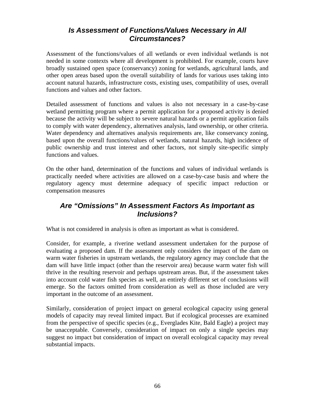### *Is Assessment of Functions/Values Necessary in All Circumstances?*

Assessment of the functions/values of all wetlands or even individual wetlands is not needed in some contexts where all development is prohibited. For example, courts have broadly sustained open space (conservancy) zoning for wetlands, agricultural lands, and other open areas based upon the overall suitability of lands for various uses taking into account natural hazards, infrastructure costs, existing uses, compatibility of uses, overall functions and values and other factors.

Detailed assessment of functions and values is also not necessary in a case-by-case wetland permitting program where a permit application for a proposed activity is denied because the activity will be subject to severe natural hazards or a permit application fails to comply with water dependency, alternatives analysis, land ownership, or other criteria. Water dependency and alternatives analysis requirements are, like conservancy zoning, based upon the overall functions/values of wetlands, natural hazards, high incidence of public ownership and trust interest and other factors, not simply site-specific simply functions and values.

On the other hand, determination of the functions and values of individual wetlands is practically needed where activities are allowed on a case-by-case basis and where the regulatory agency must determine adequacy of specific impact reduction or compensation measures

### *Are "Omissions" In Assessment Factors As Important as Inclusions?*

What is not considered in analysis is often as important as what is considered.

Consider, for example, a riverine wetland assessment undertaken for the purpose of evaluating a proposed dam. If the assessment only considers the impact of the dam on warm water fisheries in upstream wetlands, the regulatory agency may conclude that the dam will have little impact (other than the reservoir area) because warm water fish will thrive in the resulting reservoir and perhaps upstream areas. But, if the assessment takes into account cold water fish species as well, an entirely different set of conclusions will emerge. So the factors omitted from consideration as well as those included are very important in the outcome of an assessment.

Similarly, consideration of project impact on general ecological capacity using general models of capacity may reveal limited impact. But if ecological processes are examined from the perspective of specific species (e.g., Everglades Kite, Bald Eagle) a project may be unacceptable. Conversely, consideration of impact on only a single species may suggest no impact but consideration of impact on overall ecological capacity may reveal substantial impacts.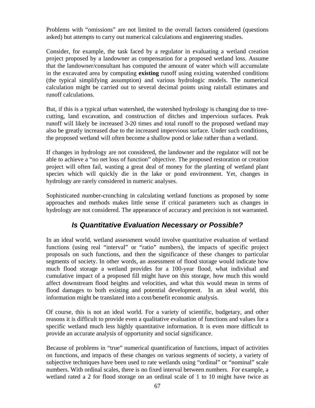Problems with "omissions" are not limited to the overall factors considered (questions asked) but attempts to carry out numerical calculations and engineering studies.

Consider, for example, the task faced by a regulator in evaluating a wetland creation project proposed by a landowner as compensation for a proposed wetland loss. Assume that the landowner/consultant has computed the amount of water which will accumulate in the excavated area by computing **existing** runoff using existing watershed conditions (the typical simplifying assumption) and various hydrologic models. The numerical calculation might be carried out to several decimal points using rainfall estimates and runoff calculations.

But, if this is a typical urban watershed, the watershed hydrology is changing due to treecutting, land excavation, and construction of ditches and impervious surfaces. Peak runoff will likely be increased 3-20 times and total runoff to the proposed wetland may also be greatly increased due to the increased impervious surface. Under such conditions, the proposed wetland will often become a shallow pond or lake rather than a wetland.

If changes in hydrology are not considered, the landowner and the regulator will not be able to achieve a "no net loss of function" objective. The proposed restoration or creation project will often fail, wasting a great deal of money for the planting of wetland plant species which will quickly die in the lake or pond environment. Yet, changes in hydrology are rarely considered in numeric analyses.

Sophisticated number-crunching in calculating wetland functions as proposed by some approaches and methods makes little sense if critical parameters such as changes in hydrology are not considered. The appearance of accuracy and precision is not warranted.

# *Is Quantitative Evaluation Necessary or Possible?*

In an ideal world, wetland assessment would involve quantitative evaluation of wetland functions (using real "interval" or "ratio" numbers), the impacts of specific project proposals on such functions, and then the significance of these changes to particular segments of society. In other words, an assessment of flood storage would indicate how much flood storage a wetland provides for a 100-year flood, what individual and cumulative impact of a proposed fill might have on this storage, how much this would affect downstream flood heights and velocities, and what this would mean in terms of flood damages to both existing and potential development. In an ideal world, this information might be translated into a cost/benefit economic analysis.

Of course, this is not an ideal world. For a variety of scientific, budgetary, and other reasons it is difficult to provide even a qualitative evaluation of functions and values for a specific wetland much less highly quantitative information. It is even more difficult to provide an accurate analysis of opportunity and social significance.

Because of problems in "true" numerical quantification of functions, impact of activities on functions, and impacts of these changes on various segments of society, a variety of subjective techniques have been used to rate wetlands using "ordinal" or "nominal" scale numbers. With ordinal scales, there is no fixed interval between numbers. For example, a wetland rated a 2 for flood storage on an ordinal scale of 1 to 10 might have twice as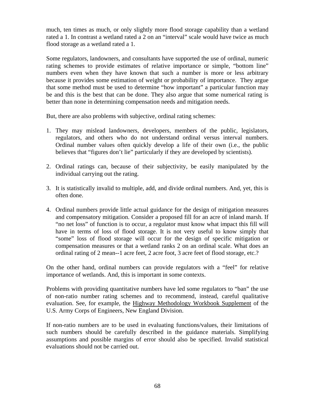much, ten times as much, or only slightly more flood storage capability than a wetland rated a 1. In contrast a wetland rated a 2 on an "interval" scale would have twice as much flood storage as a wetland rated a 1.

Some regulators, landowners, and consultants have supported the use of ordinal, numeric rating schemes to provide estimates of relative importance or simple, "bottom line" numbers even when they have known that such a number is more or less arbitrary because it provides some estimation of weight or probability of importance. They argue that some method must be used to determine "how important" a particular function may be and this is the best that can be done. They also argue that some numerical rating is better than none in determining compensation needs and mitigation needs.

But, there are also problems with subjective, ordinal rating schemes:

- 1. They may mislead landowners, developers, members of the public, legislators, regulators, and others who do not understand ordinal versus interval numbers. Ordinal number values often quickly develop a life of their own (i.e., the public believes that "figures don't lie" particularly if they are developed by scientists).
- 2. Ordinal ratings can, because of their subjectivity, be easily manipulated by the individual carrying out the rating.
- 3. It is statistically invalid to multiple, add, and divide ordinal numbers. And, yet, this is often done.
- 4. Ordinal numbers provide little actual guidance for the design of mitigation measures and compensatory mitigation. Consider a proposed fill for an acre of inland marsh. If "no net loss" of function is to occur, a regulator must know what impact this fill will have in terms of loss of flood storage. It is not very useful to know simply that "some" loss of flood storage will occur for the design of specific mitigation or compensation measures or that a wetland ranks 2 on an ordinal scale. What does an ordinal rating of 2 mean--1 acre feet, 2 acre foot, 3 acre feet of flood storage, etc.?

On the other hand, ordinal numbers can provide regulators with a "feel" for relative importance of wetlands. And, this is important in some contexts.

Problems with providing quantitative numbers have led some regulators to "ban" the use of non-ratio number rating schemes and to recommend, instead, careful qualitative evaluation. See, for example, the Highway Methodology Workbook Supplement of the U.S. Army Corps of Engineers, New England Division.

If non-ratio numbers are to be used in evaluating functions/values, their limitations of such numbers should be carefully described in the guidance materials. Simplifying assumptions and possible margins of error should also be specified. Invalid statistical evaluations should not be carried out.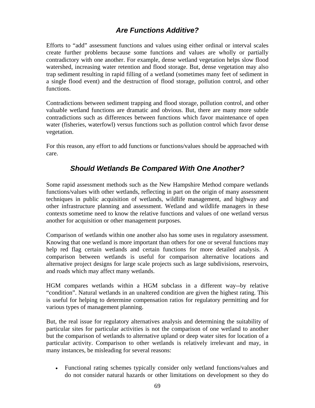# *Are Functions Additive?*

Efforts to "add" assessment functions and values using either ordinal or interval scales create further problems because some functions and values are wholly or partially contradictory with one another. For example, dense wetland vegetation helps slow flood watershed, increasing water retention and flood storage. But, dense vegetation may also trap sediment resulting in rapid filling of a wetland (sometimes many feet of sediment in a single flood event) and the destruction of flood storage, pollution control, and other functions.

Contradictions between sediment trapping and flood storage, pollution control, and other valuable wetland functions are dramatic and obvious. But, there are many more subtle contradictions such as differences between functions which favor maintenance of open water (fisheries, waterfowl) versus functions such as pollution control which favor dense vegetation.

For this reason, any effort to add functions or functions/values should be approached with care.

### *Should Wetlands Be Compared With One Another?*

Some rapid assessment methods such as the New Hampshire Method compare wetlands functions/values with other wetlands, reflecting in part on the origin of many assessment techniques in public acquisition of wetlands, wildlife management, and highway and other infrastructure planning and assessment. Wetland and wildlife managers in these contexts sometime need to know the relative functions and values of one wetland versus another for acquisition or other management purposes.

Comparison of wetlands within one another also has some uses in regulatory assessment. Knowing that one wetland is more important than others for one or several functions may help red flag certain wetlands and certain functions for more detailed analysis. A comparison between wetlands is useful for comparison alternative locations and alternative project designs for large scale projects such as large subdivisions, reservoirs, and roads which may affect many wetlands.

HGM compares wetlands within a HGM subclass in a different way--by relative "condition". Natural wetlands in an unaltered condition are given the highest rating. This is useful for helping to determine compensation ratios for regulatory permitting and for various types of management planning.

But, the real issue for regulatory alternatives analysis and determining the suitability of particular sites for particular activities is not the comparison of one wetland to another but the comparison of wetlands to alternative upland or deep water sites for location of a particular activity. Comparison to other wetlands is relatively irrelevant and may, in many instances, be misleading for several reasons:

• Functional rating schemes typically consider only wetland functions/values and do not consider natural hazards or other limitations on development so they do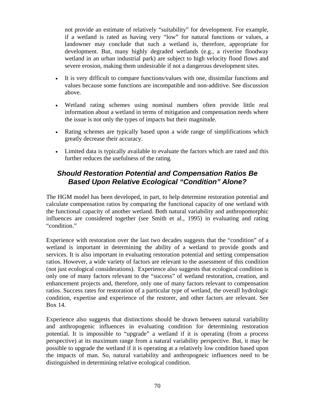not provide an estimate of relatively "suitability" for development. For example, if a wetland is rated as having very "low" for natural functions or values, a landowner may conclude that such a wetland is, therefore, appropriate for development. But, many highly degraded wetlands (e.g., a riverine floodway wetland in an urban industrial park) are subject to high velocity flood flows and severe erosion, making them undesirable if not a dangerous development sites.

- It is very difficult to compare functions/values with one, dissimilar functions and values because some functions are incompatible and non-additive. See discussion above.
- Wetland rating schemes using nominal numbers often provide little real information about a wetland in terms of mitigation and compensation needs where the issue is not only the types of impacts but their magnitude.
- Rating schemes are typically based upon a wide range of simplifications which greatly decrease their accuracy.
- Limited data is typically available to evaluate the factors which are rated and this further reduces the usefulness of the rating.

## *Should Restoration Potential and Compensation Ratios Be Based Upon Relative Ecological "Condition" Alone?*

The HGM model has been developed, in part, to help determine restoration potential and calculate compensation ratios by comparing the functional capacity of one wetland with the functional capacity of another wetland. Both natural variability and anthropomorphic influences are considered together (see Smith et al., 1995) in evaluating and rating "condition."

Experience with restoration over the last two decades suggests that the "condition" of a wetland is important in determining the ability of a wetland to provide goods and services. It is also important in evaluating restoration potential and setting compensation ratios. However, a wide variety of factors are relevant to the assessment of this condition (not just ecological considerations). Experience also suggests that ecological condition is only one of many factors relevant to the "success" of wetland restoration, creation, and enhancement projects and, therefore, only one of many factors relevant to compensation ratios. Success rates for restoration of a particular type of wetland, the overall hydrologic condition, expertise and experience of the restorer, and other factors are relevant. See Box 14.

Experience also suggests that distinctions should be drawn between natural variability and anthropogenic influences in evaluating condition for determining restoration potential. It is impossible to "upgrade" a wetland if it is operating (from a process perspective) at its maximum range from a natural variability perspective. But, it may be possible to upgrade the wetland if it is operating at a relatively low condition based upon the impacts of man. So, natural variability and anthropogneic influences need to be distinguished in determining relative ecological condition.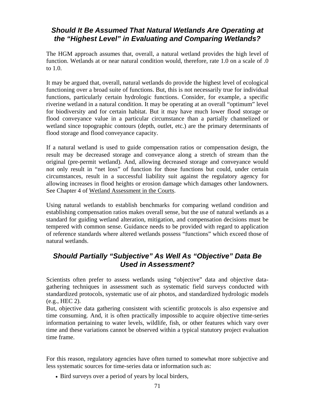# *Should It Be Assumed That Natural Wetlands Are Operating at the "Highest Level" in Evaluating and Comparing Wetlands?*

The HGM approach assumes that, overall, a natural wetland provides the high level of function. Wetlands at or near natural condition would, therefore, rate 1.0 on a scale of .0 to 1.0.

It may be argued that, overall, natural wetlands do provide the highest level of ecological functioning over a broad suite of functions. But, this is not necessarily true for individual functions, particularly certain hydrologic functions. Consider, for example, a specific riverine wetland in a natural condition. It may be operating at an overall "optimum" level for biodiversity and for certain habitat. But it may have much lower flood storage or flood conveyance value in a particular circumstance than a partially channelized or wetland since topographic contours (depth, outlet, etc.) are the primary determinants of flood storage and flood conveyance capacity.

If a natural wetland is used to guide compensation ratios or compensation design, the result may be decreased storage and conveyance along a stretch of stream than the original (pre-permit wetland). And, allowing decreased storage and conveyance would not only result in "net loss" of function for those functions but could, under certain circumstances, result in a successful liability suit against the regulatory agency for allowing increases in flood heights or erosion damage which damages other landowners. See Chapter 4 of Wetland Assessment in the Courts.

Using natural wetlands to establish benchmarks for comparing wetland condition and establishing compensation ratios makes overall sense, but the use of natural wetlands as a standard for guiding wetland alteration, mitigation, and compensation decisions must be tempered with common sense. Guidance needs to be provided with regard to application of reference standards where altered wetlands possess "functions" which exceed those of natural wetlands.

# *Should Partially "Subjective" As Well As "Objective" Data Be Used in Assessment?*

Scientists often prefer to assess wetlands using "objective" data and objective datagathering techniques in assessment such as systematic field surveys conducted with standardized protocols, systematic use of air photos, and standardized hydrologic models (e.g., HEC 2).

But, objective data gathering consistent with scientific protocols is also expensive and time consuming. And, it is often practically impossible to acquire objective time-series information pertaining to water levels, wildlife, fish, or other features which vary over time and these variations cannot be observed within a typical statutory project evaluation time frame.

For this reason, regulatory agencies have often turned to somewhat more subjective and less systematic sources for time-series data or information such as:

• Bird surveys over a period of years by local birders,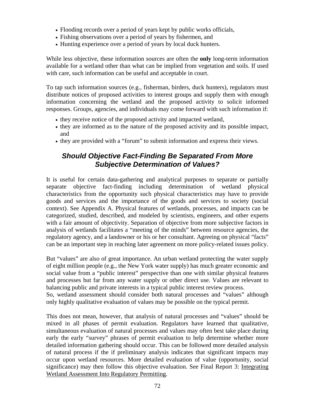- Flooding records over a period of years kept by public works officials,
- Fishing observations over a period of years by fishermen, and
- Hunting experience over a period of years by local duck hunters.

While less objective, these information sources are often the **only** long-term information available for a wetland other than what can be implied from vegetation and soils. If used with care, such information can be useful and acceptable in court.

To tap such information sources (e.g., fisherman, birders, duck hunters), regulators must distribute notices of proposed activities to interest groups and supply them with enough information concerning the wetland and the proposed activity to solicit informed responses. Groups, agencies, and individuals may come forward with such information if:

- they receive notice of the proposed activity and impacted wetland,
- they are informed as to the nature of the proposed activity and its possible impact, and
- they are provided with a "forum" to submit information and express their views.

### *Should Objective Fact-Finding Be Separated From More Subjective Determination of Values?*

It is useful for certain data-gathering and analytical purposes to separate or partially separate objective fact-finding including determination of wetland physical characteristics from the opportunity such physical characteristics may have to provide goods and services and the importance of the goods and services to society (social context). See Appendix A. Physical features of wetlands, processes, and impacts can be categorized, studied, described, and modeled by scientists, engineers, and other experts with a fair amount of objectivity. Separation of objective from more subjective factors in analysis of wetlands facilitates a "meeting of the minds" between resource agencies, the regulatory agency, and a landowner or his or her consultant. Agreeing on physical "facts" can be an important step in reaching later agreement on more policy-related issues policy.

But "values" are also of great importance. An urban wetland protecting the water supply of eight million people (e.g., the New York water supply) has much greater economic and social value from a "public interest" perspective than one with similar physical features and processes but far from any water supply or other direct use. Values are relevant to balancing public and private interests in a typical public interest review process.

So, wetland assessment should consider both natural processes and "values" although only highly qualitative evaluation of values may be possible on the typical permit.

This does not mean, however, that analysis of natural processes and "values" should be mixed in all phases of permit evaluation. Regulators have learned that qualitative, simultaneous evaluation of natural processes and values may often best take place during early the early "survey" phrases of permit evaluation to help determine whether more detailed information gathering should occur. This can be followed more detailed analysis of natural process if the if preliminary analysis indicates that significant impacts may occur upon wetland resources. More detailed evaluation of value (opportunity, social significance) may then follow this objective evaluation. See Final Report 3: Integrating Wetland Assessment Into Regulatory Permitting.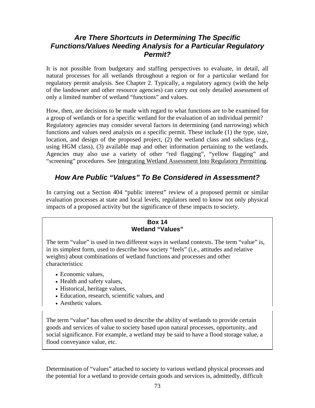### *Are There Shortcuts in Determining The Specific Functions/Values Needing Analysis for a Particular Regulatory Permit?*

It is not possible from budgetary and staffing perspectives to evaluate, in detail, all natural processes for all wetlands throughout a region or for a particular wetland for regulatory permit analysis. See Chapter 2. Typically, a regulatory agency (with the help of the landowner and other resource agencies) can carry out only detailed assessment of only a limited number of wetland "functions" and values.

How, then, are decisions to be made with regard to what functions are to be examined for a group of wetlands or for a specific wetland for the evaluation of an individual permit? Regulatory agencies may consider several factors in determining (and narrowing) which functions and values need analysis on a specific permit. These include (1) the type, size, location, and design of the proposed project, (2) the wetland class and subclass (e.g., using HGM class), (3) available map and other information pertaining to the wetlands. Agencies may also use a variety of other "red flagging", "yellow flagging" and "screening" procedures. See Integrating Wetland Assessment Into Regulatory Permitting.

### *How Are Public "Values" To Be Considered in Assessment?*

In carrying out a Section 404 "public interest" review of a proposed permit or similar evaluation processes at state and local levels, regulators need to know not only physical impacts of a proposed activity but the significance of these impacts to society.

#### **Box 14 Wetland "Values"**

The term "value" is used in two different ways in wetland contexts. The term "value" is, in its simplest form, used to describe how society "feels" (i.e., attitudes and relative weights) about combinations of wetland functions and processes and other characteristics:

- Economic values,
- Health and safety values,
- Historical, heritage values,
- Education, research, scientific values, and
- Aesthetic values.

The term "value" has often used to describe the ability of wetlands to provide certain goods and services of value to society based upon natural processes, opportunity, and social significance. For example, a wetland may be said to have a flood storage value, a flood conveyance value, etc.

Determination of "values" attached to society to various wetland physical processes and the potential for a wetland to provide certain goods and services is, admittedly, difficult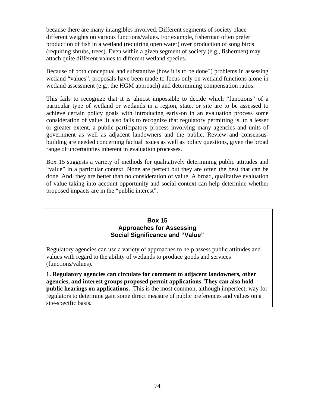(requiring shrubs, trees). Even within a given segment of society (e.g., fishermen) may attach quite different values to different wetland species. because there are many intangibles involved. Different segments of society place different weights on various functions/values. For example, fisherman often prefer production of fish in a wetland (requiring open water) over production of song birds

wetland "values", proposals have been made to focus only on wetland functions alone in wetland assessment (e.g., the HGM approach) and determining compensation ratios. Because of both conceptual and substantive (how it is to be done?) problems in assessing

building are needed concerning factual issues as well as policy questions, given the broad range of uncertainties inherent in evaluation processes. This fails to recognize that it is almost impossible to decide which "functions" of a particular type of wetland or wetlands in a region, state, or site are to be assessed to achieve certain policy goals with introducing early-on in an evaluation process some consideration of value. It also fails to recognize that regulatory permitting is, to a lesser or greater extent, a public participatory process involving many agencies and units of government as well as adjacent landowners and the public. Review and consensus-

of value taking into account opportunity and social context can help determine whether proposed impacts are in the "public interest". Box 15 suggests a variety of methods for qualitatively determining public attitudes and "value" in a particular context. None are perfect but they are often the best that can be done. And, they are better than no consideration of value. A broad, qualitative evaluation

#### **Box 15 Approaches for Assessing Social Significance and "Value"**

Regulatory agencies can use a variety of approaches to help assess public attitudes and values with regard to the ability of wetlands to produce goods and services (functions/values).

**1. Regulatory agencies can circulate for comment to adjacent landowners, other agencies, and interest groups proposed permit applications. They can also hold public hearings on applications.** This is the most common, although imperfect, way for regulators to determine gain some direct measure of public preferences and values on a site-specific basis.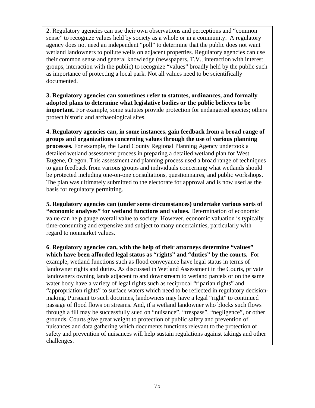2. Regulatory agencies can use their own observations and perceptions and "common sense" to recognize values held by society as a whole or in a community. A regulatory agency does not need an independent "poll" to determine that the public does not want wetland landowners to pollute wells on adjacent properties. Regulatory agencies can use their common sense and general knowledge (newspapers, T.V., interaction with interest groups, interaction with the public) to recognize "values" broadly held by the public such as importance of protecting a local park. Not all values need to be scientifically documented.

**3. Regulatory agencies can sometimes refer to statutes, ordinances, and formally adopted plans to determine what legislative bodies or the public believes to be important.** For example, some statutes provide protection for endangered species; others protect historic and archaeological sites.

**4. Regulatory agencies can, in some instances, gain feedback from a broad range of groups and organizations concerning values through the use of various planning processes.** For example, the Land County Regional Planning Agency undertook a detailed wetland assessment process in preparing a detailed wetland plan for West Eugene, Oregon. This assessment and planning process used a broad range of techniques to gain feedback from various groups and individuals concerning what wetlands should be protected including one-on-one consultations, questionnaires, and public workshops. The plan was ultimately submitted to the electorate for approval and is now used as the basis for regulatory permitting.

**5. Regulatory agencies can (under some circumstances) undertake various sorts of "economic analyses" for wetland functions and values.** Determination of economic value can help gauge overall value to society. However, economic valuation is typically time-consuming and expensive and subject to many uncertainties, particularly with regard to nonmarket values.

**6**. **Regulatory agencies can, with the help of their attorneys determine "values" which have been afforded legal status as "rights" and "duties" by the courts.** For example, wetland functions such as flood conveyance have legal status in terms of landowner rights and duties. As discussed in Wetland Assessment in the Courts, private landowners owning lands adjacent to and downstream to wetland parcels or on the same water body have a variety of legal rights such as reciprocal "riparian rights" and "appropriation rights" to surface waters which need to be reflected in regulatory decisionmaking. Pursuant to such doctrines, landowners may have a legal "right" to continued passage of flood flows on streams. And, if a wetland landowner who blocks such flows through a fill may be successfully sued on "nuisance", "trespass", "negligence", or other grounds. Courts give great weight to protection of public safety and prevention of nuisances and data gathering which documents functions relevant to the protection of safety and prevention of nuisances will help sustain regulations against takings and other challenges.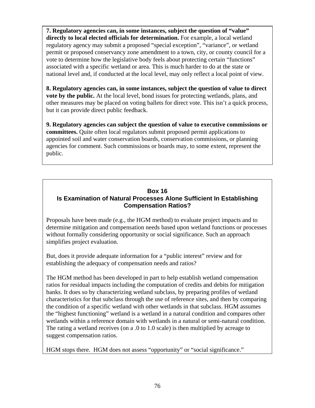**7. Regulatory agencies can, in some instances, subject the question of "value" directly to local elected officials for determination.** For example, a local wetland regulatory agency may submit a proposed "special exception", "variance", or wetland permit or proposed conservancy zone amendment to a town, city, or county council for a vote to determine how the legislative body feels about protecting certain "functions" associated with a specific wetland or area. This is much harder to do at the state or national level and, if conducted at the local level, may only reflect a local point of view.

**8. Regulatory agencies can, in some instances, subject the question of value to direct vote by the public.** At the local level, bond issues for protecting wetlands, plans, and other measures may be placed on voting ballets for direct vote. This isn't a quick process, but it can provide direct public feedback.

**9. Regulatory agencies can subject the question of value to executive commissions or committees.** Quite often local regulators submit proposed permit applications to appointed soil and water conservation boards, conservation commissions, or planning agencies for comment. Such commissions or boards may, to some extent, represent the public.

#### **Box 16 Is Examination of Natural Processes Alone Sufficient In Establishing Compensation Ratios?**

Proposals have been made (e.g., the HGM method) to evaluate project impacts and to determine mitigation and compensation needs based upon wetland functions or processes without formally considering opportunity or social significance. Such an approach simplifies project evaluation.

But, does it provide adequate information for a "public interest" review and for establishing the adequacy of compensation needs and ratios?

The HGM method has been developed in part to help establish wetland compensation ratios for residual impacts including the computation of credits and debits for mitigation banks. It does so by characterizing wetland subclass, by preparing profiles of wetland characteristics for that subclass through the use of reference sites, and then by comparing the condition of a specific wetland with other wetlands in that subclass. HGM assumes the "highest functioning" wetland is a wetland in a natural condition and compares other wetlands within a reference domain with wetlands in a natural or semi-natural condition. The rating a wetland receives (on a .0 to 1.0 scale) is then multiplied by acreage to suggest compensation ratios.

HGM stops there. HGM does not assess "opportunity" or "social significance."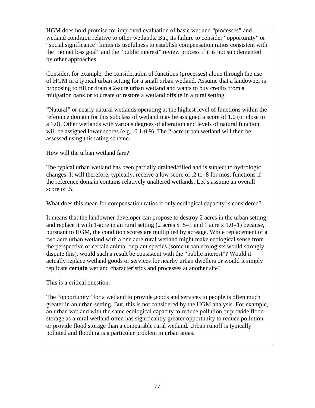HGM does hold promise for improved evaluation of basic wetland "processes" and wetland condition relative to other wetlands. But, its failure to consider "opportunity" or "social significance" limits its usefulness to establish compensation ratios consistent with the "no net loss goal" and the "public interest" review process if it is not supplemented by other approaches.

Consider, for example, the consideration of functions (processes) alone through the use of HGM in a typical urban setting for a small urban wetland. Assume that a landowner is proposing to fill or drain a 2-acre urban wetland and wants to buy credits from a mitigation bank or to create or restore a wetland offsite in a rural setting.

"Natural" or nearly natural wetlands operating at the highest level of functions within the reference domain for this subclass of wetland may be assigned a score of 1.0 (or close to a 1.0). Other wetlands with various degrees of alteration and levels of natural function will be assigned lower scores (e.g., 0.1-0.9). The 2-acre urban wetland will then be assessed using this rating scheme.

How will the urban wetland fare?

The typical urban wetland has been partially drained/filled and is subject to hydrologic changes. It will therefore, typically, receive a low score of .2 to .8 for most functions if the reference domain contains relatively unaltered wetlands. Let's assume an overall score of .5.

What does this mean for compensation ratios if only ecological capacity is considered?

It means that the landowner developer can propose to destroy 2 acres in the urban setting and replace it with 1-acre in an rural setting  $(2 \arcsin x 0.5)$  and 1 acre x 1.0 = 1) because, pursuant to HGM, the condition scores are multiplied by acreage. While replacement of a two acre urban wetland with a one acre rural wetland might make ecological sense from the perspective of certain animal or plant species (some urban ecologists would strongly dispute this), would such a result be consistent with the "public interest"? Would it actually replace wetland goods or services for nearby urban dwellers or would it simply replicate **certain** wetland characteristics and processes at another site?

This is a critical question.

The "opportunity" for a wetland to provide goods and services to people is often much greater in an urban setting. But, this is not considered by the HGM analysis. For example, an urban wetland with the same ecological capacity to reduce pollution or provide flood storage as a rural wetland often has significantly greater opportunity to reduce pollution or provide flood storage than a comparable rural wetland. Urban runoff is typically polluted and flooding is a particular problem in urban areas.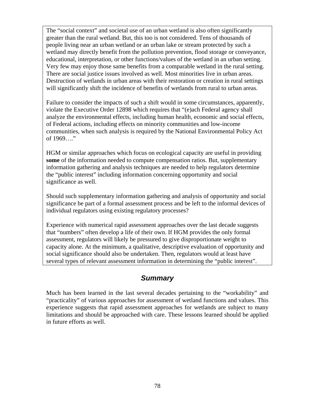The "social context" and societal use of an urban wetland is also often significantly greater than the rural wetland. But, this too is not considered. Tens of thousands of people living near an urban wetland or an urban lake or stream protected by such a wetland may directly benefit from the pollution prevention, flood storage or conveyance, educational, interpretation, or other functions/values of the wetland in an urban setting. Very few may enjoy those same benefits from a comparable wetland in the rural setting. There are social justice issues involved as well. Most minorities live in urban areas. Destruction of wetlands in urban areas with their restoration or creation in rural settings will significantly shift the incidence of benefits of wetlands from rural to urban areas.

Failure to consider the impacts of such a shift would in some circumstances, apparently, violate the Executive Order 12898 which requires that "(e)ach Federal agency shall analyze the environmental effects, including human health, economic and social effects, of Federal actions, including effects on minority communities and low-income communities, when such analysis is required by the National Environmental Policy Act of 1969…."

HGM or similar approaches which focus on ecological capacity are useful in providing **some** of the information needed to compute compensation ratios. But, supplementary information gathering and analysis techniques are needed to help regulators determine the "public interest" including information concerning opportunity and social significance as well.

Should such supplementary information gathering and analysis of opportunity and social significance be part of a formal assessment process and be left to the informal devices of individual regulators using existing regulatory processes?

Experience with numerical rapid assessment approaches over the last decade suggests that "numbers" often develop a life of their own. If HGM provides the only formal assessment, regulators will likely be pressured to give disproportionate weight to capacity alone. At the minimum, a qualitative, descriptive evaluation of opportunity and social significance should also be undertaken. Then, regulators would at least have several types of relevant assessment information in determining the "public interest".

### *Summary*

Much has been learned in the last several decades pertaining to the "workability" and "practicality" of various approaches for assessment of wetland functions and values. This experience suggests that rapid assessment approaches for wetlands are subject to many limitations and should be approached with care. These lessons learned should be applied in future efforts as well.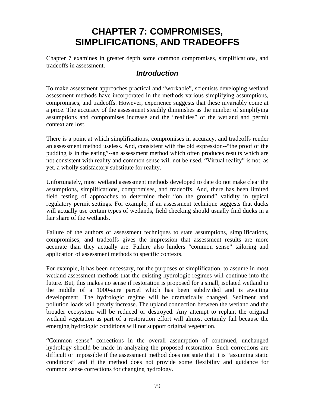# **CHAPTER 7: COMPROMISES, SIMPLIFICATIONS, AND TRADEOFFS**

Chapter 7 examines in greater depth some common compromises, simplifications, and tradeoffs in assessment.

### *Introduction*

To make assessment approaches practical and "workable", scientists developing wetland assessment methods have incorporated in the methods various simplifying assumptions, compromises, and tradeoffs. However, experience suggests that these invariably come at a price. The accuracy of the assessment steadily diminishes as the number of simplifying assumptions and compromises increase and the "realities" of the wetland and permit context are lost.

There is a point at which simplifications, compromises in accuracy, and tradeoffs render an assessment method useless. And, consistent with the old expression--"the proof of the pudding is in the eating"--an assessment method which often produces results which are not consistent with reality and common sense will not be used. "Virtual reality" is not, as yet, a wholly satisfactory substitute for reality.

Unfortunately, most wetland assessment methods developed to date do not make clear the assumptions, simplifications, compromises, and tradeoffs. And, there has been limited field testing of approaches to determine their "on the ground" validity in typical regulatory permit settings. For example, if an assessment technique suggests that ducks will actually use certain types of wetlands, field checking should usually find ducks in a fair share of the wetlands.

Failure of the authors of assessment techniques to state assumptions, simplifications, compromises, and tradeoffs gives the impression that assessment results are more accurate than they actually are. Failure also hinders "common sense" tailoring and application of assessment methods to specific contexts.

For example, it has been necessary, for the purposes of simplification, to assume in most wetland assessment methods that the existing hydrologic regimes will continue into the future. But, this makes no sense if restoration is proposed for a small, isolated wetland in the middle of a 1000-acre parcel which has been subdivided and is awaiting development. The hydrologic regime will be dramatically changed. Sediment and pollution loads will greatly increase. The upland connection between the wetland and the broader ecosystem will be reduced or destroyed. Any attempt to replant the original wetland vegetation as part of a restoration effort will almost certainly fail because the emerging hydrologic conditions will not support original vegetation.

"Common sense" corrections in the overall assumption of continued, unchanged hydrology should be made in analyzing the proposed restoration. Such corrections are difficult or impossible if the assessment method does not state that it is "assuming static conditions" and if the method does not provide some flexibility and guidance for common sense corrections for changing hydrology.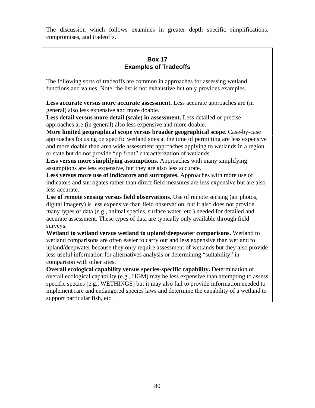The discussion which follows examines in greater depth specific simplifications, compromises, and tradeoffs.

#### **Box 17 Examples of Tradeoffs**

The following sorts of tradeoffs are common in approaches for assessing wetland functions and values. Note, the list is not exhaustive but only provides examples.

**Less accurate versus more accurate assessment.** Less accurate approaches are (in general) also less expensive and more doable.

**Less detail versus more detail (scale) in assessment.** Less detailed or precise approaches are (in general) also less expensive and more doable.

**More limited geographical scope versus broader geographical scope.** Case-by-case approaches focusing on specific wetland sites at the time of permitting are less expensive and more doable than area wide assessment approaches applying to wetlands in a region or state but do not provide "up front" characterization of wetlands.

**Less versus more simplifying assumptions.** Approaches with many simplifying assumptions are less expensive, but they are also less accurate.

**Less versus more use of indicators and surrogates.** Approaches with more use of indicators and surrogates rather than direct field measures are less expensive but are also less accurate.

**Use of remote sensing versus field observations.** Use of remote sensing (air photos, digital imagery) is less expensive than field observation, but it also does not provide many types of data (e.g., animal species, surface water, etc.) needed for detailed and accurate assessment. These types of data are typically only available through field surveys.

**Wetland to wetland versus wetland to upland/deepwater comparisons.** Wetland to wetland comparisons are often easier to carry out and less expensive than wetland to upland/deepwater because they only require assessment of wetlands but they also provide less useful information for alternatives analysis or determining "suitability" in comparison with other sites.

**Overall ecological capability versus species-specific capability.** Determination of overall ecological capability (e.g., HGM) may be less expensive than attempting to assess specific species (e.g., WETHINGS) but it may also fail to provide information needed to implement rare and endangered species laws and determine the capability of a wetland to support particular fish, etc.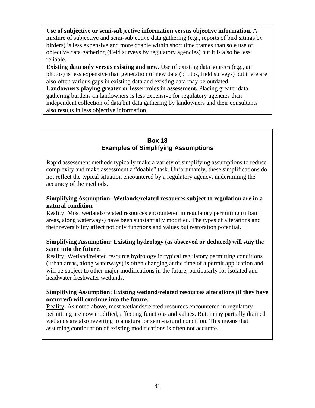**Use of subjective or semi-subjective information versus objective information.** A mixture of subjective and semi-subjective data gathering (e.g., reports of bird sitings by birders) is less expensive and more doable within short time frames than sole use of objective data gathering (field surveys by regulatory agencies) but it is also be less reliable.

**Existing data only versus existing and new.** Use of existing data sources (e.g., air photos) is less expensive than generation of new data (photos, field surveys) but there are also often various gaps in existing data and existing data may be outdated.

**Landowners playing greater or lesser roles in assessment.** Placing greater data gathering burdens on landowners is less expensive for regulatory agencies than independent collection of data but data gathering by landowners and their consultants also results in less objective information.

#### **Box 18 Examples of Simplifying Assumptions**

Rapid assessment methods typically make a variety of simplifying assumptions to reduce complexity and make assessment a "doable" task. Unfortunately, these simplifications do not reflect the typical situation encountered by a regulatory agency, undermining the accuracy of the methods.

#### **Simplifying Assumption: Wetlands/related resources subject to regulation are in a natural condition.**

Reality: Most wetlands/related resources encountered in regulatory permitting (urban areas, along waterways) have been substantially modified. The types of alterations and their reversibility affect not only functions and values but restoration potential.

#### **Simplifying Assumption: Existing hydrology (as observed or deduced) will stay the same into the future.**

Reality: Wetland/related resource hydrology in typical regulatory permitting conditions (urban areas, along waterways) is often changing at the time of a permit application and will be subject to other major modifications in the future, particularly for isolated and headwater freshwater wetlands.

#### **Simplifying Assumption: Existing wetland/related resources alterations (if they have occurred) will continue into the future.**

Reality: As noted above, most wetlands/related resources encountered in regulatory permitting are now modified, affecting functions and values. But, many partially drained wetlands are also reverting to a natural or semi-natural condition. This means that assuming continuation of existing modifications is often not accurate.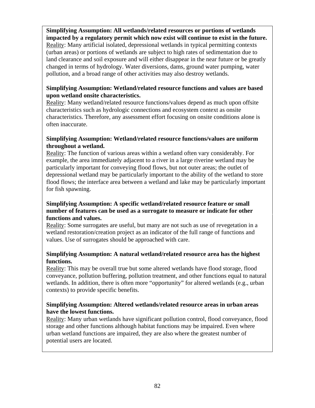**Simplifying Assumption: All wetlands/related resources or portions of wetlands impacted by a regulatory permit which now exist will continue to exist in the future.**  Reality: Many artificial isolated, depressional wetlands in typical permitting contexts (urban areas) or portions of wetlands are subject to high rates of sedimentation due to land clearance and soil exposure and will either disappear in the near future or be greatly changed in terms of hydrology. Water diversions, dams, ground water pumping, water pollution, and a broad range of other activities may also destroy wetlands.

#### **Simplifying Assumption: Wetland/related resource functions and values are based upon wetland onsite characteristics.**

Reality: Many wetland/related resource functions/values depend as much upon offsite characteristics such as hydrologic connections and ecosystem context as onsite characteristics. Therefore, any assessment effort focusing on onsite conditions alone is often inaccurate.

#### **Simplifying Assumption: Wetland/related resource functions/values are uniform throughout a wetland.**

Reality: The function of various areas within a wetland often vary considerably. For example, the area immediately adjacent to a river in a large riverine wetland may be particularly important for conveying flood flows, but not outer areas; the outlet of depressional wetland may be particularly important to the ability of the wetland to store flood flows; the interface area between a wetland and lake may be particularly important for fish spawning.

#### **Simplifying Assumption: A specific wetland/related resource feature or small number of features can be used as a surrogate to measure or indicate for other functions and values.**

Reality: Some surrogates are useful, but many are not such as use of revegetation in a wetland restoration/creation project as an indicator of the full range of functions and values. Use of surrogates should be approached with care.

#### **Simplifying Assumption: A natural wetland/related resource area has the highest functions.**

Reality: This may be overall true but some altered wetlands have flood storage, flood conveyance, pollution buffering, pollution treatment, and other functions equal to natural wetlands. In addition, there is often more "opportunity" for altered wetlands (e.g., urban contexts) to provide specific benefits.

#### **Simplifying Assumption: Altered wetlands/related resource areas in urban areas have the lowest functions.**

Reality: Many urban wetlands have significant pollution control, flood conveyance, flood storage and other functions although habitat functions may be impaired. Even where urban wetland functions are impaired, they are also where the greatest number of potential users are located.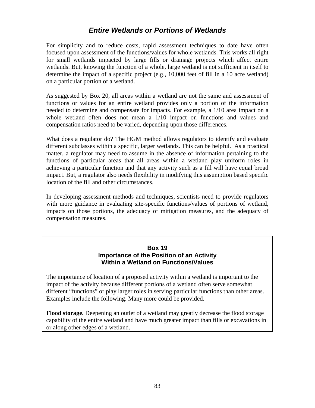### *Entire Wetlands or Portions of Wetlands*

For simplicity and to reduce costs, rapid assessment techniques to date have often focused upon assessment of the functions/values for whole wetlands. This works all right for small wetlands impacted by large fills or drainage projects which affect entire wetlands. But, knowing the function of a whole, large wetland is not sufficient in itself to determine the impact of a specific project (e.g., 10,000 feet of fill in a 10 acre wetland) on a particular portion of a wetland.

As suggested by Box 20, all areas within a wetland are not the same and assessment of functions or values for an entire wetland provides only a portion of the information needed to determine and compensate for impacts. For example, a 1/10 area impact on a whole wetland often does not mean a 1/10 impact on functions and values and compensation ratios need to be varied, depending upon those differences.

What does a regulator do? The HGM method allows regulators to identify and evaluate different subclasses within a specific, larger wetlands. This can be helpful. As a practical matter, a regulator may need to assume in the absence of information pertaining to the functions of particular areas that all areas within a wetland play uniform roles in achieving a particular function and that any activity such as a fill will have equal broad impact. But, a regulator also needs flexibility in modifying this assumption based specific location of the fill and other circumstances.

In developing assessment methods and techniques, scientists need to provide regulators with more guidance in evaluating site-specific functions/values of portions of wetland, impacts on those portions, the adequacy of mitigation measures, and the adequacy of compensation measures.

#### **Box 19 Importance of the Position of an Activity Within a Wetland on Functions/Values**

The importance of location of a proposed activity within a wetland is important to the impact of the activity because different portions of a wetland often serve somewhat different "functions" or play larger roles in serving particular functions than other areas. Examples include the following. Many more could be provided.

**Flood storage.** Deepening an outlet of a wetland may greatly decrease the flood storage capability of the entire wetland and have much greater impact than fills or excavations in or along other edges of a wetland.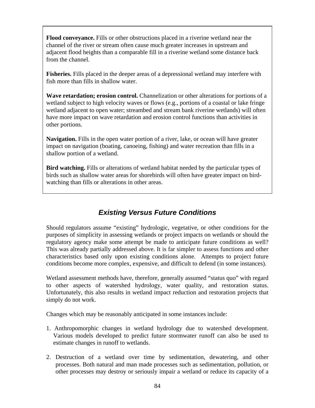**Flood conveyance.** Fills or other obstructions placed in a riverine wetland near the channel of the river or stream often cause much greater increases in upstream and adjacent flood heights than a comparable fill in a riverine wetland some distance back from the channel.

**Fisheries.** Fills placed in the deeper areas of a depressional wetland may interfere with fish more than fills in shallow water.

**Wave retardation; erosion control.** Channelization or other alterations for portions of a wetland subject to high velocity waves or flows (e.g., portions of a coastal or lake fringe wetland adjacent to open water; streambed and stream bank riverine wetlands) will often have more impact on wave retardation and erosion control functions than activities in other portions.

**Navigation.** Fills in the open water portion of a river, lake, or ocean will have greater impact on navigation (boating, canoeing, fishing) and water recreation than fills in a shallow portion of a wetland.

**Bird watching.** Fills or alterations of wetland habitat needed by the particular types of birds such as shallow water areas for shorebirds will often have greater impact on birdwatching than fills or alterations in other areas.

# *Existing Versus Future Conditions*

Should regulators assume "existing" hydrologic, vegetative, or other conditions for the purposes of simplicity in assessing wetlands or project impacts on wetlands or should the regulatory agency make some attempt be made to anticipate future conditions as well? This was already partially addressed above. It is far simpler to assess functions and other characteristics based only upon existing conditions alone. Attempts to project future conditions become more complex, expensive, and difficult to defend (in some instances).

Wetland assessment methods have, therefore, generally assumed "status quo" with regard to other aspects of watershed hydrology, water quality, and restoration status. Unfortunately, this also results in wetland impact reduction and restoration projects that simply do not work.

Changes which may be reasonably anticipated in some instances include:

- 1. Anthropomorphic changes in wetland hydrology due to watershed development. Various models developed to predict future stormwater runoff can also be used to estimate changes in runoff to wetlands.
- 2. Destruction of a wetland over time by sedimentation, dewatering, and other processes. Both natural and man made processes such as sedimentation, pollution, or other processes may destroy or seriously impair a wetland or reduce its capacity of a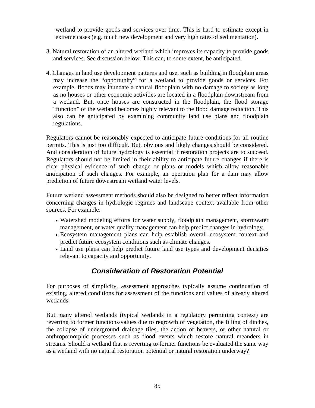wetland to provide goods and services over time. This is hard to estimate except in extreme cases (e.g. much new development and very high rates of sedimentation).

- 3. Natural restoration of an altered wetland which improves its capacity to provide goods and services. See discussion below. This can, to some extent, be anticipated.
- 4. Changes in land use development patterns and use, such as building in floodplain areas may increase the "opportunity" for a wetland to provide goods or services. For example, floods may inundate a natural floodplain with no damage to society as long as no houses or other economic activities are located in a floodplain downstream from a wetland. But, once houses are constructed in the floodplain, the flood storage "function" of the wetland becomes highly relevant to the flood damage reduction. This also can be anticipated by examining community land use plans and floodplain regulations.

Regulators cannot be reasonably expected to anticipate future conditions for all routine permits. This is just too difficult. But, obvious and likely changes should be considered. And consideration of future hydrology is essential if restoration projects are to succeed. Regulators should not be limited in their ability to anticipate future changes if there is clear physical evidence of such change or plans or models which allow reasonable anticipation of such changes. For example, an operation plan for a dam may allow prediction of future downstream wetland water levels.

Future wetland assessment methods should also be designed to better reflect information concerning changes in hydrologic regimes and landscape context available from other sources. For example:

- Watershed modeling efforts for water supply, floodplain management, stormwater management, or water quality management can help predict changes in hydrology.
- Ecosystem management plans can help establish overall ecosystem context and predict future ecosystem conditions such as climate changes.
- Land use plans can help predict future land use types and development densities relevant to capacity and opportunity.

# *Consideration of Restoration Potential*

For purposes of simplicity, assessment approaches typically assume continuation of existing, altered conditions for assessment of the functions and values of already altered wetlands.

But many altered wetlands (typical wetlands in a regulatory permitting context) are reverting to former functions/values due to regrowth of vegetation, the filling of ditches, the collapse of underground drainage tiles, the action of beavers, or other natural or anthropomorphic processes such as flood events which restore natural meanders in streams. Should a wetland that is reverting to former functions be evaluated the same way as a wetland with no natural restoration potential or natural restoration underway?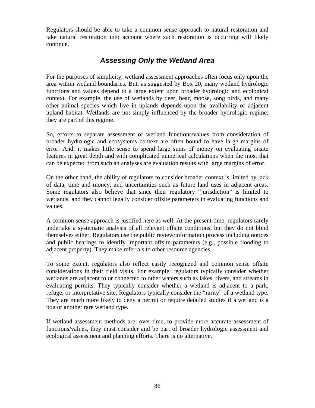Regulators should be able to take a common sense approach to natural restoration and take natural restoration into account where such restoration is occurring will likely continue.

### *Assessing Only the Wetland Area*

For the purposes of simplicity, wetland assessment approaches often focus only upon the area within wetland boundaries. But, as suggested by Box 20, many wetland hydrologic functions and values depend to a large extent upon broader hydrologic and ecological context. For example, the use of wetlands by deer, bear, moose, song birds, and many other animal species which live in uplands depends upon the availability of adjacent upland habitat. Wetlands are not simply influenced by the broader hydrologic regime; they are part of this regime.

So, efforts to separate assessment of wetland functions/values from consideration of broader hydrologic and ecosystems context are often bound to have large margins of error. And, it makes little sense to spend large sums of money on evaluating onsite features in great depth and with complicated numerical calculations when the most that can be expected from such an analyses are evaluation results with large margins of error.

On the other hand, the ability of regulators to consider broader context is limited by lack of data, time and money, and uncertainties such as future land uses in adjacent areas. Some regulators also believe that since their regulatory "jurisdiction" is limited to wetlands, and they cannot legally consider offsite parameters in evaluating functions and values.

A common sense approach is justified here as well. At the present time, regulators rarely undertake a systematic analysis of all relevant offsite conditions, but they do not blind themselves either. Regulators use the public review/information process including notices and public hearings to identify important offsite parameters (e.g., possible flooding to adjacent property). They make referrals to other resource agencies.

To some extent, regulators also reflect easily recognized and common sense offsite considerations in their field visits. For example, regulators typically consider whether wetlands are adjacent to or connected to other waters such as lakes, rivers, and streams in evaluating permits. They typically consider whether a wetland is adjacent to a park, refuge, or interpretative site. Regulators typically consider the "rarity" of a wetland type. They are much more likely to deny a permit or require detailed studies if a wetland is a bog or another rare wetland type.

If wetland assessment methods are, over time, to provide more accurate assessment of functions/values, they must consider and be part of broader hydrologic assessment and ecological assessment and planning efforts. There is no alternative.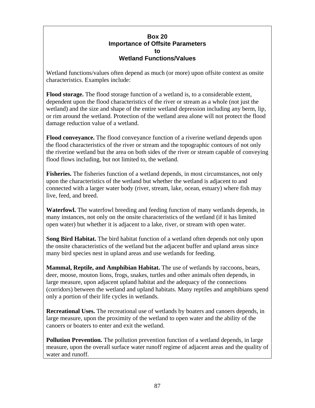#### **Box 20 Importance of Offsite Parameters to Wetland Functions/Values**

Wetland functions/values often depend as much (or more) upon offsite context as onsite characteristics. Examples include:

**Flood storage.** The flood storage function of a wetland is, to a considerable extent, dependent upon the flood characteristics of the river or stream as a whole (not just the wetland) and the size and shape of the entire wetland depression including any berm, lip, or rim around the wetland. Protection of the wetland area alone will not protect the flood damage reduction value of a wetland.

**Flood conveyance.** The flood conveyance function of a riverine wetland depends upon the flood characteristics of the river or stream and the topographic contours of not only the riverine wetland but the area on both sides of the river or stream capable of conveying flood flows including, but not limited to, the wetland.

**Fisheries.** The fisheries function of a wetland depends, in most circumstances, not only upon the characteristics of the wetland but whether the wetland is adjacent to and connected with a larger water body (river, stream, lake, ocean, estuary) where fish may live, feed, and breed.

**Waterfowl.** The waterfowl breeding and feeding function of many wetlands depends, in many instances, not only on the onsite characteristics of the wetland (if it has limited open water) but whether it is adjacent to a lake, river, or stream with open water.

**Song Bird Habitat.** The bird habitat function of a wetland often depends not only upon the onsite characteristics of the wetland but the adjacent buffer and upland areas since many bird species nest in upland areas and use wetlands for feeding.

**Mammal, Reptile, and Amphibian Habitat.** The use of wetlands by raccoons, bears, deer, moose, mouton lions, frogs, snakes, turtles and other animals often depends, in large measure, upon adjacent upland habitat and the adequacy of the connections (corridors) between the wetland and upland habitats. Many reptiles and amphibians spend only a portion of their life cycles in wetlands.

**Recreational Uses.** The recreational use of wetlands by boaters and canoers depends, in large measure, upon the proximity of the wetland to open water and the ability of the canoers or boaters to enter and exit the wetland.

**Pollution Prevention.** The pollution prevention function of a wetland depends, in large measure, upon the overall surface water runoff regime of adjacent areas and the quality of water and runoff.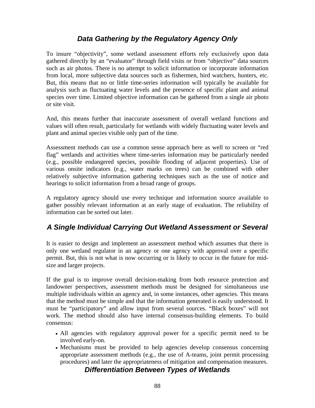## *Data Gathering by the Regulatory Agency Only*

To insure "objectivity", some wetland assessment efforts rely exclusively upon data gathered directly by an "evaluator" through field visits or from "objective" data sources such as air photos. There is no attempt to solicit information or incorporate information from local, more subjective data sources such as fishermen, bird watchers, hunters, etc. But, this means that no or little time-series information will typically be available for analysis such as fluctuating water levels and the presence of specific plant and animal species over time. Limited objective information can be gathered from a single air photo or site visit.

And, this means further that inaccurate assessment of overall wetland functions and values will often result, particularly for wetlands with widely fluctuating water levels and plant and animal species visible only part of the time.

Assessment methods can use a common sense approach here as well to screen or "red flag" wetlands and activities where time-series information may be particularly needed (e.g., possible endangered species, possible flooding of adjacent properties). Use of various onsite indicators (e.g., water marks on trees) can be combined with other relatively subjective information gathering techniques such as the use of notice and hearings to solicit information from a broad range of groups.

A regulatory agency should use every technique and information source available to gather possibly relevant information at an early stage of evaluation. The reliability of information can be sorted out later.

# *A Single Individual Carrying Out Wetland Assessment or Several*

It is easier to design and implement an assessment method which assumes that there is only one wetland regulator in an agency or one agency with approval over a specific permit. But, this is not what is now occurring or is likely to occur in the future for midsize and larger projects.

If the goal is to improve overall decision-making from both resource protection and landowner perspectives, assessment methods must be designed for simultaneous use multiple individuals within an agency and, in some instances, other agencies. This means that the method must be simple and that the information generated is easily understood. It must be "participatory" and allow input from several sources. "Black boxes" will not work. The method should also have internal consensus-building elements. To build consensus:

- All agencies with regulatory approval power for a specific permit need to be involved early-on.
- Mechanisms must be provided to help agencies develop consensus concerning appropriate assessment methods (e.g., the use of A-teams, joint permit processing procedures) and later the appropriateness of mitigation and compensation measures.

#### *Differentiation Between Types of Wetlands*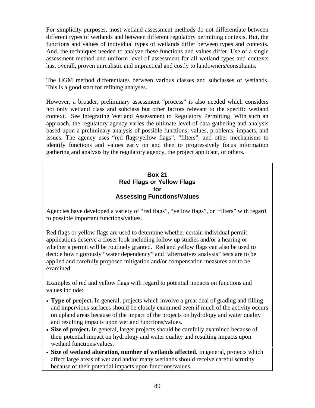For simplicity purposes, most wetland assessment methods do not differentiate between different types of wetlands and between different regulatory permitting contexts. But, the functions and values of individual types of wetlands differ between types and contexts. And, the techniques needed to analyze these functions and values differ. Use of a single assessment method and uniform level of assessment for all wetland types and contexts has, overall, proven unrealistic and impractical and costly to landowners/consultants.

The HGM method differentiates between various classes and subclasses of wetlands. This is a good start for refining analyses.

However, a broader, preliminary assessment "process" is also needed which considers not only wetland class and subclass but other factors relevant to the specific wetland context. See Integrating Wetland Assessment to Regulatory Permitting. With such an approach, the regulatory agency varies the ultimate level of data gathering and analysis based upon a preliminary analysis of possible functions, values, problems, impacts, and issues. The agency uses "red flags/yellow flags", "filters", and other mechanisms to identify functions and values early on and then to progressively focus information gathering and analysis by the regulatory agency, the project applicant, or others.

#### **Box 21 Red Flags or Yellow Flags for Assessing Functions/Values**

Agencies have developed a variety of "red flags", "yellow flags", or "filters" with regard to possible important functions/values.

Red flags or yellow flags are used to determine whether certain individual permit applications deserve a closer look including follow up studies and/or a hearing or whether a permit will be routinely granted. Red and yellow flags can also be used to decide how rigorously "water dependency" and "alternatives analysis" tests are to be applied and carefully proposed mitigation and/or compensation measures are to be examined.

Examples of red and yellow flags with regard to potential impacts on functions and values include:

- **Type of project.** In general, projects which involve a great deal of grading and filling and impervious surfaces should be closely examined even if much of the activity occurs on upland areas because of the impact of the projects on hydrology and water quality and resulting impacts upon wetland functions/values.
- **Size of project.** In general, larger projects should be carefully examined because of their potential impact on hydrology and water quality and resulting impacts upon wetland functions/values.
- **Size of wetland alteration, number of wetlands affected.** In general, projects which affect large areas of wetland and/or many wetlands should receive careful scrutiny because of their potential impacts upon functions/values.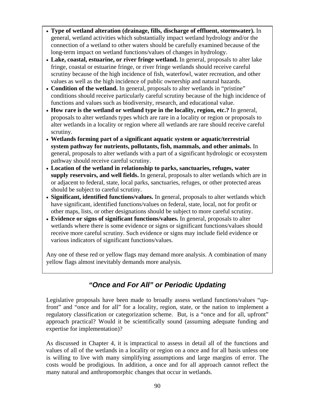- **Type of wetland alteration (drainage, fills, discharge of effluent, stormwater).** In general, wetland activities which substantially impact wetland hydrology and/or the connection of a wetland to other waters should be carefully examined because of the long-term impact on wetland functions/values of changes in hydrology.
- **Lake, coastal, estuarine, or river fringe wetland.** In general, proposals to alter lake fringe, coastal or estuarine fringe, or river fringe wetlands should receive careful scrutiny because of the high incidence of fish, waterfowl, water recreation, and other values as well as the high incidence of public ownership and natural hazards.
- **Condition of the wetland.** In general, proposals to alter wetlands in "pristine" conditions should receive particularly careful scrutiny because of the high incidence of functions and values such as biodiversity, research, and educational value.
- **How rare is the wetland or wetland type in the locality, region, etc.?** In general, proposals to alter wetlands types which are rare in a locality or region or proposals to alter wetlands in a locality or region where all wetlands are rare should receive careful scrutiny.
- **Wetlands forming part of a significant aquatic system or aquatic/terrestrial system pathway for nutrients, pollutants, fish, mammals, and other animals.** In general, proposals to alter wetlands with a part of a significant hydrologic or ecosystem pathway should receive careful scrutiny.
- **Location of the wetland in relationship to parks, sanctuaries, refuges, water supply reservoirs, and well fields.** In general, proposals to alter wetlands which are in or adjacent to federal, state, local parks, sanctuaries, refuges, or other protected areas should be subject to careful scrutiny.
- **Significant, identified functions/values.** In general, proposals to alter wetlands which have significant, identified functions/values on federal, state, local, not for profit or other maps, lists, or other designations should be subject to more careful scrutiny.
- **Evidence or signs of significant functions/values.** In general, proposals to alter wetlands where there is some evidence or signs or significant functions/values should receive more careful scrutiny. Such evidence or signs may include field evidence or various indicators of significant functions/values.

Any one of these red or yellow flags may demand more analysis. A combination of many yellow flags almost inevitably demands more analysis.

# *"Once and For All" or Periodic Updating*

Legislative proposals have been made to broadly assess wetland functions/values "upfront" and "once and for all" for a locality, region, state, or the nation to implement a regulatory classification or categorization scheme. But, is a "once and for all, upfront" approach practical? Would it be scientifically sound (assuming adequate funding and expertise for implementation)?

As discussed in Chapter 4, it is impractical to assess in detail all of the functions and values of all of the wetlands in a locality or region on a once and for all basis unless one is willing to live with many simplifying assumptions and large margins of error. The costs would be prodigious. In addition, a once and for all approach cannot reflect the many natural and anthropomorphic changes that occur in wetlands.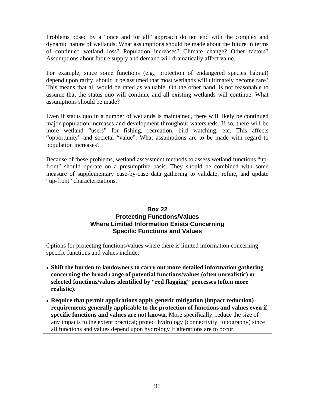Problems posed by a "once and for all" approach do not end with the complex and dynamic nature of wetlands. What assumptions should be made about the future in terms of continued wetland loss? Population increases? Climate change? Other factors? Assumptions about future supply and demand will dramatically affect value.

For example, since some functions (e.g., protection of endangered species habitat) depend upon rarity, should it be assumed that most wetlands will ultimately become rare? This means that all would be rated as valuable. On the other hand, is not reasonable to assume that the status quo will continue and all existing wetlands will continue. What assumptions should be made?

Even if status quo in a number of wetlands is maintained, there will likely be continued major population increases and development throughout watersheds. If so, there will be more wetland "users" for fishing, recreation, bird watching, etc. This affects "opportunity" and societal "value". What assumptions are to be made with regard to population increases?

Because of these problems, wetland assessment methods to assess wetland functions "upfront" should operate on a presumptive basis. They should be combined with some measure of supplementary case-by-case data gathering to validate, refine, and update "up-front" characterizations.

#### **Box 22 Protecting Functions/Values Where Limited Information Exists Concerning Specific Functions and Values**

Options for protecting functions/values where there is limited information concerning specific functions and values include:

- **Shift the burden to landowners to carry out more detailed information gathering concerning the broad range of potential functions/values (often unrealistic) or selected functions/values identified by "red flagging" processes (often more realistic).**
- **Require that permit applications apply generic mitigation (impact reduction) requirements generally applicable to the protection of functions and values even if specific functions and values are not known.** More specifically, reduce the size of any impacts to the extent practical; protect hydrology (connectivity, topography) since all functions and values depend upon hydrology if alterations are to occur.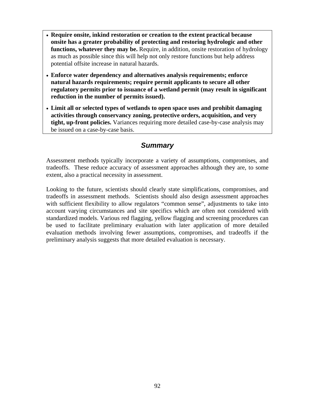- **Require onsite, inkind restoration or creation to the extent practical because onsite has a greater probability of protecting and restoring hydrologic and other functions, whatever they may be.** Require, in addition, onsite restoration of hydrology as much as possible since this will help not only restore functions but help address potential offsite increase in natural hazards.
- **Enforce water dependency and alternatives analysis requirements; enforce natural hazards requirements; require permit applicants to secure all other regulatory permits prior to issuance of a wetland permit (may result in significant reduction in the number of permits issued).**
- **Limit all or selected types of wetlands to open space uses and prohibit damaging activities through conservancy zoning, protective orders, acquisition, and very tight, up-front policies.** Variances requiring more detailed case-by-case analysis may be issued on a case-by-case basis.

### *Summary*

Assessment methods typically incorporate a variety of assumptions, compromises, and tradeoffs. These reduce accuracy of assessment approaches although they are, to some extent, also a practical necessity in assessment.

Looking to the future, scientists should clearly state simplifications, compromises, and tradeoffs in assessment methods. Scientists should also design assessment approaches with sufficient flexibility to allow regulators "common sense", adjustments to take into account varying circumstances and site specifics which are often not considered with standardized models. Various red flagging, yellow flagging and screening procedures can be used to facilitate preliminary evaluation with later application of more detailed evaluation methods involving fewer assumptions, compromises, and tradeoffs if the preliminary analysis suggests that more detailed evaluation is necessary.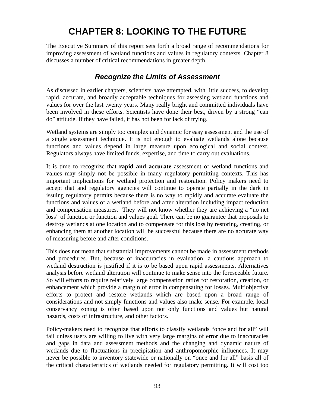# **CHAPTER 8: LOOKING TO THE FUTURE**

The Executive Summary of this report sets forth a broad range of recommendations for improving assessment of wetland functions and values in regulatory contexts. Chapter 8 discusses a number of critical recommendations in greater depth.

### *Recognize the Limits of Assessment*

As discussed in earlier chapters, scientists have attempted, with little success, to develop rapid, accurate, and broadly acceptable techniques for assessing wetland functions and values for over the last twenty years. Many really bright and committed individuals have been involved in these efforts. Scientists have done their best, driven by a strong "can do" attitude. If they have failed, it has not been for lack of trying.

Wetland systems are simply too complex and dynamic for easy assessment and the use of a single assessment technique. It is not enough to evaluate wetlands alone because functions and values depend in large measure upon ecological and social context. Regulators always have limited funds, expertise, and time to carry out evaluations.

It is time to recognize that **rapid and accurate** assessment of wetland functions and values may simply not be possible in many regulatory permitting contexts. This has important implications for wetland protection and restoration. Policy makers need to accept that and regulatory agencies will continue to operate partially in the dark in issuing regulatory permits because there is no way to rapidly and accurate evaluate the functions and values of a wetland before and after alteration including impact reduction and compensation measures. They will not know whether they are achieving a "no net loss" of function or function and values goal. There can be no guarantee that proposals to destroy wetlands at one location and to compensate for this loss by restoring, creating, or enhancing them at another location will be successful because there are no accurate way of measuring before and after conditions.

This does not mean that substantial improvements cannot be made in assessment methods and procedures. But, because of inaccuracies in evaluation, a cautious approach to wetland destruction is justified if it is to be based upon rapid assessments. Alternatives analysis before wetland alteration will continue to make sense into the foreseeable future. So will efforts to require relatively large compensation ratios for restoration, creation, or enhancement which provide a margin of error in compensating for losses. Multiobjective efforts to protect and restore wetlands which are based upon a broad range of considerations and not simply functions and values also make sense. For example, local conservancy zoning is often based upon not only functions and values but natural hazards, costs of infrastructure, and other factors.

Policy-makers need to recognize that efforts to classify wetlands "once and for all" will fail unless users are willing to live with very large margins of error due to inaccuracies and gaps in data and assessment methods and the changing and dynamic nature of wetlands due to fluctuations in precipitation and anthropomorphic influences. It may never be possible to inventory statewide or nationally on "once and for all" basis all of the critical characteristics of wetlands needed for regulatory permitting. It will cost too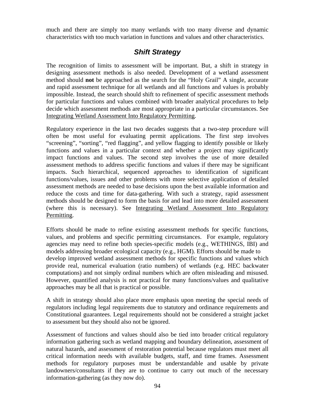much and there are simply too many wetlands with too many diverse and dynamic characteristics with too much variation in functions and values and other characteristics.

### *Shift Strategy*

The recognition of limits to assessment will be important. But, a shift in strategy in designing assessment methods is also needed. Development of a wetland assessment method should **not** be approached as the search for the "Holy Grail" A single, accurate and rapid assessment technique for all wetlands and all functions and values is probably impossible. Instead, the search should shift to refinement of specific assessment methods for particular functions and values combined with broader analytical procedures to help decide which assessment methods are most appropriate in a particular circumstances. See Integrating Wetland Assessment Into Regulatory Permitting.

Regulatory experience in the last two decades suggests that a two-step procedure will often be most useful for evaluating permit applications. The first step involves "screening", "sorting", "red flagging", and yellow flagging to identify possible or likely functions and values in a particular context and whether a project may significantly impact functions and values. The second step involves the use of more detailed assessment methods to address specific functions and values if there may be significant impacts. Such hierarchical, sequenced approaches to identification of significant functions/values, issues and other problems with more selective application of detailed assessment methods are needed to base decisions upon the best available information and reduce the costs and time for data-gathering. With such a strategy, rapid assessment methods should be designed to form the basis for and lead into more detailed assessment (where this is necessary). See Integrating Wetland Assessment Into Regulatory Permitting.

Efforts should be made to refine existing assessment methods for specific functions, values, and problems and specific permitting circumstances. For example, regulatory agencies may need to refine both species-specific models (e.g., WETHINGS, IBI) and models addressing broader ecological capacity (e.g., HGM). Efforts should be made to develop improved wetland assessment methods for specific functions and values which provide real, numerical evaluation (ratio numbers) of wetlands (e.g. HEC backwater computations) and not simply ordinal numbers which are often misleading and misused. However, quantified analysis is not practical for many functions/values and qualitative approaches may be all that is practical or possible.

A shift in strategy should also place more emphasis upon meeting the special needs of regulators including legal requirements due to statutory and ordinance requirements and Constitutional guarantees. Legal requirements should not be considered a straight jacket to assessment but they should also not be ignored.

Assessment of functions and values should also be tied into broader critical regulatory information gathering such as wetland mapping and boundary delineation, assessment of natural hazards, and assessment of restoration potential because regulators must meet all critical information needs with available budgets, staff, and time frames. Assessment methods for regulatory purposes must be understandable and usable by private landowners/consultants if they are to continue to carry out much of the necessary information-gathering (as they now do).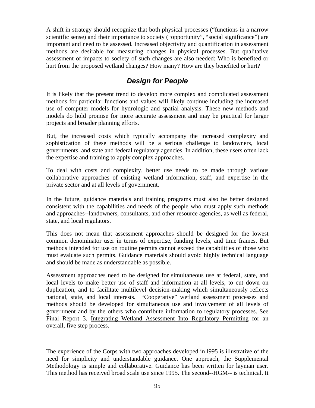A shift in strategy should recognize that both physical processes ("functions in a narrow scientific sense) and their importance to society ("opportunity", "social significance") are important and need to be assessed. Increased objectivity and quantification in assessment methods are desirable for measuring changes in physical processes. But qualitative assessment of impacts to society of such changes are also needed: Who is benefited or hurt from the proposed wetland changes? How many? How are they benefited or hurt?

## *Design for People*

It is likely that the present trend to develop more complex and complicated assessment methods for particular functions and values will likely continue including the increased use of computer models for hydrologic and spatial analysis. These new methods and models do hold promise for more accurate assessment and may be practical for larger projects and broader planning efforts.

But, the increased costs which typically accompany the increased complexity and sophistication of these methods will be a serious challenge to landowners, local governments, and state and federal regulatory agencies. In addition, these users often lack the expertise and training to apply complex approaches.

To deal with costs and complexity, better use needs to be made through various collaborative approaches of existing wetland information, staff, and expertise in the private sector and at all levels of government.

In the future, guidance materials and training programs must also be better designed consistent with the capabilities and needs of the people who must apply such methods and approaches--landowners, consultants, and other resource agencies, as well as federal, state, and local regulators.

This does not mean that assessment approaches should be designed for the lowest common denominator user in terms of expertise, funding levels, and time frames. But methods intended for use on routine permits cannot exceed the capabilities of those who must evaluate such permits. Guidance materials should avoid highly technical language and should be made as understandable as possible.

Assessment approaches need to be designed for simultaneous use at federal, state, and local levels to make better use of staff and information at all levels, to cut down on duplication, and to facilitate multilevel decision-making which simultaneously reflects national, state, and local interests. "Cooperative" wetland assessment processes and methods should be developed for simultaneous use and involvement of all levels of government and by the others who contribute information to regulatory processes. See Final Report 3. Integrating Wetland Assessment Into Regulatory Permitting for an overall, five step process.

The experience of the Corps with two approaches developed in l995 is illustrative of the need for simplicity and understandable guidance. One approach, the Supplemental Methodology is simple and collaborative. Guidance has been written for layman user. This method has received broad scale use since 1995. The second--HGM-- is technical. It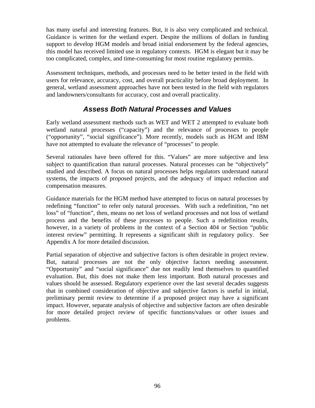has many useful and interesting features. But, it is also very complicated and technical. Guidance is written for the wetland expert. Despite the millions of dollars in funding support to develop HGM models and broad initial endorsement by the federal agencies, this model has received limited use in regulatory contexts. HGM is elegant but it may be too complicated, complex, and time-consuming for most routine regulatory permits.

Assessment techniques, methods, and processes need to be better tested in the field with users for relevance, accuracy, cost, and overall practicality before broad deployment. In general, wetland assessment approaches have not been tested in the field with regulators and landowners/consultants for accuracy, cost and overall practicality.

## *Assess Both Natural Processes and Values*

Early wetland assessment methods such as WET and WET 2 attempted to evaluate both wetland natural processes ("capacity") and the relevance of processes to people ("opportunity", "social significance"). More recently, models such as HGM and IBM have not attempted to evaluate the relevance of "processes" to people.

Several rationales have been offered for this. "Values" are more subjective and less subject to quantification than natural processes. Natural processes can be "objectively" studied and described. A focus on natural processes helps regulators understand natural systems, the impacts of proposed projects, and the adequacy of impact reduction and compensation measures.

Guidance materials for the HGM method have attempted to focus on natural processes by redefining "function" to refer only natural processes. With such a redefinition, "no net loss" of "function", then, means no net loss of wetland processes and not loss of wetland process and the benefits of these processes to people. Such a redefinition results, however, in a variety of problems in the context of a Section 404 or Section "public interest review" permitting. It represents a significant shift in regulatory policy. See Appendix A for more detailed discussion.

Partial separation of objective and subjective factors is often desirable in project review. But, natural processes are not the only objective factors needing assessment. "Opportunity" and "social significance" due not readily lend themselves to quantified evaluation. But, this does not make them less important. Both natural processes and values should be assessed. Regulatory experience over the last several decades suggests that in combined consideration of objective and subjective factors is useful in initial, preliminary permit review to determine if a proposed project may have a significant impact. However, separate analysis of objective and subjective factors are often desirable for more detailed project review of specific functions/values or other issues and problems.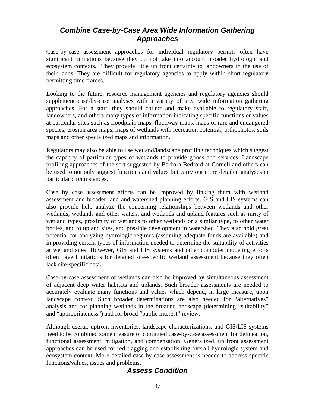## *Combine Case-by-Case Area Wide Information Gathering Approaches*

Case-by-case assessment approaches for individual regulatory permits often have significant limitations because they do not take into account broader hydrologic and ecosystem contexts. They provide little up front certainty to landowners in the use of their lands. They are difficult for regulatory agencies to apply within short regulatory permitting time frames.

Looking to the future, resource management agencies and regulatory agencies should supplement case-by-case analyses with a variety of area wide information gathering approaches. For a start, they should collect and make available to regulatory staff, landowners, and others many types of information indicating specific functions or values at particular sites such as floodplain maps, floodway maps, maps of rare and endangered species, erosion area maps, maps of wetlands with recreation potential, orthophotos, soils maps and other specialized maps and information.

Regulators may also be able to use wetland/landscape profiling techniques which suggest the capacity of particular types of wetlands to provide goods and services. Landscape profiling approaches of the sort suggested by Barbara Bedford at Cornell and others can be used to not only suggest functions and values but carry out more detailed analyses in particular circumstances.

Case by case assessment efforts can be improved by linking them with wetland assessment and broader land and watershed planning efforts. GIS and LIS systems can also provide help analyze the concerning relationships between wetlands and other wetlands, wetlands and other waters, and wetlands and upland features such as rarity of wetland types, proximity of wetlands to other wetlands or a similar type, to other water bodies, and to upland sites, and possible development in watershed. They also hold great potential for analyzing hydrologic regimes (assuming adequate funds are available) and in providing certain types of information needed to determine the suitability of activities at wetland sites. However, GIS and LIS systems and other computer modeling efforts often have limitations for detailed site-specific wetland assessment because they often lack site-specific data.

Case-by-case assessment of wetlands can also be improved by simultaneous assessment of adjacent deep water habitats and uplands. Such broader assessments are needed to accurately evaluate many functions and values which depend, in large measure, upon landscape context. Such broader determinations are also needed for "alternatives" analysis and for planning wetlands in the broader landscape (determining "suitability" and "appropriateness") and for broad "public interest" review.

Although useful, upfront inventories, landscape characterizations, and GIS/LIS systems need to be combined some measure of continued case-by-case assessment for delineation, functional assessment, mitigation, and compensation. Generalized, up front assessment approaches can be used for red flagging and establishing overall hydrologic system and ecosystem context. More detailed case-by-case assessment is needed to address specific functions/values, issues and problems.

# *Assess Condition*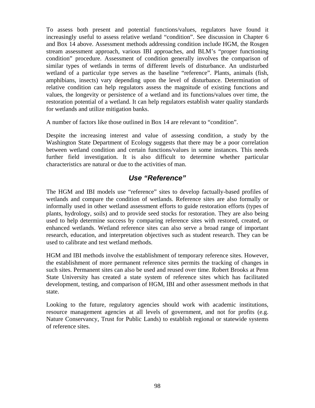To assess both present and potential functions/values, regulators have found it increasingly useful to assess relative wetland "condition". See discussion in Chapter 6 and Box 14 above. Assessment methods addressing condition include HGM, the Rosgen stream assessment approach, various IBI approaches, and BLM's "proper functioning condition" procedure. Assessment of condition generally involves the comparison of similar types of wetlands in terms of different levels of disturbance. An undisturbed wetland of a particular type serves as the baseline "reference". Plants, animals (fish, amphibians, insects) vary depending upon the level of disturbance. Determination of relative condition can help regulators assess the magnitude of existing functions and values, the longevity or persistence of a wetland and its functions/values over time, the restoration potential of a wetland. It can help regulators establish water quality standards for wetlands and utilize mitigation banks.

A number of factors like those outlined in Box 14 are relevant to "condition".

Despite the increasing interest and value of assessing condition, a study by the Washington State Department of Ecology suggests that there may be a poor correlation between wetland condition and certain functions/values in some instances. This needs further field investigation. It is also difficult to determine whether particular characteristics are natural or due to the activities of man.

## *Use "Reference"*

The HGM and IBI models use "reference" sites to develop factually-based profiles of wetlands and compare the condition of wetlands. Reference sites are also formally or informally used in other wetland assessment efforts to guide restoration efforts (types of plants, hydrology, soils) and to provide seed stocks for restoration. They are also being used to help determine success by comparing reference sites with restored, created, or enhanced wetlands. Wetland reference sites can also serve a broad range of important research, education, and interpretation objectives such as student research. They can be used to calibrate and test wetland methods.

HGM and IBI methods involve the establishment of temporary reference sites. However, the establishment of more permanent reference sites permits the tracking of changes in such sites. Permanent sites can also be used and reused over time. Robert Brooks at Penn State University has created a state system of reference sites which has facilitated development, testing, and comparison of HGM, IBI and other assessment methods in that state.

Looking to the future, regulatory agencies should work with academic institutions, resource management agencies at all levels of government, and not for profits (e.g. Nature Conservancy, Trust for Public Lands) to establish regional or statewide systems of reference sites.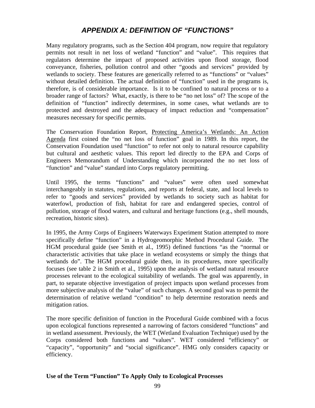# *APPENDIX A: DEFINITION OF "FUNCTIONS"*

Many regulatory programs, such as the Section 404 program, now require that regulatory permits not result in net loss of wetland "function" and "value". This requires that regulators determine the impact of proposed activities upon flood storage, flood conveyance, fisheries, pollution control and other "goods and services" provided by wetlands to society. These features are generically referred to as "functions" or "values" without detailed definition. The actual definition of "function" used in the programs is, therefore, is of considerable importance. Is it to be confined to natural process or to a broader range of factors? What, exactly, is there to be "no net loss" of? The scope of the definition of "function" indirectly determines, in some cases, what wetlands are to protected and destroyed and the adequacy of impact reduction and "compensation" measures necessary for specific permits.

The Conservation Foundation Report, Protecting America's Wetlands: An Action Agenda first coined the "no net loss of function" goal in 1989. In this report, the Conservation Foundation used "function" to refer not only to natural resource capability but cultural and aesthetic values. This report led directly to the EPA and Corps of Engineers Memorandum of Understanding which incorporated the no net loss of "function" and "value" standard into Corps regulatory permitting.

Until 1995, the terms "functions" and "values" were often used somewhat interchangeably in statutes, regulations, and reports at federal, state, and local levels to refer to "goods and services" provided by wetlands to society such as habitat for waterfowl, production of fish, habitat for rare and endangered species, control of pollution, storage of flood waters, and cultural and heritage functions (e.g., shell mounds, recreation, historic sites).

In 1995, the Army Corps of Engineers Waterways Experiment Station attempted to more specifically define "function" in a Hydrogeomorphic Method Procedural Guide. The HGM procedural guide (see Smith et al., 1995) defined functions "as the "normal or characteristic activities that take place in wetland ecosystems or simply the things that wetlands do". The HGM procedural guide then, in its procedures, more specifically focuses (see table 2 in Smith et al., 1995) upon the analysis of wetland natural resource processes relevant to the ecological suitability of wetlands. The goal was apparently, in part, to separate objective investigation of project impacts upon wetland processes from more subjective analysis of the "value" of such changes. A second goal was to permit the determination of relative wetland "condition" to help determine restoration needs and mitigation ratios.

The more specific definition of function in the Procedural Guide combined with a focus upon ecological functions represented a narrowing of factors considered "functions" and in wetland assessment. Previously, the WET (Wetland Evaluation Technique) used by the Corps considered both functions and "values". WET considered "efficiency" or "capacity", "opportunity" and "social significance". HMG only considers capacity or efficiency.

#### **Use of the Term "Function" To Apply Only to Ecological Processes**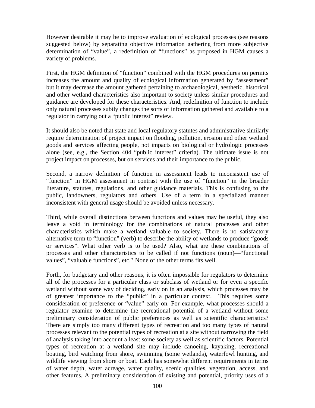However desirable it may be to improve evaluation of ecological processes (see reasons suggested below) by separating objective information gathering from more subjective determination of "value", a redefinition of "functions" as proposed in HGM causes a variety of problems.

First, the HGM definition of "function" combined with the HGM procedures on permits increases the amount and quality of ecological information generated by "assessment" but it may decrease the amount gathered pertaining to archaeological, aesthetic, historical and other wetland characteristics also important to society unless similar procedures and guidance are developed for these characteristics. And, redefinition of function to include only natural processes subtly changes the sorts of information gathered and available to a regulator in carrying out a "public interest" review.

It should also be noted that state and local regulatory statutes and administrative similarly require determination of project impact on flooding, pollution, erosion and other wetland goods and services affecting people, not impacts on biological or hydrologic processes alone (see, e.g., the Section 404 "public interest" criteria). The ultimate issue is not project impact on processes, but on services and their importance to the public.

Second, a narrow definition of function in assessment leads to inconsistent use of "function" in HGM assessment in contrast with the use of "function" in the broader literature, statutes, regulations, and other guidance materials. This is confusing to the public, landowners, regulators and others. Use of a term in a specialized manner inconsistent with general usage should be avoided unless necessary.

Third, while overall distinctions between functions and values may be useful, they also leave a void in terminology for the combinations of natural processes and other characteristics which make a wetland valuable to society. There is no satisfactory alternative term to "function" (verb) to describe the ability of wetlands to produce "goods or services". What other verb is to be used? Also, what are these combinations of processes and other characteristics to be called if not functions (noun)—"functional values", "valuable functions", etc.? None of the other terms fits well.

Forth, for budgetary and other reasons, it is often impossible for regulators to determine all of the processes for a particular class or subclass of wetland or for even a specific wetland without some way of deciding, early on in an analysis, which processes may be of greatest importance to the "public" in a particular context. This requires some consideration of preference or "value" early on. For example, what processes should a regulator examine to determine the recreational potential of a wetland without some preliminary consideration of public preferences as well as scientific characteristics? There are simply too many different types of recreation and too many types of natural processes relevant to the potential types of recreation at a site without narrowing the field of analysis taking into account a least some society as well as scientific factors. Potential types of recreation at a wetland site may include canoeing, kayaking, recreational boating, bird watching from shore, swimming (some wetlands), waterfowl hunting, and wildlife viewing from shore or boat. Each has somewhat different requirements in terms of water depth, water acreage, water quality, scenic qualities, vegetation, access, and other features. A preliminary consideration of existing and potential, priority uses of a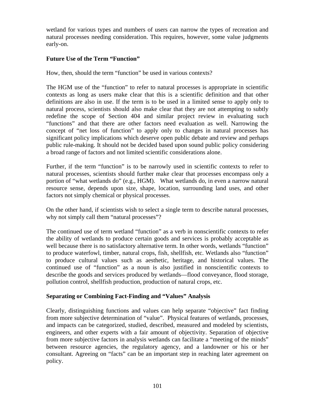wetland for various types and numbers of users can narrow the types of recreation and natural processes needing consideration. This requires, however, some value judgments early-on.

### **Future Use of the Term "Function"**

How, then, should the term "function" be used in various contexts?

The HGM use of the "function" to refer to natural processes is appropriate in scientific contexts as long as users make clear that this is a scientific definition and that other definitions are also in use. If the term is to be used in a limited sense to apply only to natural process, scientists should also make clear that they are not attempting to subtly redefine the scope of Section 404 and similar project review in evaluating such "functions" and that there are other factors need evaluation as well. Narrowing the concept of "net loss of function" to apply only to changes in natural processes has significant policy implications which deserve open public debate and review and perhaps public rule-making. It should not be decided based upon sound public policy considering a broad range of factors and not limited scientific considerations alone.

Further, if the term "function" is to be narrowly used in scientific contexts to refer to natural processes, scientists should further make clear that processes encompass only a portion of "what wetlands do" (e.g., HGM). What wetlands do, in even a narrow natural resource sense, depends upon size, shape, location, surrounding land uses, and other factors not simply chemical or physical processes.

On the other hand, if scientists wish to select a single term to describe natural processes, why not simply call them "natural processes"?

The continued use of term wetland "function" as a verb in nonscientific contexts to refer the ability of wetlands to produce certain goods and services is probably acceptable as well because there is no satisfactory alternative term. In other words, wetlands "function" to produce waterfowl, timber, natural crops, fish, shellfish, etc. Wetlands also "function" to produce cultural values such as aesthetic, heritage, and historical values. The continued use of "function" as a noun is also justified in nonscientific contexts to describe the goods and services produced by wetlands—flood conveyance, flood storage, pollution control, shellfish production, production of natural crops, etc.

## **Separating or Combining Fact-Finding and "Values" Analysis**

Clearly, distinguishing functions and values can help separate "objective" fact finding from more subjective determination of "value". Physical features of wetlands, processes, and impacts can be categorized, studied, described, measured and modeled by scientists, engineers, and other experts with a fair amount of objectivity. Separation of objective from more subjective factors in analysis wetlands can facilitate a "meeting of the minds" between resource agencies, the regulatory agency, and a landowner or his or her consultant. Agreeing on "facts" can be an important step in reaching later agreement on policy.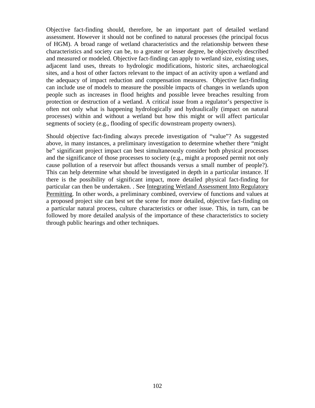Objective fact-finding should, therefore, be an important part of detailed wetland assessment. However it should not be confined to natural processes (the principal focus of HGM). A broad range of wetland characteristics and the relationship between these characteristics and society can be, to a greater or lesser degree, be objectively described and measured or modeled. Objective fact-finding can apply to wetland size, existing uses, adjacent land uses, threats to hydrologic modifications, historic sites, archaeological sites, and a host of other factors relevant to the impact of an activity upon a wetland and the adequacy of impact reduction and compensation measures. Objective fact-finding can include use of models to measure the possible impacts of changes in wetlands upon people such as increases in flood heights and possible levee breaches resulting from protection or destruction of a wetland. A critical issue from a regulator's perspective is often not only what is happening hydrologically and hydraulically (impact on natural processes) within and without a wetland but how this might or will affect particular segments of society (e.g., flooding of specific downstream property owners).

Should objective fact-finding always precede investigation of "value"? As suggested above, in many instances, a preliminary investigation to determine whether there "might be" significant project impact can best simultaneously consider both physical processes and the significance of those processes to society (e.g., might a proposed permit not only cause pollution of a reservoir but affect thousands versus a small number of people?). This can help determine what should be investigated in depth in a particular instance. If there is the possibility of significant impact, more detailed physical fact-finding for particular can then be undertaken. . See Integrating Wetland Assessment Into Regulatory Permitting. In other words, a preliminary combined, overview of functions and values at a proposed project site can best set the scene for more detailed, objective fact-finding on a particular natural process, culture characteristics or other issue. This, in turn, can be followed by more detailed analysis of the importance of these characteristics to society through public hearings and other techniques.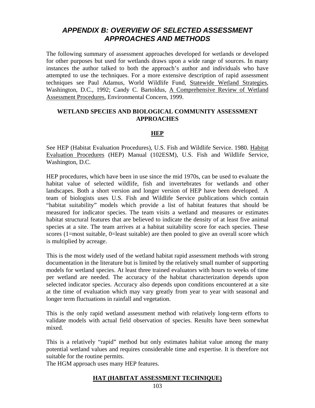## *APPENDIX B: OVERVIEW OF SELECTED ASSESSMENT APPROACHES AND METHODS*

The following summary of assessment approaches developed for wetlands or developed for other purposes but used for wetlands draws upon a wide range of sources. In many instances the author talked to both the approach's author and individuals who have attempted to use the techniques. For a more extensive description of rapid assessment techniques see Paul Adamus, World Wildlife Fund, Statewide Wetland Strategies, Washington, D.C., 1992; Candy C. Bartoldus, A Comprehensive Review of Wetland Assessment Procedures, Environmental Concern, 1999.

#### **WETLAND SPECIES AND BIOLOGICAL COMMUNITY ASSESSMENT APPROACHES**

#### **HEP**

See HEP (Habitat Evaluation Procedures), U.S. Fish and Wildlife Service. 1980. Habitat Evaluation Procedures (HEP) Manual (102ESM), U.S. Fish and Wildlife Service, Washington, D.C.

HEP procedures, which have been in use since the mid 1970s, can be used to evaluate the habitat value of selected wildlife, fish and invertebrates for wetlands and other landscapes. Both a short version and longer version of HEP have been developed. A team of biologists uses U.S. Fish and Wildlife Service publications which contain "habitat suitability" models which provide a list of habitat features that should be measured for indicator species. The team visits a wetland and measures or estimates habitat structural features that are believed to indicate the density of at least five animal species at a site. The team arrives at a habitat suitability score for each species. These scores (1=most suitable, 0=least suitable) are then pooled to give an overall score which is multiplied by acreage.

This is the most widely used of the wetland habitat rapid assessment methods with strong documentation in the literature but is limited by the relatively small number of supporting models for wetland species. At least three trained evaluators with hours to weeks of time per wetland are needed. The accuracy of the habitat characterization depends upon selected indicator species. Accuracy also depends upon conditions encountered at a site at the time of evaluation which may vary greatly from year to year with seasonal and longer term fluctuations in rainfall and vegetation.

This is the only rapid wetland assessment method with relatively long-term efforts to validate models with actual field observation of species. Results have been somewhat mixed.

This is a relatively "rapid" method but only estimates habitat value among the many potential wetland values and requires considerable time and expertise. It is therefore not suitable for the routine permits.

The HGM approach uses many HEP features.

### **HAT (HABITAT ASSESSMENT TECHNIQUE)**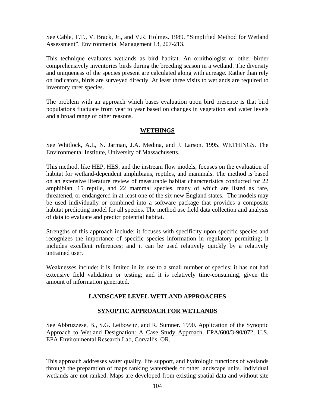See Cable, T.T., V. Brack, Jr., and V.R. Holmes. 1989. "Simplified Method for Wetland Assessment". Environmental Management 13, 207-213.

This technique evaluates wetlands as bird habitat. An ornithologist or other birder comprehensively inventories birds during the breeding season in a wetland. The diversity and uniqueness of the species present are calculated along with acreage. Rather than rely on indicators, birds are surveyed directly. At least three visits to wetlands are required to inventory rarer species.

The problem with an approach which bases evaluation upon bird presence is that bird populations fluctuate from year to year based on changes in vegetation and water levels and a broad range of other reasons.

### **WETHINGS**

See Whitlock, A.L, N. Jarman, J.A. Medina, and J. Larson. 1995. WETHINGS. The Environmental Institute, University of Massachusetts.

This method, like HEP, HES, and the instream flow models, focuses on the evaluation of habitat for wetland-dependent amphibians, reptiles, and mammals. The method is based on an extensive literature review of measurable habitat characteristics conducted for 22 amphibian, 15 reptile, and 22 mammal species, many of which are listed as rare, threatened, or endangered in at least one of the six new England states. The models may be used individually or combined into a software package that provides a composite habitat predicting model for all species. The method use field data collection and analysis of data to evaluate and predict potential habitat.

Strengths of this approach include: it focuses with specificity upon specific species and recognizes the importance of specific species information in regulatory permitting; it includes excellent references; and it can be used relatively quickly by a relatively untrained user.

Weaknesses include: it is limited in its use to a small number of species; it has not had extensive field validation or testing; and it is relatively time-consuming, given the amount of information generated.

## **LANDSCAPE LEVEL WETLAND APPROACHES**

## **SYNOPTIC APPROACH FOR WETLANDS**

See Abbruzzese, B., S.G. Leibowitz, and R. Sumner. 1990. Application of the Synoptic Approach to Wetland Designation: A Case Study Approach, EPA/600/3-90/072, U.S. EPA Environmental Research Lab, Corvallis, OR.

This approach addresses water quality, life support, and hydrologic functions of wetlands through the preparation of maps ranking watersheds or other landscape units. Individual wetlands are not ranked. Maps are developed from existing spatial data and without site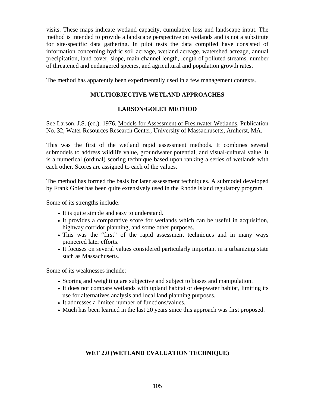visits. These maps indicate wetland capacity, cumulative loss and landscape input. The method is intended to provide a landscape perspective on wetlands and is not a substitute for site-specific data gathering. In pilot tests the data compiled have consisted of information concerning hydric soil acreage, wetland acreage, watershed acreage, annual precipitation, land cover, slope, main channel length, length of polluted streams, number of threatened and endangered species, and agricultural and population growth rates.

The method has apparently been experimentally used in a few management contexts.

### **MULTIOBJECTIVE WETLAND APPROACHES**

### **LARSON/GOLET METHOD**

See Larson, J.S. (ed.). 1976. Models for Assessment of Freshwater Wetlands, Publication No. 32, Water Resources Research Center, University of Massachusetts, Amherst, MA.

This was the first of the wetland rapid assessment methods. It combines several submodels to address wildlife value, groundwater potential, and visual-cultural value. It is a numerical (ordinal) scoring technique based upon ranking a series of wetlands with each other. Scores are assigned to each of the values.

The method has formed the basis for later assessment techniques. A submodel developed by Frank Golet has been quite extensively used in the Rhode Island regulatory program.

Some of its strengths include:

- It is quite simple and easy to understand.
- It provides a comparative score for wetlands which can be useful in acquisition, highway corridor planning, and some other purposes.
- This was the "first" of the rapid assessment techniques and in many ways pioneered later efforts.
- It focuses on several values considered particularly important in a urbanizing state such as Massachusetts.

Some of its weaknesses include:

- Scoring and weighting are subjective and subject to biases and manipulation.
- It does not compare wetlands with upland habitat or deepwater habitat, limiting its use for alternatives analysis and local land planning purposes.
- It addresses a limited number of functions/values.
- Much has been learned in the last 20 years since this approach was first proposed.

### **WET 2.0 (WETLAND EVALUATION TECHNIQUE)**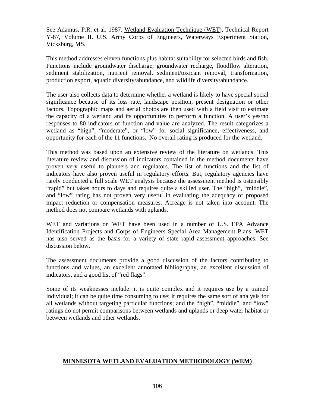See Adamus, P.R. et al. 1987. Wetland Evaluation Technique (WET), Technical Report Y-87, Volume II. U.S. Army Corps of Engineers, Waterways Experiment Station, Vicksburg, MS.

This method addresses eleven functions plus habitat suitability for selected birds and fish. Functions include groundwater discharge, groundwater recharge, floodflow alteration, sediment stabilization, nutrient removal, sediment/toxicant removal, transformation, production export, aquatic diversity/abundance, and wildlife diversity/abundance.

The user also collects data to determine whether a wetland is likely to have special social significance because of its loss rate, landscape position, present designation or other factors. Topographic maps and aerial photos are then used with a field visit to estimate the capacity of a wetland and its opportunities to perform a function. A user's yes/no responses to 80 indicators of function and value are analyzed. The result categorizes a wetland as "high", "moderate", or "low" for social significance, effectiveness, and opportunity for each of the 11 functions. No overall rating is produced for the wetland.

This method was based upon an extensive review of the literature on wetlands. This literature review and discussion of indicators contained in the method documents have proven very useful to planners and regulators. The list of functions and the list of indicators have also proven useful in regulatory efforts. But, regulatory agencies have rarely conducted a full scale WET analysis because the assessment method is ostensibly "rapid" but takes hours to days and requires quite a skilled user. The "high", "middle", and "low" rating has not proven very useful in evaluating the adequacy of proposed impact reduction or compensation measures. Acreage is not taken into account. The method does not compare wetlands with uplands.

WET and variations on WET have been used in a number of U.S. EPA Advance Identification Projects and Corps of Engineers Special Area Management Plans. WET has also served as the basis for a variety of state rapid assessment approaches. See discussion below.

The assessment documents provide a good discussion of the factors contributing to functions and values, an excellent annotated bibliography, an excellent discussion of indicators, and a good list of "red flags".

Some of its weaknesses include: it is quite complex and it requires use by a trained individual; it can be quite time consuming to use; it requires the same sort of analysis for all wetlands without targeting particular functions; and the "high", "middle", and "low" ratings do not permit comparisons between wetlands and uplands or deep water habitat or between wetlands and other wetlands.

## **MINNESOTA WETLAND EVALUATION METHODOLOGY (WEM)**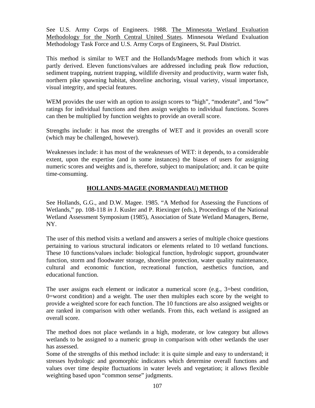See U.S. Army Corps of Engineers. 1988. The Minnesota Wetland Evaluation Methodology for the North Central United States. Minnesota Wetland Evaluation Methodology Task Force and U.S. Army Corps of Engineers, St. Paul District.

This method is similar to WET and the Hollands/Magee methods from which it was partly derived. Eleven functions/values are addressed including peak flow reduction, sediment trapping, nutrient trapping, wildlife diversity and productivity, warm water fish, northern pike spawning habitat, shoreline anchoring, visual variety, visual importance, visual integrity, and special features.

WEM provides the user with an option to assign scores to "high", "moderate", and "low" ratings for individual functions and then assign weights to individual functions. Scores can then be multiplied by function weights to provide an overall score.

Strengths include: it has most the strengths of WET and it provides an overall score (which may be challenged, however).

Weaknesses include: it has most of the weaknesses of WET: it depends, to a considerable extent, upon the expertise (and in some instances) the biases of users for assigning numeric scores and weights and is, therefore, subject to manipulation; and. it can be quite time-consuming.

## **HOLLANDS-MAGEE (NORMANDEAU) METHOD**

See Hollands, G.G., and D.W. Magee. 1985. "A Method for Assessing the Functions of Wetlands," pp. 108-118 *in* J. Kusler and P. Riexinger (eds.), Proceedings of the National Wetland Assessment Symposium (1985), Association of State Wetland Managers, Berne, NY.

The user of this method visits a wetland and answers a series of multiple choice questions pertaining to various structural indicators or elements related to 10 wetland functions. These 10 functions/values include: biological function, hydrologic support, groundwater function, storm and floodwater storage, shoreline protection, water quality maintenance, cultural and economic function, recreational function, aesthetics function, and educational function.

The user assigns each element or indicator a numerical score (e.g., 3=best condition, 0=worst condition) and a weight. The user then multiples each score by the weight to provide a weighted score for each function. The 10 functions are also assigned weights or are ranked in comparison with other wetlands. From this, each wetland is assigned an overall score.

The method does not place wetlands in a high, moderate, or low category but allows wetlands to be assigned to a numeric group in comparison with other wetlands the user has assessed.

Some of the strengths of this method include: it is quite simple and easy to understand; it stresses hydrologic and geomorphic indicators which determine overall functions and values over time despite fluctuations in water levels and vegetation; it allows flexible weighting based upon "common sense" judgments.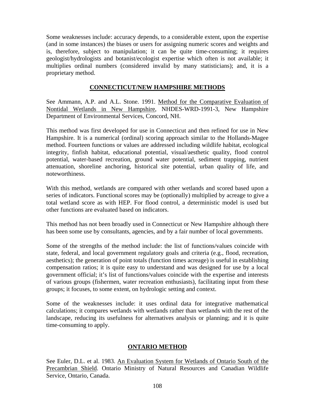Some weaknesses include: accuracy depends, to a considerable extent, upon the expertise (and in some instances) the biases or users for assigning numeric scores and weights and is, therefore, subject to manipulation; it can be quite time-consuming; it requires geologist/hydrologists and botanist/ecologist expertise which often is not available; it multiplies ordinal numbers (considered invalid by many statisticians); and, it is a proprietary method.

#### **CONNECTICUT/NEW HAMPSHIRE METHODS**

See Ammann, A.P. and A.L. Stone. 1991. Method for the Comparative Evaluation of Nontidal Wetlands in New Hampshire, NHDES-WRD-1991-3, New Hampshire Department of Environmental Services, Concord, NH.

This method was first developed for use in Connecticut and then refined for use in New Hampshire. It is a numerical (ordinal) scoring approach similar to the Hollands-Magee method. Fourteen functions or values are addressed including wildlife habitat, ecological integrity, finfish habitat, educational potential, visual/aesthetic quality, flood control potential, water-based recreation, ground water potential, sediment trapping, nutrient attenuation, shoreline anchoring, historical site potential, urban quality of life, and noteworthiness.

With this method, wetlands are compared with other wetlands and scored based upon a series of indicators. Functional scores may be (optionally) multiplied by acreage to give a total wetland score as with HEP. For flood control, a deterministic model is used but other functions are evaluated based on indicators.

This method has not been broadly used in Connecticut or New Hampshire although there has been some use by consultants, agencies, and by a fair number of local governments.

Some of the strengths of the method include: the list of functions/values coincide with state, federal, and local government regulatory goals and criteria (e.g., flood, recreation, aesthetics); the generation of point totals (function times acreage) is useful in establishing compensation ratios; it is quite easy to understand and was designed for use by a local government official; it's list of functions/values coincide with the expertise and interests of various groups (fishermen, water recreation enthusiasts), facilitating input from these groups; it focuses, to some extent, on hydrologic setting and context.

Some of the weaknesses include: it uses ordinal data for integrative mathematical calculations; it compares wetlands with wetlands rather than wetlands with the rest of the landscape, reducing its usefulness for alternatives analysis or planning; and it is quite time-consuming to apply.

### **ONTARIO METHOD**

See Euler, D.L. et al. 1983. An Evaluation System for Wetlands of Ontario South of the Precambrian Shield. Ontario Ministry of Natural Resources and Canadian Wildlife Service, Ontario, Canada.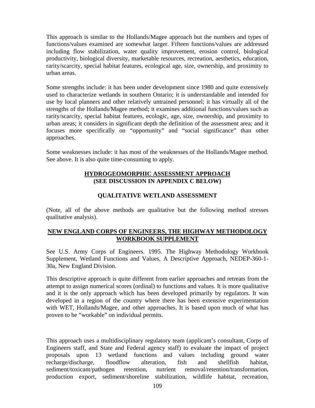This approach is similar to the Hollands/Magee approach but the numbers and types of functions/values examined are somewhat larger. Fifteen functions/values are addressed including flow stabilization, water quality improvement, erosion control, biological productivity, biological diversity, marketable resources, recreation, aesthetics, education, rarity/scarcity, special habitat features, ecological age, size, ownership, and proximity to urban areas.

Some strengths include: it has been under development since 1980 and quite extensively used to characterize wetlands in southern Ontario; it is understandable and intended for use by local planners and other relatively untrained personnel; it has virtually all of the strengths of the Hollands/Magee method; it examines additional functions/values such as rarity/scarcity, special habitat features, ecologic, age, size, ownership, and proximity to urban areas; it considers in significant depth the definition of the assessment area; and it focuses more specifically on "opportunity" and "social significance" than other approaches.

Some weaknesses include: it has most of the weaknesses of the Hollands/Magee method. See above. It is also quite time-consuming to apply.

### **HYDROGEOMORPHIC ASSESSMENT APPROACH (SEE DISCUSSION IN APPENDIX C BELOW)**

### **QUALITATIVE WETLAND ASSESSMENT**

(Note, all of the above methods are qualitative but the following method stresses qualitative analysis).

### **NEW ENGLAND CORPS OF ENGINEERS, THE HIGHWAY METHODOLOGY WORKBOOK SUPPLEMENT**

See U.S. Army Corps of Engineers. 1995. The Highway Methodology Workbook Supplement, Wetland Functions and Values, A Descriptive Approach, NEDEP-360-1- 30a, New England Division.

This descriptive approach is quite different from earlier approaches and retreats from the attempt to assign numerical scores (ordinal) to functions and values. It is more qualitative and it is the only approach which has been developed primarily by regulators. It was developed in a region of the country where there has been extensive experimentation with WET, Hollands/Magee, and other approaches. It is based upon much of what has proven to be "workable" on individual permits.

This approach uses a multidisciplinary regulatory team (applicant's consultant, Corps of Engineers staff, and State and Federal agency staff) to evaluate the impact of project proposals upon 13 wetland functions and values including ground water recharge/discharge, floodflow alteration, fish and shellfish habitat, sediment/toxicant/pathogen retention, nutrient removal/retention/transformation, production export, sediment/shoreline stabilization, wildlife habitat, recreation,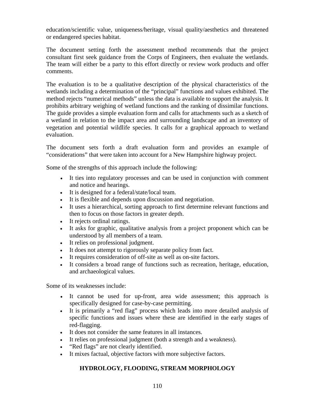education/scientific value, uniqueness/heritage, visual quality/aesthetics and threatened or endangered species habitat.

The document setting forth the assessment method recommends that the project consultant first seek guidance from the Corps of Engineers, then evaluate the wetlands. The team will either be a party to this effort directly or review work products and offer comments.

The evaluation is to be a qualitative description of the physical characteristics of the wetlands including a determination of the "principal" functions and values exhibited. The method rejects "numerical methods" unless the data is available to support the analysis. It prohibits arbitrary weighing of wetland functions and the ranking of dissimilar functions. The guide provides a simple evaluation form and calls for attachments such as a sketch of a wetland in relation to the impact area and surrounding landscape and an inventory of vegetation and potential wildlife species. It calls for a graphical approach to wetland evaluation.

The document sets forth a draft evaluation form and provides an example of "considerations" that were taken into account for a New Hampshire highway project.

Some of the strengths of this approach include the following:

- It ties into regulatory processes and can be used in conjunction with comment and notice and hearings.
- It is designed for a federal/state/local team.
- It is flexible and depends upon discussion and negotiation.
- It uses a hierarchical, sorting approach to first determine relevant functions and then to focus on those factors in greater depth.
- It rejects ordinal ratings.
- It asks for graphic, qualitative analysis from a project proponent which can be understood by all members of a team.
- It relies on professional judgment.
- It does not attempt to rigorously separate policy from fact.
- It requires consideration of off-site as well as on-site factors.
- It considers a broad range of functions such as recreation, heritage, education, and archaeological values.

Some of its weaknesses include:

- It cannot be used for up-front, area wide assessment; this approach is specifically designed for case-by-case permitting.
- It is primarily a "red flag" process which leads into more detailed analysis of specific functions and issues where these are identified in the early stages of red-flagging.
- It does not consider the same features in all instances.
- It relies on professional judgment (both a strength and a weakness).
- "Red flags" are not clearly identified.
- It mixes factual, objective factors with more subjective factors.

## **HYDROLOGY, FLOODING, STREAM MORPHOLOGY**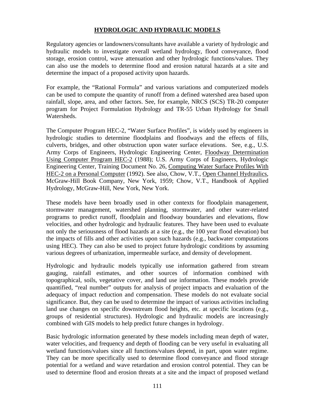### **HYDROLOGIC AND HYDRAULIC MODELS**

Regulatory agencies or landowners/consultants have available a variety of hydrologic and hydraulic models to investigate overall wetland hydrology, flood conveyance, flood storage, erosion control, wave attenuation and other hydrologic functions/values. They can also use the models to determine flood and erosion natural hazards at a site and determine the impact of a proposed activity upon hazards.

For example, the "Rational Formula" and various variations and computerized models can be used to compute the quantity of runoff from a defined watershed area based upon rainfall, slope, area, and other factors. See, for example, NRCS (SCS) TR-20 computer program for Project Formulation Hydrology and TR-55 Urban Hydrology for Small Watersheds.

The Computer Program HEC-2, "Water Surface Profiles", is widely used by engineers in hydrologic studies to determine floodplains and floodways and the effects of fills, culverts, bridges, and other obstruction upon water surface elevations. See, e.g., U.S. Army Corps of Engineers, Hydrologic Engineering Center, Floodway Determination Using Computer Program HEC-2 (1988); U.S. Army Corps of Engineers, Hydrologic Engineering Center, Training Document No. 26, Computing Water Surface Profiles With HEC-2 on a Personal Computer (1992). See also, Chow, V.T., Open Channel Hydraulics, McGraw-Hill Book Company, New York, 1959; Chow, V.T., Handbook of Applied Hydrology, McGraw-Hill, New York, New York.

These models have been broadly used in other contexts for floodplain management, stormwater management, watershed planning, stormwater, and other water-related programs to predict runoff, floodplain and floodway boundaries and elevations, flow velocities, and other hydrologic and hydraulic features. They have been used to evaluate not only the seriousness of flood hazards at a site (e.g., the 100 year flood elevation) but the impacts of fills and other activities upon such hazards (e.g., backwater computations using HEC). They can also be used to project future hydrologic conditions by assuming various degrees of urbanization, impermeable surface, and density of development.

Hydrologic and hydraulic models typically use information gathered from stream gauging, rainfall estimates, and other sources of information combined with topographical, soils, vegetative cover, and land use information. These models provide quantified, "real number" outputs for analysis of project impacts and evaluation of the adequacy of impact reduction and compensation. These models do not evaluate social significance. But, they can be used to determine the impact of various activities including land use changes on specific downstream flood heights, etc. at specific locations (e.g., groups of residential structures). Hydrologic and hydraulic models are increasingly combined with GIS models to help predict future changes in hydrology.

Basic hydrologic information generated by these models including mean depth of water, water velocities, and frequency and depth of flooding can be very useful in evaluating all wetland functions/values since all functions/values depend, in part, upon water regime. They can be more specifically used to determine flood conveyance and flood storage potential for a wetland and wave retardation and erosion control potential. They can be used to determine flood and erosion threats at a site and the impact of proposed wetland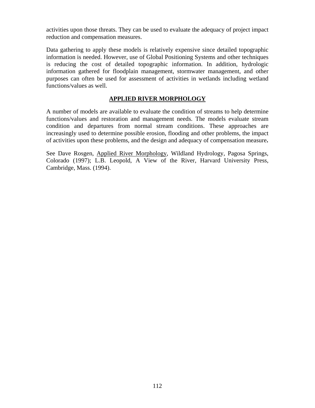activities upon those threats. They can be used to evaluate the adequacy of project impact reduction and compensation measures.

Data gathering to apply these models is relatively expensive since detailed topographic information is needed. However, use of Global Positioning Systems and other techniques is reducing the cost of detailed topographic information. In addition, hydrologic information gathered for floodplain management, stormwater management, and other purposes can often be used for assessment of activities in wetlands including wetland functions/values as well.

### **APPLIED RIVER MORPHOLOGY**

A number of models are available to evaluate the condition of streams to help determine functions/values and restoration and management needs. The models evaluate stream condition and departures from normal stream conditions. These approaches are increasingly used to determine possible erosion, flooding and other problems, the impact of activities upon these problems, and the design and adequacy of compensation measure**.** 

See Dave Rosgen, Applied River Morphology, Wildland Hydrology, Pagosa Springs, Colorado (1997); L.B. Leopold, A View of the River, Harvard University Press, Cambridge, Mass. (1994).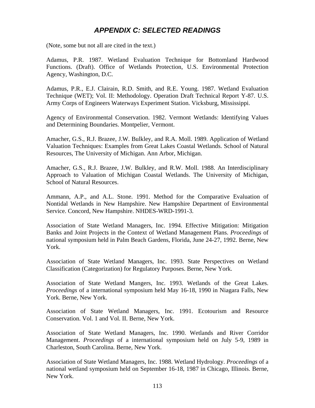## *APPENDIX C: SELECTED READINGS*

(Note, some but not all are cited in the text.)

Adamus, P.R. 1987. Wetland Evaluation Technique for Bottomland Hardwood Functions. (Draft). Office of Wetlands Protection, U.S. Environmental Protection Agency, Washington, D.C.

Adamus, P.R., E.J. Clairain, R.D. Smith, and R.E. Young. 1987. Wetland Evaluation Technique (WET); Vol. II: Methodology. Operation Draft Technical Report Y-87. U.S. Army Corps of Engineers Waterways Experiment Station. Vicksburg, Mississippi.

Agency of Environmental Conservation. 1982. Vermont Wetlands: Identifying Values and Determining Boundaries. Montpelier, Vermont.

Amacher, G.S., R.J. Brazee, J.W. Bulkley, and R.A. Moll. 1989. Application of Wetland Valuation Techniques: Examples from Great Lakes Coastal Wetlands. School of Natural Resources, The University of Michigan. Ann Arbor, Michigan.

Amacher, G.S., R.J. Brazee, J.W. Bulkley, and R.W. Moll. 1988. An Interdisciplinary Approach to Valuation of Michigan Coastal Wetlands. The University of Michigan, School of Natural Resources.

Ammann, A.P., and A.L. Stone. 1991. Method for the Comparative Evaluation of Nontidal Wetlands in New Hampshire. New Hampshire Department of Environmental Service. Concord, New Hampshire. NHDES-WRD-1991-3.

Association of State Wetland Managers, Inc. 1994. Effective Mitigation: Mitigation Banks and Joint Projects in the Context of Wetland Management Plans. *Proceedings* of national symposium held in Palm Beach Gardens, Florida, June 24-27, 1992. Berne, New York.

Association of State Wetland Managers, Inc. 1993. State Perspectives on Wetland Classification (Categorization) for Regulatory Purposes. Berne, New York.

Association of State Wetland Mangers, Inc. 1993. Wetlands of the Great Lakes. *Proceedings* of a international symposium held May 16-18, 1990 in Niagara Falls, New York. Berne, New York.

Association of State Wetland Managers, Inc. 1991. Ecotourism and Resource Conservation. Vol. 1 and Vol. II. Berne, New York.

Association of State Wetland Managers, Inc. 1990. Wetlands and River Corridor Management. *Proceedings* of a international symposium held on July 5-9, 1989 in Charleston, South Carolina. Berne, New York.

Association of State Wetland Managers, Inc. 1988. Wetland Hydrology. *Proceedings* of a national wetland symposium held on September 16-18, 1987 in Chicago, Illinois. Berne, New York.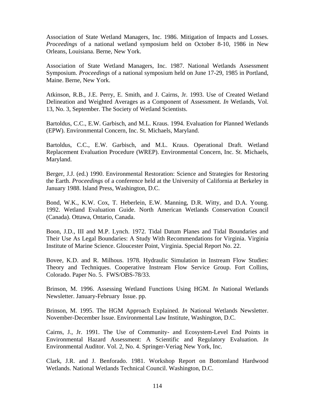Association of State Wetland Managers, Inc. 1986. Mitigation of Impacts and Losses. *Proceedings* of a national wetland symposium held on October 8-10, 1986 in New Orleans, Louisiana. Berne, New York.

Association of State Wetland Managers, Inc. 1987. National Wetlands Assessment Symposium. *Proceedings* of a national symposium held on June 17-29, 1985 in Portland, Maine. Berne, New York.

Atkinson, R.B., J.E. Perry, E. Smith, and J. Cairns, Jr. 1993. Use of Created Wetland Delineation and Weighted Averages as a Component of Assessment. *In* Wetlands, Vol. 13, No. 3, September. The Society of Wetland Scientists.

Bartoldus, C.C., E.W. Garbisch, and M.L. Kraus. 1994. Evaluation for Planned Wetlands (EPW). Environmental Concern, Inc. St. Michaels, Maryland.

Bartoldus, C.C., E.W. Garbisch, and M.L. Kraus. Operational Draft. Wetland Replacement Evaluation Procedure (WREP). Environmental Concern, Inc. St. Michaels, Maryland.

Berger, J.J. (ed.) 1990. Environmental Restoration: Science and Strategies for Restoring the Earth. *Proceedings* of a conference held at the University of California at Berkeley in January 1988. Island Press, Washington, D.C.

Bond, W.K., K.W. Cox, T. Heberlein, E.W. Manning, D.R. Witty, and D.A. Young. 1992. Wetland Evaluation Guide. North American Wetlands Conservation Council (Canada). Ottawa, Ontario, Canada.

Boon, J.D., III and M.P. Lynch. 1972. Tidal Datum Planes and Tidal Boundaries and Their Use As Legal Boundaries: A Study With Recommendations for Virginia. Virginia Institute of Marine Science. Gloucester Point, Virginia. Special Report No. 22.

Bovee, K.D. and R. Milhous. 1978. Hydraulic Simulation in Instream Flow Studies: Theory and Techniques. Cooperative Instream Flow Service Group. Fort Collins, Colorado. Paper No. 5. FWS/OBS-78/33.

Brinson, M. 1996. Assessing Wetland Functions Using HGM. *In* National Wetlands Newsletter. January-February Issue. pp.

Brinson, M. 1995. The HGM Approach Explained. *In* National Wetlands Newsletter. November-December Issue. Environmental Law Institute, Washington, D.C.

Cairns, J., Jr. 1991. The Use of Community- and Ecosystem-Level End Points in Environmental Hazard Assessment: A Scientific and Regulatory Evaluation. *In*  Environmental Auditor. Vol. 2, No. 4. Springer-Veriag New York, Inc.

Clark, J.R. and J. Benforado. 1981. Workshop Report on Bottomland Hardwood Wetlands. National Wetlands Technical Council. Washington, D.C.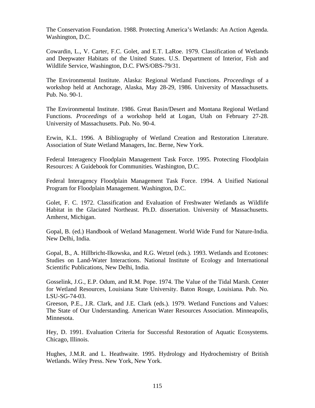The Conservation Foundation. 1988. Protecting America's Wetlands: An Action Agenda. Washington, D.C.

Cowardin, L., V. Carter, F.C. Golet, and E.T. LaRoe. 1979. Classification of Wetlands and Deepwater Habitats of the United States. U.S. Department of Interior, Fish and Wildlife Service, Washington, D.C. FWS/OBS-79/31.

The Environmental Institute. Alaska: Regional Wetland Functions. *Proceedings* of a workshop held at Anchorage, Alaska, May 28-29, 1986. University of Massachusetts. Pub. No. 90-1.

The Environmental Institute. 1986. Great Basin/Desert and Montana Regional Wetland Functions. *Proceedings* of a workshop held at Logan, Utah on February 27-28. University of Massachusetts. Pub. No. 90-4.

Erwin, K.L. 1996. A Bibliography of Wetland Creation and Restoration Literature. Association of State Wetland Managers, Inc. Berne, New York.

Federal Interagency Floodplain Management Task Force. 1995. Protecting Floodplain Resources: A Guidebook for Communities. Washington, D.C.

Federal Interagency Floodplain Management Task Force. 1994. A Unified National Program for Floodplain Management. Washington, D.C.

Golet, F. C. 1972. Classification and Evaluation of Freshwater Wetlands as Wildlife Habitat in the Glaciated Northeast. Ph.D. dissertation. University of Massachusetts. Amherst, Michigan.

Gopal, B. (ed.) Handbook of Wetland Management. World Wide Fund for Nature-India. New Delhi, India.

Gopal, B., A. Hillbricht-Ilkowska, and R.G. Wetzel (eds.). 1993. Wetlands and Ecotones: Studies on Land-Water Interactions. National Institute of Ecology and International Scientific Publications, New Delhi, India.

Gosselink, J.G., E.P. Odum, and R.M. Pope. 1974. The Value of the Tidal Marsh. Center for Wetland Resources, Louisiana State University. Baton Rouge, Louisiana. Pub. No. LSU-SG-74-03.

Greeson, P.E., J.R. Clark, and J.E. Clark (eds.). 1979. Wetland Functions and Values: The State of Our Understanding. American Water Resources Association. Minneapolis, Minnesota.

Hey, D. 1991. Evaluation Criteria for Successful Restoration of Aquatic Ecosystems. Chicago, Illinois.

Hughes, J.M.R. and L. Heathwaite. 1995. Hydrology and Hydrochemistry of British Wetlands. Wiley Press. New York, New York.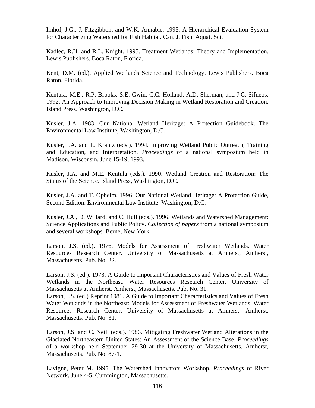Imhof, J.G., J. Fitzgibbon, and W.K. Annable. 1995. A Hierarchical Evaluation System for Characterizing Watershed for Fish Habitat. Can. J. Fish. Aquat. Sci.

Kadlec, R.H. and R.L. Knight. 1995. Treatment Wetlands: Theory and Implementation. Lewis Publishers. Boca Raton, Florida.

Kent, D.M. (ed.). Applied Wetlands Science and Technology. Lewis Publishers. Boca Raton, Florida.

Kentula, M.E., R.P. Brooks, S.E. Gwin, C.C. Holland, A.D. Sherman, and J.C. Sifneos. 1992. An Approach to Improving Decision Making in Wetland Restoration and Creation. Island Press. Washington, D.C.

Kusler, J.A. 1983. Our National Wetland Heritage: A Protection Guidebook. The Environmental Law Institute, Washington, D.C.

Kusler, J.A. and L. Krantz (eds.). 1994. Improving Wetland Public Outreach, Training and Education, and Interpretation. *Proceedings* of a national symposium held in Madison, Wisconsin, June 15-19, 1993.

Kusler, J.A. and M.E. Kentula (eds.). 1990. Wetland Creation and Restoration: The Status of the Science. Island Press, Washington, D.C.

Kusler, J.A. and T. Opheim. 1996. Our National Wetland Heritage: A Protection Guide, Second Edition. Environmental Law Institute. Washington, D.C.

Kusler, J.A., D. Willard, and C. Hull (eds.). 1996. Wetlands and Watershed Management: Science Applications and Public Policy. *Collection of papers* from a national symposium and several workshops. Berne, New York.

Larson, J.S. (ed.). 1976. Models for Assessment of Freshwater Wetlands. Water Resources Research Center. University of Massachusetts at Amherst, Amherst, Massachusetts. Pub. No. 32.

Larson, J.S. (ed.). 1973. A Guide to Important Characteristics and Values of Fresh Water Wetlands in the Northeast. Water Resources Research Center. University of Massachusetts at Amherst. Amherst, Massachusetts. Pub. No. 31.

Larson, J.S. (ed.) Reprint 1981. A Guide to Important Characteristics and Values of Fresh Water Wetlands in the Northeast: Models for Assessment of Freshwater Wetlands. Water Resources Research Center. University of Massachusetts at Amherst. Amherst, Massachusetts. Pub. No. 31.

Larson, J.S. and C. Neill (eds.). 1986. Mitigating Freshwater Wetland Alterations in the Glaciated Northeastern United States: An Assessment of the Science Base. *Proceedings*  of a workshop held September 29-30 at the University of Massachusetts. Amherst, Massachusetts. Pub. No. 87-1.

Lavigne, Peter M. 1995. The Watershed Innovators Workshop. *Proceedings* of River Network, June 4-5, Cummington, Massachusetts.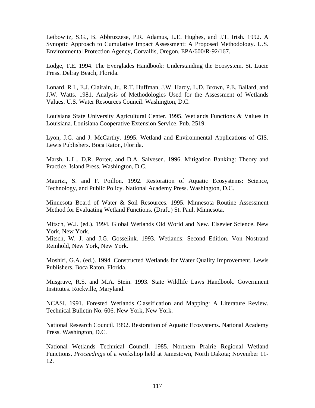Leibowitz, S.G., B. Abbruzzese, P.R. Adamus, L.E. Hughes, and J.T. Irish. 1992. A Synoptic Approach to Cumulative Impact Assessment: A Proposed Methodology. U.S. Environmental Protection Agency, Corvallis, Oregon. EPA/600/R-92/167.

Lodge, T.E. 1994. The Everglades Handbook: Understanding the Ecosystem. St. Lucie Press. Delray Beach, Florida.

Lonard, R I., E.J. Clairain, Jr., R.T. Huffman, J.W. Hardy, L.D. Brown, P.E. Ballard, and J.W. Watts. 1981. Analysis of Methodologies Used for the Assessment of Wetlands Values. U.S. Water Resources Council. Washington, D.C.

Louisiana State University Agricultural Center. 1995. Wetlands Functions & Values in Louisiana. Louisiana Cooperative Extension Service. Pub. 2519.

Lyon, J.G. and J. McCarthy. 1995. Wetland and Environmental Applications of GIS. Lewis Publishers. Boca Raton, Florida.

Marsh, L.L., D.R. Porter, and D.A. Salvesen. 1996. Mitigation Banking: Theory and Practice. Island Press. Washington, D.C.

Maurizi, S. and F. Poillon. 1992. Restoration of Aquatic Ecosystems: Science, Technology, and Public Policy. National Academy Press. Washington, D.C.

Minnesota Board of Water & Soil Resources. 1995. Minnesota Routine Assessment Method for Evaluating Wetland Functions. (Draft.) St. Paul, Minnesota.

Mitsch, W.J. (ed.). 1994. Global Wetlands Old World and New. Elsevier Science. New York, New York.

Mitsch, W. J. and J.G. Gosselink. 1993. Wetlands: Second Edition. Von Nostrand Reinhold, New York, New York.

Moshiri, G.A. (ed.). 1994. Constructed Wetlands for Water Quality Improvement. Lewis Publishers. Boca Raton, Florida.

Musgrave, R.S. and M.A. Stein. 1993. State Wildlife Laws Handbook. Government Institutes. Rockville, Maryland.

NCASI. 1991. Forested Wetlands Classification and Mapping: A Literature Review. Technical Bulletin No. 606. New York, New York.

National Research Council. 1992. Restoration of Aquatic Ecosystems. National Academy Press. Washington, D.C.

National Wetlands Technical Council. 1985. Northern Prairie Regional Wetland Functions. *Proceedings* of a workshop held at Jamestown, North Dakota; November 11- 12.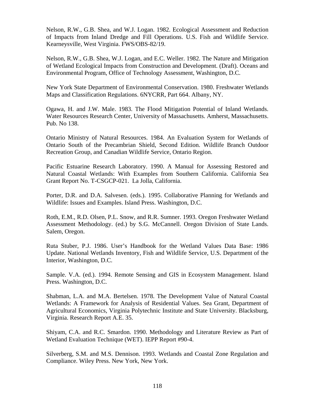Nelson, R.W., G.B. Shea, and W.J. Logan. 1982. Ecological Assessment and Reduction of Impacts from Inland Dredge and Fill Operations. U.S. Fish and Wildlife Service. Kearneysville, West Virginia. FWS/OBS-82/19.

Nelson, R.W., G.B. Shea, W.J. Logan, and E.C. Weller. 1982. The Nature and Mitigation of Wetland Ecological Impacts from Construction and Development. (Draft). Oceans and Environmental Program, Office of Technology Assessment, Washington, D.C.

New York State Department of Environmental Conservation. 1980. Freshwater Wetlands Maps and Classification Regulations. 6NYCRR, Part 664. Albany, NY.

Ogawa, H. and J.W. Male. 1983. The Flood Mitigation Potential of Inland Wetlands. Water Resources Research Center, University of Massachusetts. Amherst, Massachusetts. Pub. No 138.

Ontario Ministry of Natural Resources. 1984. An Evaluation System for Wetlands of Ontario South of the Precambrian Shield, Second Edition. Wildlife Branch Outdoor Recreation Group, and Canadian Wildlife Service, Ontario Region.

Pacific Estuarine Research Laboratory. 1990. A Manual for Assessing Restored and Natural Coastal Wetlands: With Examples from Southern California. California Sea Grant Report No. T-CSGCP-021. La Jolla, California.

Porter, D.R. and D.A. Salvesen. (eds.). 1995. Collaborative Planning for Wetlands and Wildlife: Issues and Examples. Island Press. Washington, D.C.

Roth, E.M., R.D. Olsen, P.L. Snow, and R.R. Sumner. 1993. Oregon Freshwater Wetland Assessment Methodology. (ed.) by S.G. McCannell. Oregon Division of State Lands. Salem, Oregon.

Ruta Stuber, P.J. 1986. User's Handbook for the Wetland Values Data Base: 1986 Update. National Wetlands Inventory, Fish and Wildlife Service, U.S. Department of the Interior, Washington, D.C.

Sample. V.A. (ed.). 1994. Remote Sensing and GIS in Ecosystem Management. Island Press. Washington, D.C.

Shabman, L.A. and M.A. Bertelsen. 1978. The Development Value of Natural Coastal Wetlands: A Framework for Analysis of Residential Values. Sea Grant, Department of Agricultural Economics, Virginia Polytechnic Institute and State University. Blacksburg, Virginia. Research Report A.E. 35.

Shiyam, C.A. and R.C. Smardon. 1990. Methodology and Literature Review as Part of Wetland Evaluation Technique (WET). IEPP Report #90-4.

Silverberg, S.M. and M.S. Dennison. 1993. Wetlands and Coastal Zone Regulation and Compliance. Wiley Press. New York, New York.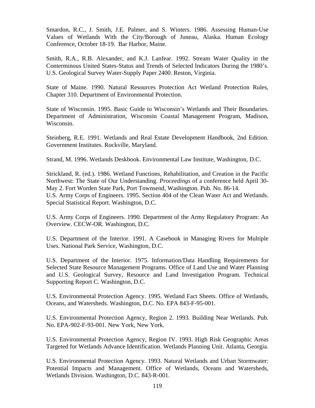Smardon, R.C., J. Smith, J.E. Palmer, and S. Winters. 1986. Assessing Human-Use Values of Wetlands With the City/Borough of Juneau, Alaska. Human Ecology Conference, October 18-19. Bar Harbor, Maine.

Smith, R.A., R.B. Alexander, and K.J. Lanfear. 1992. Stream Water Quality in the Conterminous United States-Status and Trends of Selected Indicators During the 1980's. U.S. Geological Survey Water-Supply Paper 2400. Reston, Virginia.

State of Maine. 1990. Natural Resources Protection Act Wetland Protection Rules, Chapter 310. Department of Environmental Protection.

State of Wisconsin. 1995. Basic Guide to Wisconsin's Wetlands and Their Boundaries. Department of Administration, Wisconsin Coastal Management Program, Madison, Wisconsin.

Steinberg, R.E. 1991. Wetlands and Real Estate Development Handbook, 2nd Edition. Government Institutes. Rockville, Maryland.

Strand, M. 1996. Wetlands Deskbook. Environmental Law Institute, Washington, D.C.

Strickland, R. (ed.). 1986. Wetland Functions, Rehabilitation, and Creation in the Pacific Northwest: The State of Our Understanding. *Proceedings* of a conference held April 30- May 2. Fort Worden State Park, Port Townsend, Washington. Pub. No. 86-14. U.S. Army Corps of Engineers. 1995. Section 404 of the Clean Water Act and Wetlands. Special Statistical Report. Washington, D.C.

U.S. Army Corps of Engineers. 1990. Department of the Army Regulatory Program: An Overview. CECW-OR. Washington, D.C.

U.S. Department of the Interior. 1991. A Casebook in Managing Rivers for Multiple Uses. National Park Service, Washington, D.C.

U.S. Department of the Interior. 1975. Information/Data Handling Requirements for Selected State Resource Management Programs. Office of Land Use and Water Planning and U.S. Geological Survey, Resource and Land Investigation Program. Technical Supporting Report C. Washington, D.C.

U.S. Environmental Protection Agency. 1995. Wetland Fact Sheets. Office of Wetlands, Oceans, and Watersheds. Washington, D.C. No. EPA 843-F-95-001.

U.S. Environmental Protection Agency, Region 2. 1993. Building Near Wetlands. Pub. No. EPA-902-F-93-001. New York, New York.

U.S. Environmental Protection Agency, Region IV. 1993. High Risk Geographic Areas Targeted for Wetlands Advance Identification. Wetlands Planning Unit. Atlanta, Georgia.

U.S. Environmental Protection Agency. 1993. Natural Wetlands and Urban Stormwater: Potential Impacts and Management. Office of Wetlands, Oceans and Watersheds, Wetlands Division. Washington, D.C. 843-R-001.